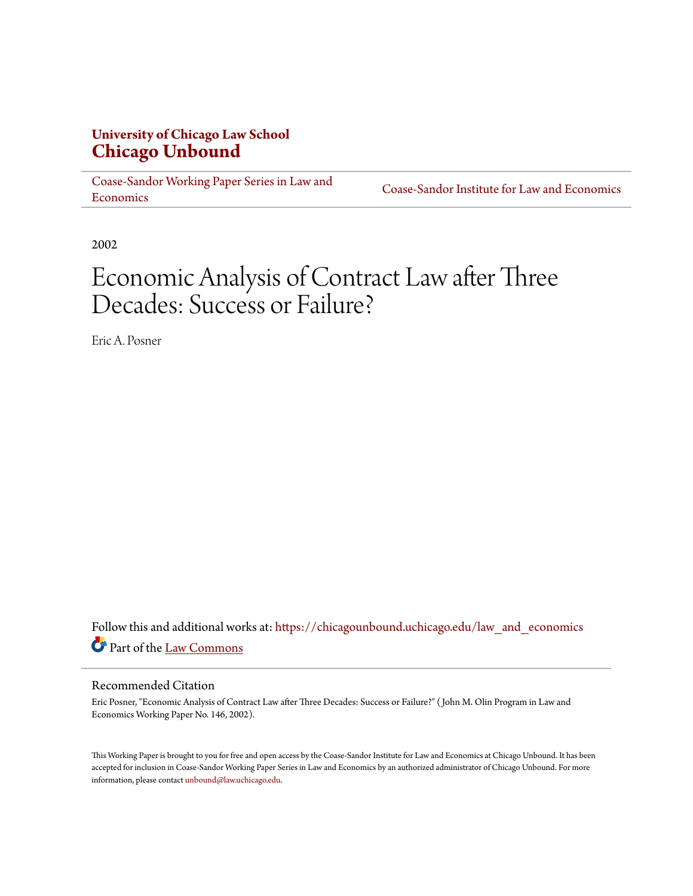# **University of Chicago Law School [Chicago Unbound](https://chicagounbound.uchicago.edu?utm_source=chicagounbound.uchicago.edu%2Flaw_and_economics%2F185&utm_medium=PDF&utm_campaign=PDFCoverPages)**

[Coase-Sandor Working Paper Series in Law and](https://chicagounbound.uchicago.edu/law_and_economics?utm_source=chicagounbound.uchicago.edu%2Flaw_and_economics%2F185&utm_medium=PDF&utm_campaign=PDFCoverPages) [Economics](https://chicagounbound.uchicago.edu/law_and_economics?utm_source=chicagounbound.uchicago.edu%2Flaw_and_economics%2F185&utm_medium=PDF&utm_campaign=PDFCoverPages)

[Coase-Sandor Institute for Law and Economics](https://chicagounbound.uchicago.edu/coase_sandor_institute?utm_source=chicagounbound.uchicago.edu%2Flaw_and_economics%2F185&utm_medium=PDF&utm_campaign=PDFCoverPages)

2002

# Economic Analysis of Contract Law after Three Decades: Success or Failure?

Eric A. Posner

Follow this and additional works at: [https://chicagounbound.uchicago.edu/law\\_and\\_economics](https://chicagounbound.uchicago.edu/law_and_economics?utm_source=chicagounbound.uchicago.edu%2Flaw_and_economics%2F185&utm_medium=PDF&utm_campaign=PDFCoverPages) Part of the [Law Commons](http://network.bepress.com/hgg/discipline/578?utm_source=chicagounbound.uchicago.edu%2Flaw_and_economics%2F185&utm_medium=PDF&utm_campaign=PDFCoverPages)

#### Recommended Citation

Eric Posner, "Economic Analysis of Contract Law after Three Decades: Success or Failure?" ( John M. Olin Program in Law and Economics Working Paper No. 146, 2002).

This Working Paper is brought to you for free and open access by the Coase-Sandor Institute for Law and Economics at Chicago Unbound. It has been accepted for inclusion in Coase-Sandor Working Paper Series in Law and Economics by an authorized administrator of Chicago Unbound. For more information, please contact [unbound@law.uchicago.edu.](mailto:unbound@law.uchicago.edu)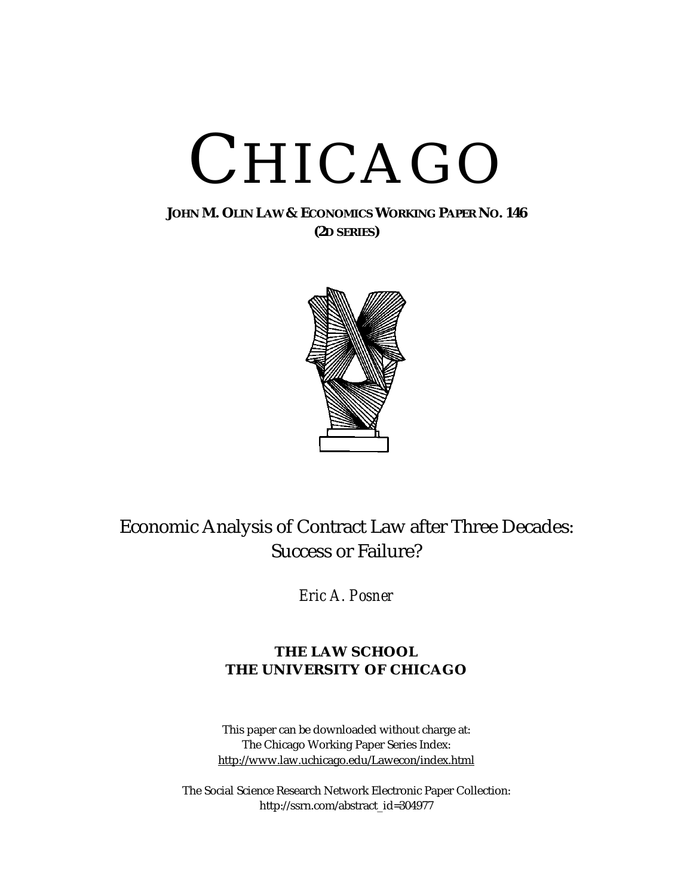# CHICAGO

### **JOHN M. OLIN LAW & ECONOMICS WORKING PAPER NO. 146 (2D SERIES)**



# Economic Analysis of Contract Law after Three Decades: Success or Failure?

*Eric A. Posner*

## **THE LAW SCHOOL THE UNIVERSITY OF CHICAGO**

This paper can be downloaded without charge at: The Chicago Working Paper Series Index: [http://www.law.uchicago.edu/Lawecon/index.html](http://www.law.uchicago.edu/Publications/Working/index.html)

The Social Science Research Network Electronic Paper Collection: [http://ssrn.com/abstract\\_id=3](http://papers.ssrn.com/sol3/search.taf)04977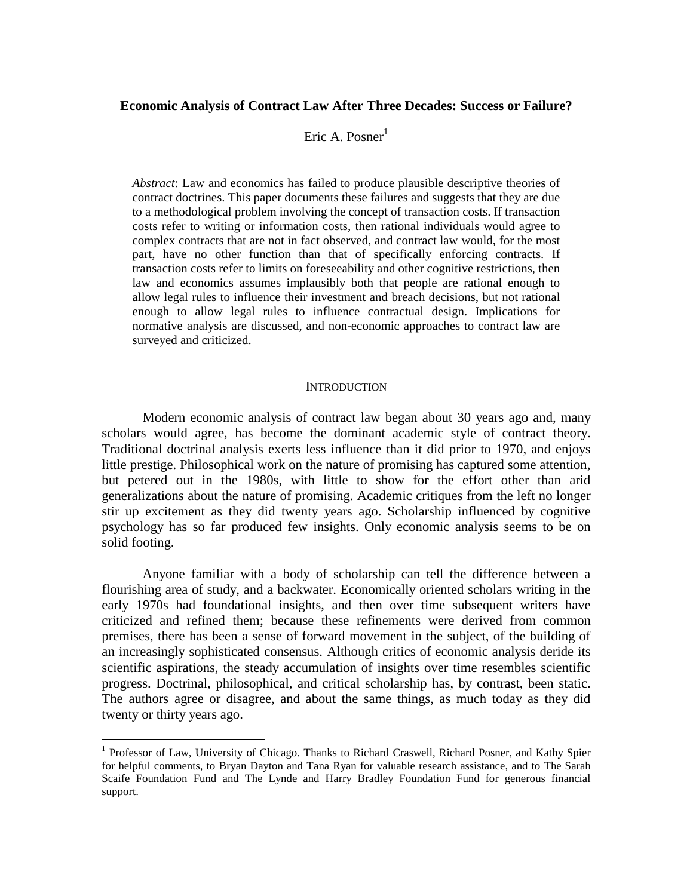#### **Economic Analysis of Contract Law After Three Decades: Success or Failure?**

#### Eric A. Posner $<sup>1</sup>$ </sup>

*Abstract*: Law and economics has failed to produce plausible descriptive theories of contract doctrines. This paper documents these failures and suggests that they are due to a methodological problem involving the concept of transaction costs. If transaction costs refer to writing or information costs, then rational individuals would agree to complex contracts that are not in fact observed, and contract law would, for the most part, have no other function than that of specifically enforcing contracts. If transaction costs refer to limits on foreseeability and other cognitive restrictions, then law and economics assumes implausibly both that people are rational enough to allow legal rules to influence their investment and breach decisions, but not rational enough to allow legal rules to influence contractual design. Implications for normative analysis are discussed, and non-economic approaches to contract law are surveyed and criticized.

#### **INTRODUCTION**

 Modern economic analysis of contract law began about 30 years ago and, many scholars would agree, has become the dominant academic style of contract theory. Traditional doctrinal analysis exerts less influence than it did prior to 1970, and enjoys little prestige. Philosophical work on the nature of promising has captured some attention, but petered out in the 1980s, with little to show for the effort other than arid generalizations about the nature of promising. Academic critiques from the left no longer stir up excitement as they did twenty years ago. Scholarship influenced by cognitive psychology has so far produced few insights. Only economic analysis seems to be on solid footing.

 Anyone familiar with a body of scholarship can tell the difference between a flourishing area of study, and a backwater. Economically oriented scholars writing in the early 1970s had foundational insights, and then over time subsequent writers have criticized and refined them; because these refinements were derived from common premises, there has been a sense of forward movement in the subject, of the building of an increasingly sophisticated consensus. Although critics of economic analysis deride its scientific aspirations, the steady accumulation of insights over time resembles scientific progress. Doctrinal, philosophical, and critical scholarship has, by contrast, been static. The authors agree or disagree, and about the same things, as much today as they did twenty or thirty years ago.

1

<sup>&</sup>lt;sup>1</sup> Professor of Law, University of Chicago. Thanks to Richard Craswell, Richard Posner, and Kathy Spier for helpful comments, to Bryan Dayton and Tana Ryan for valuable research assistance, and to The Sarah Scaife Foundation Fund and The Lynde and Harry Bradley Foundation Fund for generous financial support.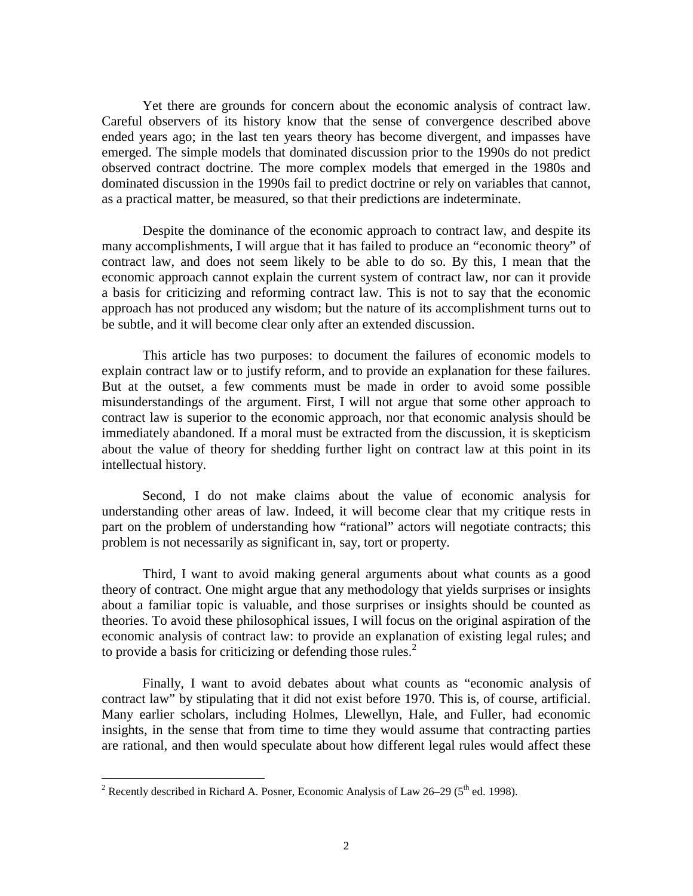Yet there are grounds for concern about the economic analysis of contract law. Careful observers of its history know that the sense of convergence described above ended years ago; in the last ten years theory has become divergent, and impasses have emerged. The simple models that dominated discussion prior to the 1990s do not predict observed contract doctrine. The more complex models that emerged in the 1980s and dominated discussion in the 1990s fail to predict doctrine or rely on variables that cannot, as a practical matter, be measured, so that their predictions are indeterminate.

 Despite the dominance of the economic approach to contract law, and despite its many accomplishments, I will argue that it has failed to produce an "economic theory" of contract law, and does not seem likely to be able to do so. By this, I mean that the economic approach cannot explain the current system of contract law, nor can it provide a basis for criticizing and reforming contract law. This is not to say that the economic approach has not produced any wisdom; but the nature of its accomplishment turns out to be subtle, and it will become clear only after an extended discussion.

 This article has two purposes: to document the failures of economic models to explain contract law or to justify reform, and to provide an explanation for these failures. But at the outset, a few comments must be made in order to avoid some possible misunderstandings of the argument. First, I will not argue that some other approach to contract law is superior to the economic approach, nor that economic analysis should be immediately abandoned. If a moral must be extracted from the discussion, it is skepticism about the value of theory for shedding further light on contract law at this point in its intellectual history.

 Second, I do not make claims about the value of economic analysis for understanding other areas of law. Indeed, it will become clear that my critique rests in part on the problem of understanding how "rational" actors will negotiate contracts; this problem is not necessarily as significant in, say, tort or property.

 Third, I want to avoid making general arguments about what counts as a good theory of contract. One might argue that any methodology that yields surprises or insights about a familiar topic is valuable, and those surprises or insights should be counted as theories. To avoid these philosophical issues, I will focus on the original aspiration of the economic analysis of contract law: to provide an explanation of existing legal rules; and to provide a basis for criticizing or defending those rules. $<sup>2</sup>$ </sup>

 Finally, I want to avoid debates about what counts as "economic analysis of contract law" by stipulating that it did not exist before 1970. This is, of course, artificial. Many earlier scholars, including Holmes, Llewellyn, Hale, and Fuller, had economic insights, in the sense that from time to time they would assume that contracting parties are rational, and then would speculate about how different legal rules would affect these

<sup>&</sup>lt;sup>2</sup> Recently described in Richard A. Posner, Economic Analysis of Law 26–29 ( $5<sup>th</sup>$  ed. 1998).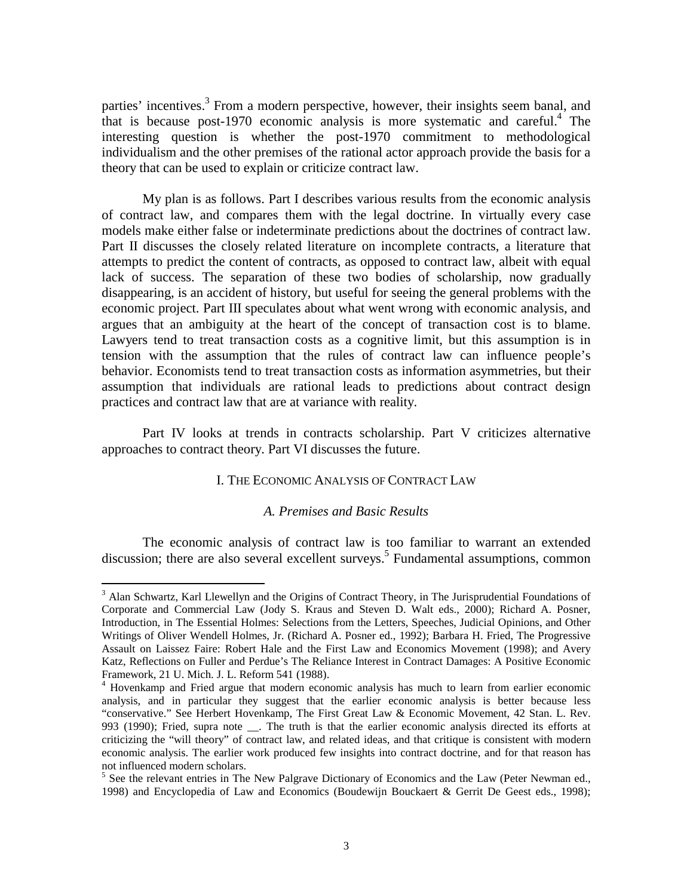parties' incentives.<sup>3</sup> From a modern perspective, however, their insights seem banal, and that is because post-1970 economic analysis is more systematic and careful.<sup>4</sup> The interesting question is whether the post-1970 commitment to methodological individualism and the other premises of the rational actor approach provide the basis for a theory that can be used to explain or criticize contract law.

 My plan is as follows. Part I describes various results from the economic analysis of contract law, and compares them with the legal doctrine. In virtually every case models make either false or indeterminate predictions about the doctrines of contract law. Part II discusses the closely related literature on incomplete contracts, a literature that attempts to predict the content of contracts, as opposed to contract law, albeit with equal lack of success. The separation of these two bodies of scholarship, now gradually disappearing, is an accident of history, but useful for seeing the general problems with the economic project. Part III speculates about what went wrong with economic analysis, and argues that an ambiguity at the heart of the concept of transaction cost is to blame. Lawyers tend to treat transaction costs as a cognitive limit, but this assumption is in tension with the assumption that the rules of contract law can influence people's behavior. Economists tend to treat transaction costs as information asymmetries, but their assumption that individuals are rational leads to predictions about contract design practices and contract law that are at variance with reality.

Part IV looks at trends in contracts scholarship. Part V criticizes alternative approaches to contract theory. Part VI discusses the future.

#### I. THE ECONOMIC ANALYSIS OF CONTRACT LAW

#### *A. Premises and Basic Results*

 The economic analysis of contract law is too familiar to warrant an extended discussion; there are also several excellent surveys.<sup>5</sup> Fundamental assumptions, common

1

<sup>&</sup>lt;sup>3</sup> Alan Schwartz, Karl Llewellyn and the Origins of Contract Theory, in The Jurisprudential Foundations of Corporate and Commercial Law (Jody S. Kraus and Steven D. Walt eds., 2000); Richard A. Posner, Introduction, in The Essential Holmes: Selections from the Letters, Speeches, Judicial Opinions, and Other Writings of Oliver Wendell Holmes, Jr. (Richard A. Posner ed., 1992); Barbara H. Fried, The Progressive Assault on Laissez Faire: Robert Hale and the First Law and Economics Movement (1998); and Avery Katz, Reflections on Fuller and Perdue's The Reliance Interest in Contract Damages: A Positive Economic Framework, 21 U. Mich. J. L. Reform 541 (1988).

<sup>&</sup>lt;sup>4</sup> Hovenkamp and Fried argue that modern economic analysis has much to learn from earlier economic analysis, and in particular they suggest that the earlier economic analysis is better because less "conservative." See Herbert Hovenkamp, The First Great Law & Economic Movement, 42 Stan. L. Rev. 993 (1990); Fried, supra note \_\_. The truth is that the earlier economic analysis directed its efforts at criticizing the "will theory" of contract law, and related ideas, and that critique is consistent with modern economic analysis. The earlier work produced few insights into contract doctrine, and for that reason has not influenced modern scholars.

<sup>&</sup>lt;sup>5</sup> See the relevant entries in The New Palgrave Dictionary of Economics and the Law (Peter Newman ed., 1998) and Encyclopedia of Law and Economics (Boudewijn Bouckaert & Gerrit De Geest eds., 1998);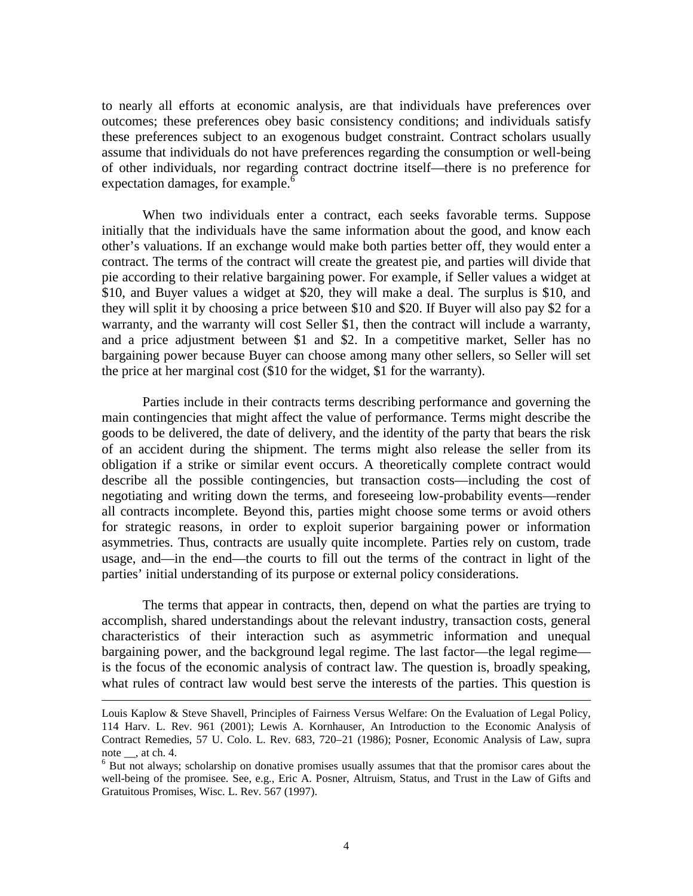to nearly all efforts at economic analysis, are that individuals have preferences over outcomes; these preferences obey basic consistency conditions; and individuals satisfy these preferences subject to an exogenous budget constraint. Contract scholars usually assume that individuals do not have preferences regarding the consumption or well-being of other individuals, nor regarding contract doctrine itself—there is no preference for expectation damages, for example.<sup>6</sup>

 When two individuals enter a contract, each seeks favorable terms. Suppose initially that the individuals have the same information about the good, and know each other's valuations. If an exchange would make both parties better off, they would enter a contract. The terms of the contract will create the greatest pie, and parties will divide that pie according to their relative bargaining power. For example, if Seller values a widget at \$10, and Buyer values a widget at \$20, they will make a deal. The surplus is \$10, and they will split it by choosing a price between \$10 and \$20. If Buyer will also pay \$2 for a warranty, and the warranty will cost Seller \$1, then the contract will include a warranty, and a price adjustment between \$1 and \$2. In a competitive market, Seller has no bargaining power because Buyer can choose among many other sellers, so Seller will set the price at her marginal cost (\$10 for the widget, \$1 for the warranty).

 Parties include in their contracts terms describing performance and governing the main contingencies that might affect the value of performance. Terms might describe the goods to be delivered, the date of delivery, and the identity of the party that bears the risk of an accident during the shipment. The terms might also release the seller from its obligation if a strike or similar event occurs. A theoretically complete contract would describe all the possible contingencies, but transaction costs—including the cost of negotiating and writing down the terms, and foreseeing low-probability events—render all contracts incomplete. Beyond this, parties might choose some terms or avoid others for strategic reasons, in order to exploit superior bargaining power or information asymmetries. Thus, contracts are usually quite incomplete. Parties rely on custom, trade usage, and—in the end—the courts to fill out the terms of the contract in light of the parties' initial understanding of its purpose or external policy considerations.

The terms that appear in contracts, then, depend on what the parties are trying to accomplish, shared understandings about the relevant industry, transaction costs, general characteristics of their interaction such as asymmetric information and unequal bargaining power, and the background legal regime. The last factor—the legal regime is the focus of the economic analysis of contract law. The question is, broadly speaking, what rules of contract law would best serve the interests of the parties. This question is

Louis Kaplow & Steve Shavell, Principles of Fairness Versus Welfare: On the Evaluation of Legal Policy, 114 Harv. L. Rev. 961 (2001); Lewis A. Kornhauser, An Introduction to the Economic Analysis of Contract Remedies, 57 U. Colo. L. Rev. 683, 720–21 (1986); Posner, Economic Analysis of Law, supra note  $\_\_$ , at ch. 4.

<sup>&</sup>lt;sup>6</sup> But not always; scholarship on donative promises usually assumes that that the promisor cares about the well-being of the promisee. See, e.g., Eric A. Posner, Altruism, Status, and Trust in the Law of Gifts and Gratuitous Promises, Wisc. L. Rev. 567 (1997).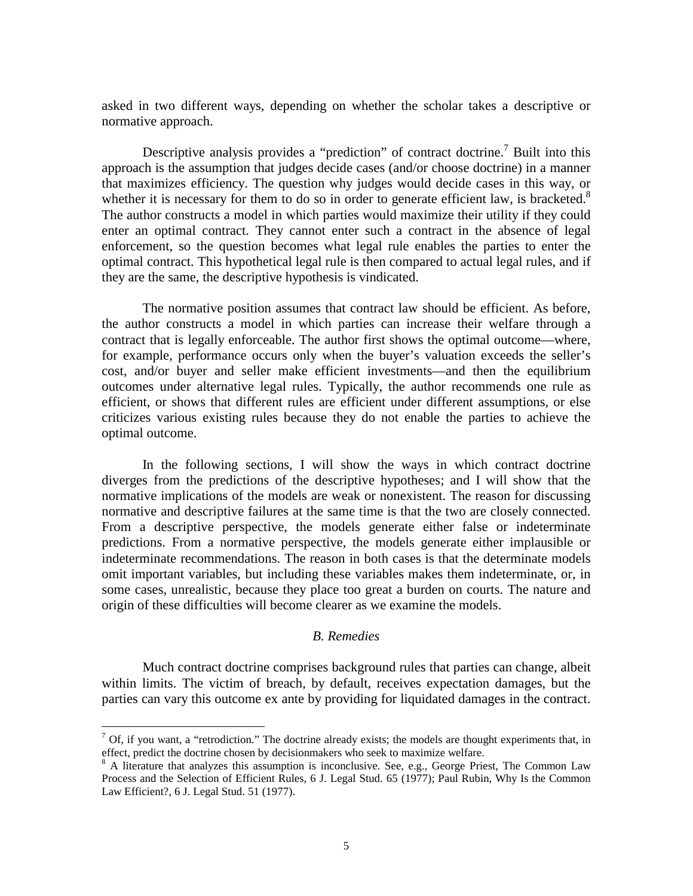asked in two different ways, depending on whether the scholar takes a descriptive or normative approach.

Descriptive analysis provides a "prediction" of contract doctrine.<sup>7</sup> Built into this approach is the assumption that judges decide cases (and/or choose doctrine) in a manner that maximizes efficiency. The question why judges would decide cases in this way, or whether it is necessary for them to do so in order to generate efficient law, is bracketed.<sup>8</sup> The author constructs a model in which parties would maximize their utility if they could enter an optimal contract. They cannot enter such a contract in the absence of legal enforcement, so the question becomes what legal rule enables the parties to enter the optimal contract. This hypothetical legal rule is then compared to actual legal rules, and if they are the same, the descriptive hypothesis is vindicated.

The normative position assumes that contract law should be efficient. As before, the author constructs a model in which parties can increase their welfare through a contract that is legally enforceable. The author first shows the optimal outcome—where, for example, performance occurs only when the buyer's valuation exceeds the seller's cost, and/or buyer and seller make efficient investments—and then the equilibrium outcomes under alternative legal rules. Typically, the author recommends one rule as efficient, or shows that different rules are efficient under different assumptions, or else criticizes various existing rules because they do not enable the parties to achieve the optimal outcome.

 In the following sections, I will show the ways in which contract doctrine diverges from the predictions of the descriptive hypotheses; and I will show that the normative implications of the models are weak or nonexistent. The reason for discussing normative and descriptive failures at the same time is that the two are closely connected. From a descriptive perspective, the models generate either false or indeterminate predictions. From a normative perspective, the models generate either implausible or indeterminate recommendations. The reason in both cases is that the determinate models omit important variables, but including these variables makes them indeterminate, or, in some cases, unrealistic, because they place too great a burden on courts. The nature and origin of these difficulties will become clearer as we examine the models.

#### *B. Remedies*

 Much contract doctrine comprises background rules that parties can change, albeit within limits. The victim of breach, by default, receives expectation damages, but the parties can vary this outcome ex ante by providing for liquidated damages in the contract.

1

 $7$  Of, if you want, a "retrodiction." The doctrine already exists; the models are thought experiments that, in effect, predict the doctrine chosen by decisionmakers who seek to maximize welfare.

<sup>&</sup>lt;sup>8</sup> A literature that analyzes this assumption is inconclusive. See, e.g., George Priest, The Common Law Process and the Selection of Efficient Rules, 6 J. Legal Stud. 65 (1977); Paul Rubin, Why Is the Common Law Efficient?, 6 J. Legal Stud. 51 (1977).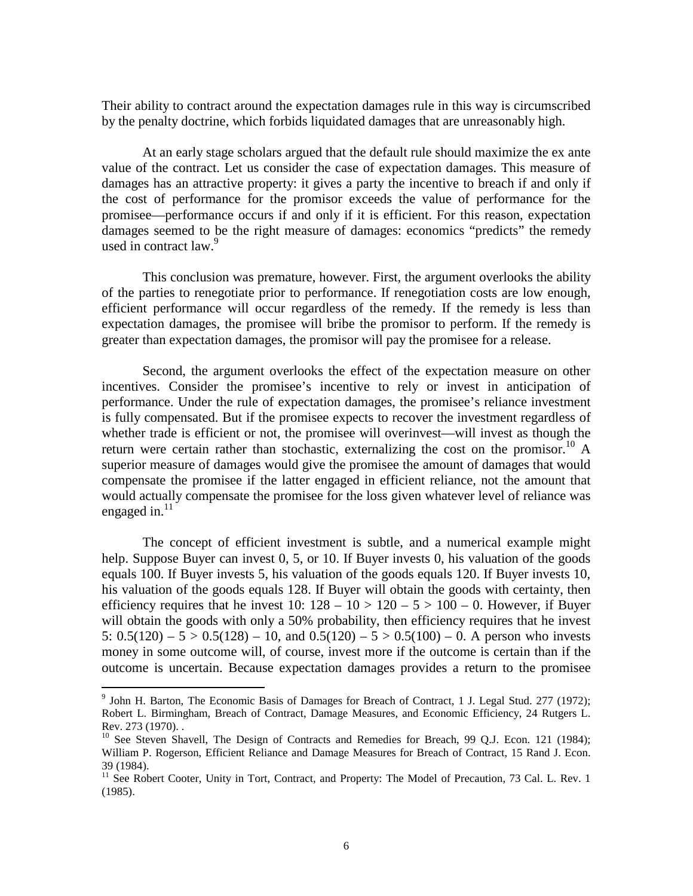Their ability to contract around the expectation damages rule in this way is circumscribed by the penalty doctrine, which forbids liquidated damages that are unreasonably high.

At an early stage scholars argued that the default rule should maximize the ex ante value of the contract. Let us consider the case of expectation damages. This measure of damages has an attractive property: it gives a party the incentive to breach if and only if the cost of performance for the promisor exceeds the value of performance for the promisee—performance occurs if and only if it is efficient. For this reason, expectation damages seemed to be the right measure of damages: economics "predicts" the remedy used in contract law.<sup>9</sup>

This conclusion was premature, however. First, the argument overlooks the ability of the parties to renegotiate prior to performance. If renegotiation costs are low enough, efficient performance will occur regardless of the remedy. If the remedy is less than expectation damages, the promisee will bribe the promisor to perform. If the remedy is greater than expectation damages, the promisor will pay the promisee for a release.

Second, the argument overlooks the effect of the expectation measure on other incentives. Consider the promisee's incentive to rely or invest in anticipation of performance. Under the rule of expectation damages, the promisee's reliance investment is fully compensated. But if the promisee expects to recover the investment regardless of whether trade is efficient or not, the promisee will overinvest—will invest as though the return were certain rather than stochastic, externalizing the cost on the promisor.<sup>10</sup> A superior measure of damages would give the promisee the amount of damages that would compensate the promisee if the latter engaged in efficient reliance, not the amount that would actually compensate the promisee for the loss given whatever level of reliance was engaged in. $11$ 

The concept of efficient investment is subtle, and a numerical example might help. Suppose Buyer can invest 0, 5, or 10. If Buyer invests 0, his valuation of the goods equals 100. If Buyer invests 5, his valuation of the goods equals 120. If Buyer invests 10, his valuation of the goods equals 128. If Buyer will obtain the goods with certainty, then efficiency requires that he invest  $10: 128 - 10 > 120 - 5 > 100 - 0$ . However, if Buyer will obtain the goods with only a 50% probability, then efficiency requires that he invest 5:  $0.5(120) - 5 > 0.5(128) - 10$ , and  $0.5(120) - 5 > 0.5(100) - 0$ . A person who invests money in some outcome will, of course, invest more if the outcome is certain than if the outcome is uncertain. Because expectation damages provides a return to the promisee

<sup>&</sup>lt;sup>9</sup> John H. Barton, The Economic Basis of Damages for Breach of Contract, 1 J. Legal Stud. 277 (1972); Robert L. Birmingham, Breach of Contract, Damage Measures, and Economic Efficiency, 24 Rutgers L. Rev. 273 (1970). .

 $10$  See Steven Shavell, The Design of Contracts and Remedies for Breach, 99 Q.J. Econ. 121 (1984); William P. Rogerson, Efficient Reliance and Damage Measures for Breach of Contract, 15 Rand J. Econ. 39 (1984).

<sup>&</sup>lt;sup>11</sup> See Robert Cooter, Unity in Tort, Contract, and Property: The Model of Precaution, 73 Cal. L. Rev. 1 (1985).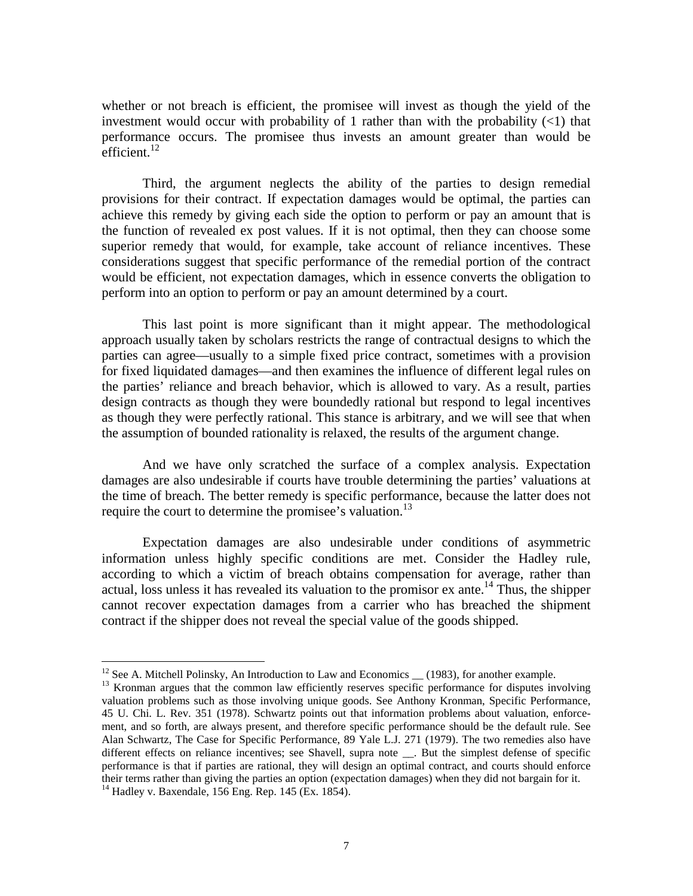whether or not breach is efficient, the promisee will invest as though the yield of the investment would occur with probability of 1 rather than with the probability  $(\leq 1)$  that performance occurs. The promisee thus invests an amount greater than would be  $\text{efficient}$ .<sup>12</sup>

Third, the argument neglects the ability of the parties to design remedial provisions for their contract. If expectation damages would be optimal, the parties can achieve this remedy by giving each side the option to perform or pay an amount that is the function of revealed ex post values. If it is not optimal, then they can choose some superior remedy that would, for example, take account of reliance incentives. These considerations suggest that specific performance of the remedial portion of the contract would be efficient, not expectation damages, which in essence converts the obligation to perform into an option to perform or pay an amount determined by a court.

This last point is more significant than it might appear. The methodological approach usually taken by scholars restricts the range of contractual designs to which the parties can agree—usually to a simple fixed price contract, sometimes with a provision for fixed liquidated damages—and then examines the influence of different legal rules on the parties' reliance and breach behavior, which is allowed to vary. As a result, parties design contracts as though they were boundedly rational but respond to legal incentives as though they were perfectly rational. This stance is arbitrary, and we will see that when the assumption of bounded rationality is relaxed, the results of the argument change.

And we have only scratched the surface of a complex analysis. Expectation damages are also undesirable if courts have trouble determining the parties' valuations at the time of breach. The better remedy is specific performance, because the latter does not require the court to determine the promisee's valuation.<sup>13</sup>

Expectation damages are also undesirable under conditions of asymmetric information unless highly specific conditions are met. Consider the Hadley rule, according to which a victim of breach obtains compensation for average, rather than actual, loss unless it has revealed its valuation to the promisor  $ex$  ante.<sup>14</sup> Thus, the shipper cannot recover expectation damages from a carrier who has breached the shipment contract if the shipper does not reveal the special value of the goods shipped.

1

<sup>&</sup>lt;sup>12</sup> See A. Mitchell Polinsky, An Introduction to Law and Economics  $\_\_$  (1983), for another example.

<sup>&</sup>lt;sup>13</sup> Kronman argues that the common law efficiently reserves specific performance for disputes involving valuation problems such as those involving unique goods. See Anthony Kronman, Specific Performance, 45 U. Chi. L. Rev. 351 (1978). Schwartz points out that information problems about valuation, enforcement, and so forth, are always present, and therefore specific performance should be the default rule. See Alan Schwartz, The Case for Specific Performance, 89 Yale L.J. 271 (1979). The two remedies also have different effects on reliance incentives; see Shavell, supra note \_\_. But the simplest defense of specific performance is that if parties are rational, they will design an optimal contract, and courts should enforce their terms rather than giving the parties an option (expectation damages) when they did not bargain for it. 14 Hadley v. Baxendale, 156 Eng. Rep. 145 (Ex. 1854).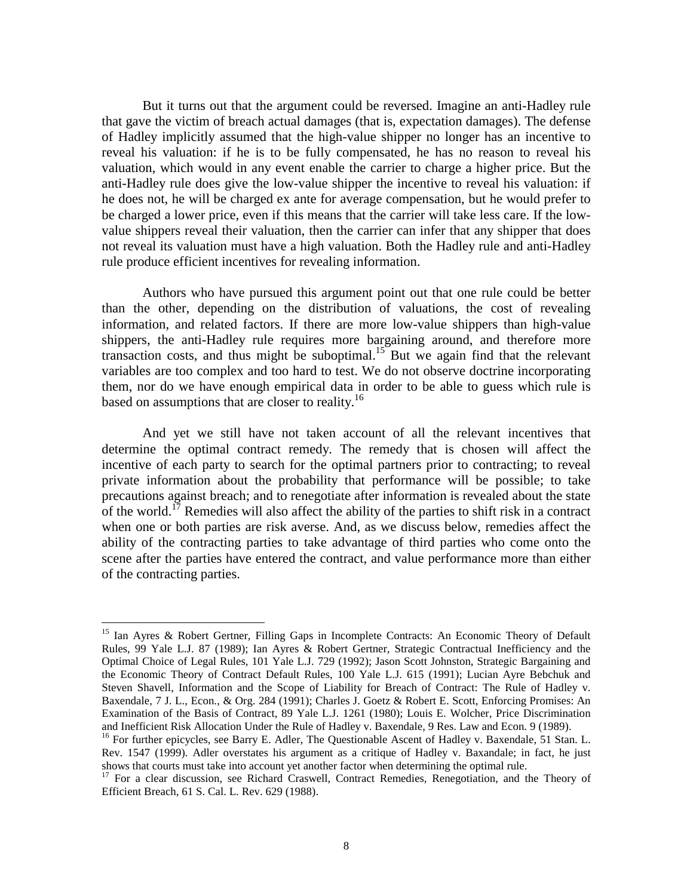But it turns out that the argument could be reversed. Imagine an anti-Hadley rule that gave the victim of breach actual damages (that is, expectation damages). The defense of Hadley implicitly assumed that the high-value shipper no longer has an incentive to reveal his valuation: if he is to be fully compensated, he has no reason to reveal his valuation, which would in any event enable the carrier to charge a higher price. But the anti-Hadley rule does give the low-value shipper the incentive to reveal his valuation: if he does not, he will be charged ex ante for average compensation, but he would prefer to be charged a lower price, even if this means that the carrier will take less care. If the lowvalue shippers reveal their valuation, then the carrier can infer that any shipper that does not reveal its valuation must have a high valuation. Both the Hadley rule and anti-Hadley rule produce efficient incentives for revealing information.

Authors who have pursued this argument point out that one rule could be better than the other, depending on the distribution of valuations, the cost of revealing information, and related factors. If there are more low-value shippers than high-value shippers, the anti-Hadley rule requires more bargaining around, and therefore more transaction costs, and thus might be suboptimal.<sup>15</sup> But we again find that the relevant variables are too complex and too hard to test. We do not observe doctrine incorporating them, nor do we have enough empirical data in order to be able to guess which rule is based on assumptions that are closer to reality.<sup>16</sup>

And yet we still have not taken account of all the relevant incentives that determine the optimal contract remedy. The remedy that is chosen will affect the incentive of each party to search for the optimal partners prior to contracting; to reveal private information about the probability that performance will be possible; to take precautions against breach; and to renegotiate after information is revealed about the state of the world.<sup>17</sup> Remedies will also affect the ability of the parties to shift risk in a contract when one or both parties are risk averse. And, as we discuss below, remedies affect the ability of the contracting parties to take advantage of third parties who come onto the scene after the parties have entered the contract, and value performance more than either of the contracting parties.

<u>.</u>

<sup>&</sup>lt;sup>15</sup> Ian Ayres & Robert Gertner, Filling Gaps in Incomplete Contracts: An Economic Theory of Default Rules, 99 Yale L.J. 87 (1989); Ian Ayres & Robert Gertner, Strategic Contractual Inefficiency and the Optimal Choice of Legal Rules, 101 Yale L.J. 729 (1992); Jason Scott Johnston, Strategic Bargaining and the Economic Theory of Contract Default Rules, 100 Yale L.J. 615 (1991); Lucian Ayre Bebchuk and Steven Shavell, Information and the Scope of Liability for Breach of Contract: The Rule of Hadley v. Baxendale, 7 J. L., Econ., & Org. 284 (1991); Charles J. Goetz & Robert E. Scott, Enforcing Promises: An Examination of the Basis of Contract, 89 Yale L.J. 1261 (1980); Louis E. Wolcher, Price Discrimination and Inefficient Risk Allocation Under the Rule of Hadley v. Baxendale, 9 Res. Law and Econ. 9 (1989).

<sup>&</sup>lt;sup>16</sup> For further epicycles, see Barry E. Adler, The Questionable Ascent of Hadley v. Baxendale, 51 Stan. L. Rev. 1547 (1999). Adler overstates his argument as a critique of Hadley v. Baxandale; in fact, he just shows that courts must take into account yet another factor when determining the optimal rule.

<sup>&</sup>lt;sup>17</sup> For a clear discussion, see Richard Craswell, Contract Remedies, Renegotiation, and the Theory of Efficient Breach, 61 S. Cal. L. Rev. 629 (1988).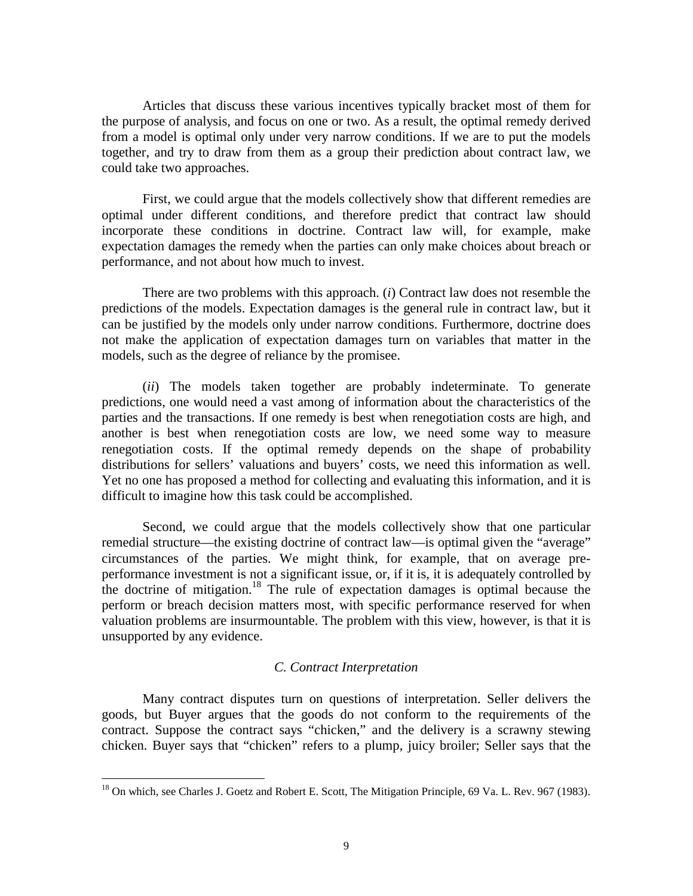Articles that discuss these various incentives typically bracket most of them for the purpose of analysis, and focus on one or two. As a result, the optimal remedy derived from a model is optimal only under very narrow conditions. If we are to put the models together, and try to draw from them as a group their prediction about contract law, we could take two approaches.

First, we could argue that the models collectively show that different remedies are optimal under different conditions, and therefore predict that contract law should incorporate these conditions in doctrine. Contract law will, for example, make expectation damages the remedy when the parties can only make choices about breach or performance, and not about how much to invest.

There are two problems with this approach. (*i*) Contract law does not resemble the predictions of the models. Expectation damages is the general rule in contract law, but it can be justified by the models only under narrow conditions. Furthermore, doctrine does not make the application of expectation damages turn on variables that matter in the models, such as the degree of reliance by the promisee.

(*ii*) The models taken together are probably indeterminate. To generate predictions, one would need a vast among of information about the characteristics of the parties and the transactions. If one remedy is best when renegotiation costs are high, and another is best when renegotiation costs are low, we need some way to measure renegotiation costs. If the optimal remedy depends on the shape of probability distributions for sellers' valuations and buyers' costs, we need this information as well. Yet no one has proposed a method for collecting and evaluating this information, and it is difficult to imagine how this task could be accomplished.

Second, we could argue that the models collectively show that one particular remedial structure—the existing doctrine of contract law—is optimal given the "average" circumstances of the parties. We might think, for example, that on average preperformance investment is not a significant issue, or, if it is, it is adequately controlled by the doctrine of mitigation.18 The rule of expectation damages is optimal because the perform or breach decision matters most, with specific performance reserved for when valuation problems are insurmountable. The problem with this view, however, is that it is unsupported by any evidence.

#### *C. Contract Interpretation*

 Many contract disputes turn on questions of interpretation. Seller delivers the goods, but Buyer argues that the goods do not conform to the requirements of the contract. Suppose the contract says "chicken," and the delivery is a scrawny stewing chicken. Buyer says that "chicken" refers to a plump, juicy broiler; Seller says that the

<sup>&</sup>lt;sup>18</sup> On which, see Charles J. Goetz and Robert E. Scott, The Mitigation Principle, 69 Va. L. Rev. 967 (1983).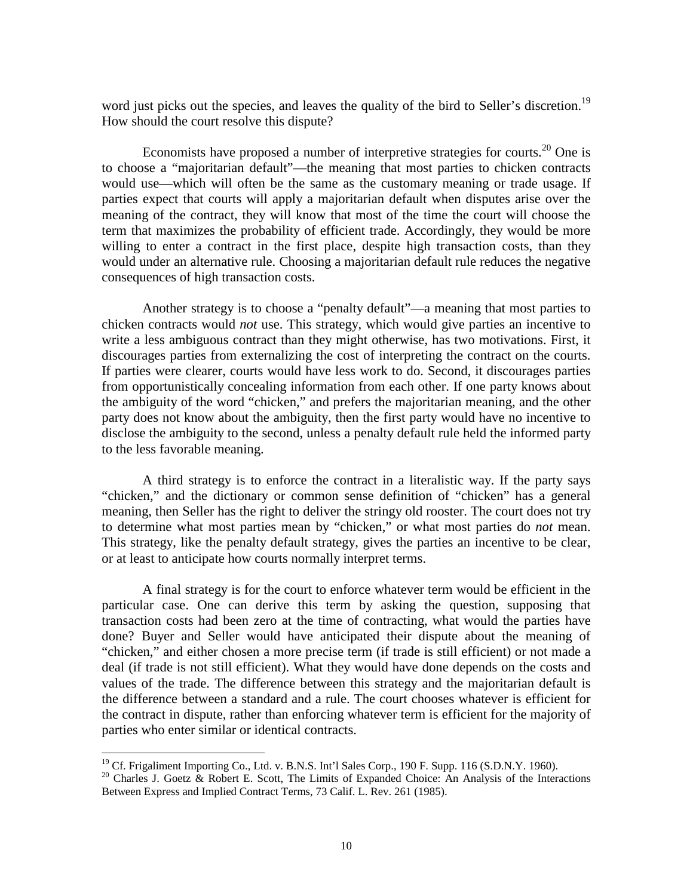word just picks out the species, and leaves the quality of the bird to Seller's discretion.<sup>19</sup> How should the court resolve this dispute?

Economists have proposed a number of interpretive strategies for courts.<sup>20</sup> One is to choose a "majoritarian default"—the meaning that most parties to chicken contracts would use—which will often be the same as the customary meaning or trade usage. If parties expect that courts will apply a majoritarian default when disputes arise over the meaning of the contract, they will know that most of the time the court will choose the term that maximizes the probability of efficient trade. Accordingly, they would be more willing to enter a contract in the first place, despite high transaction costs, than they would under an alternative rule. Choosing a majoritarian default rule reduces the negative consequences of high transaction costs.

 Another strategy is to choose a "penalty default"—a meaning that most parties to chicken contracts would *not* use. This strategy, which would give parties an incentive to write a less ambiguous contract than they might otherwise, has two motivations. First, it discourages parties from externalizing the cost of interpreting the contract on the courts. If parties were clearer, courts would have less work to do. Second, it discourages parties from opportunistically concealing information from each other. If one party knows about the ambiguity of the word "chicken," and prefers the majoritarian meaning, and the other party does not know about the ambiguity, then the first party would have no incentive to disclose the ambiguity to the second, unless a penalty default rule held the informed party to the less favorable meaning.

 A third strategy is to enforce the contract in a literalistic way. If the party says "chicken," and the dictionary or common sense definition of "chicken" has a general meaning, then Seller has the right to deliver the stringy old rooster. The court does not try to determine what most parties mean by "chicken," or what most parties do *not* mean. This strategy, like the penalty default strategy, gives the parties an incentive to be clear, or at least to anticipate how courts normally interpret terms.

 A final strategy is for the court to enforce whatever term would be efficient in the particular case. One can derive this term by asking the question, supposing that transaction costs had been zero at the time of contracting, what would the parties have done? Buyer and Seller would have anticipated their dispute about the meaning of "chicken," and either chosen a more precise term (if trade is still efficient) or not made a deal (if trade is not still efficient). What they would have done depends on the costs and values of the trade. The difference between this strategy and the majoritarian default is the difference between a standard and a rule. The court chooses whatever is efficient for the contract in dispute, rather than enforcing whatever term is efficient for the majority of parties who enter similar or identical contracts.

<u>.</u>

<sup>&</sup>lt;sup>19</sup> Cf. Frigaliment Importing Co., Ltd. v. B.N.S. Int'l Sales Corp., 190 F. Supp. 116 (S.D.N.Y. 1960).

<sup>&</sup>lt;sup>20</sup> Charles J. Goetz & Robert E. Scott, The Limits of Expanded Choice: An Analysis of the Interactions Between Express and Implied Contract Terms, 73 Calif. L. Rev. 261 (1985).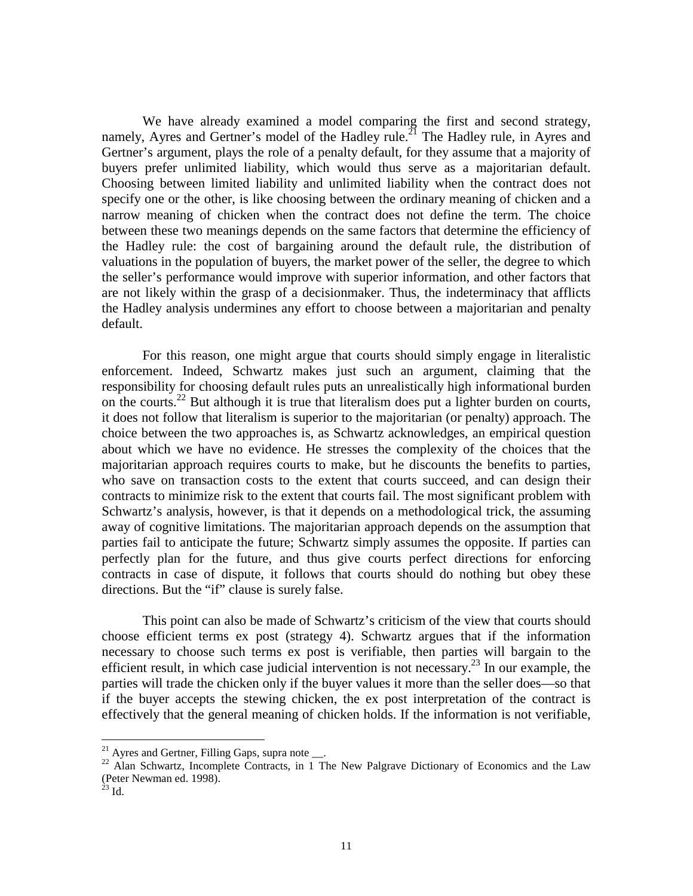We have already examined a model comparing the first and second strategy, namely, Ayres and Gertner's model of the Hadley rule.<sup>21</sup> The Hadley rule, in Ayres and Gertner's argument, plays the role of a penalty default, for they assume that a majority of buyers prefer unlimited liability, which would thus serve as a majoritarian default. Choosing between limited liability and unlimited liability when the contract does not specify one or the other, is like choosing between the ordinary meaning of chicken and a narrow meaning of chicken when the contract does not define the term. The choice between these two meanings depends on the same factors that determine the efficiency of the Hadley rule: the cost of bargaining around the default rule, the distribution of valuations in the population of buyers, the market power of the seller, the degree to which the seller's performance would improve with superior information, and other factors that are not likely within the grasp of a decisionmaker. Thus, the indeterminacy that afflicts the Hadley analysis undermines any effort to choose between a majoritarian and penalty default.

 For this reason, one might argue that courts should simply engage in literalistic enforcement. Indeed, Schwartz makes just such an argument, claiming that the responsibility for choosing default rules puts an unrealistically high informational burden on the courts.<sup>22</sup> But although it is true that literalism does put a lighter burden on courts, it does not follow that literalism is superior to the majoritarian (or penalty) approach. The choice between the two approaches is, as Schwartz acknowledges, an empirical question about which we have no evidence. He stresses the complexity of the choices that the majoritarian approach requires courts to make, but he discounts the benefits to parties, who save on transaction costs to the extent that courts succeed, and can design their contracts to minimize risk to the extent that courts fail. The most significant problem with Schwartz's analysis, however, is that it depends on a methodological trick, the assuming away of cognitive limitations. The majoritarian approach depends on the assumption that parties fail to anticipate the future; Schwartz simply assumes the opposite. If parties can perfectly plan for the future, and thus give courts perfect directions for enforcing contracts in case of dispute, it follows that courts should do nothing but obey these directions. But the "if" clause is surely false.

 This point can also be made of Schwartz's criticism of the view that courts should choose efficient terms ex post (strategy 4). Schwartz argues that if the information necessary to choose such terms ex post is verifiable, then parties will bargain to the efficient result, in which case judicial intervention is not necessary.<sup>23</sup> In our example, the parties will trade the chicken only if the buyer values it more than the seller does—so that if the buyer accepts the stewing chicken, the ex post interpretation of the contract is effectively that the general meaning of chicken holds. If the information is not verifiable,

 $21$  Ayres and Gertner, Filling Gaps, supra note  $\_\_$ .

<sup>&</sup>lt;sup>22</sup> Alan Schwartz, Incomplete Contracts, in 1 The New Palgrave Dictionary of Economics and the Law (Peter Newman ed. 1998).

 $^{23}$  Id.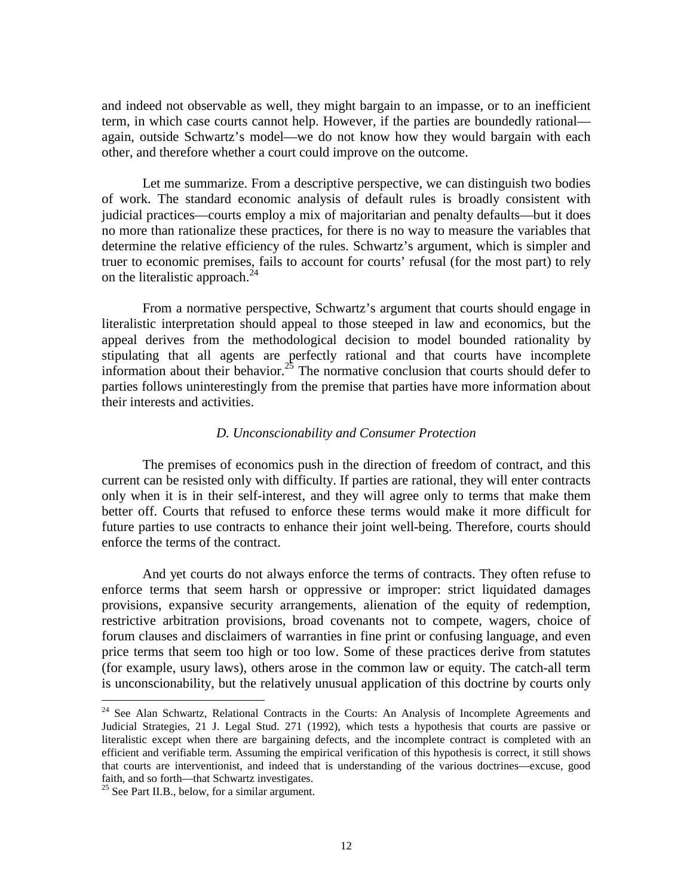and indeed not observable as well, they might bargain to an impasse, or to an inefficient term, in which case courts cannot help. However, if the parties are boundedly rational again, outside Schwartz's model—we do not know how they would bargain with each other, and therefore whether a court could improve on the outcome.

 Let me summarize. From a descriptive perspective, we can distinguish two bodies of work. The standard economic analysis of default rules is broadly consistent with judicial practices—courts employ a mix of majoritarian and penalty defaults—but it does no more than rationalize these practices, for there is no way to measure the variables that determine the relative efficiency of the rules. Schwartz's argument, which is simpler and truer to economic premises, fails to account for courts' refusal (for the most part) to rely on the literalistic approach. $^{24}$ 

From a normative perspective, Schwartz's argument that courts should engage in literalistic interpretation should appeal to those steeped in law and economics, but the appeal derives from the methodological decision to model bounded rationality by stipulating that all agents are perfectly rational and that courts have incomplete information about their behavior.<sup>25</sup> The normative conclusion that courts should defer to parties follows uninterestingly from the premise that parties have more information about their interests and activities.

#### *D. Unconscionability and Consumer Protection*

 The premises of economics push in the direction of freedom of contract, and this current can be resisted only with difficulty. If parties are rational, they will enter contracts only when it is in their self-interest, and they will agree only to terms that make them better off. Courts that refused to enforce these terms would make it more difficult for future parties to use contracts to enhance their joint well-being. Therefore, courts should enforce the terms of the contract.

 And yet courts do not always enforce the terms of contracts. They often refuse to enforce terms that seem harsh or oppressive or improper: strict liquidated damages provisions, expansive security arrangements, alienation of the equity of redemption, restrictive arbitration provisions, broad covenants not to compete, wagers, choice of forum clauses and disclaimers of warranties in fine print or confusing language, and even price terms that seem too high or too low. Some of these practices derive from statutes (for example, usury laws), others arose in the common law or equity. The catch-all term is unconscionability, but the relatively unusual application of this doctrine by courts only

<sup>&</sup>lt;sup>24</sup> See Alan Schwartz, Relational Contracts in the Courts: An Analysis of Incomplete Agreements and Judicial Strategies, 21 J. Legal Stud. 271 (1992), which tests a hypothesis that courts are passive or literalistic except when there are bargaining defects, and the incomplete contract is completed with an efficient and verifiable term. Assuming the empirical verification of this hypothesis is correct, it still shows that courts are interventionist, and indeed that is understanding of the various doctrines—excuse, good faith, and so forth—that Schwartz investigates.

 $25$  See Part II.B., below, for a similar argument.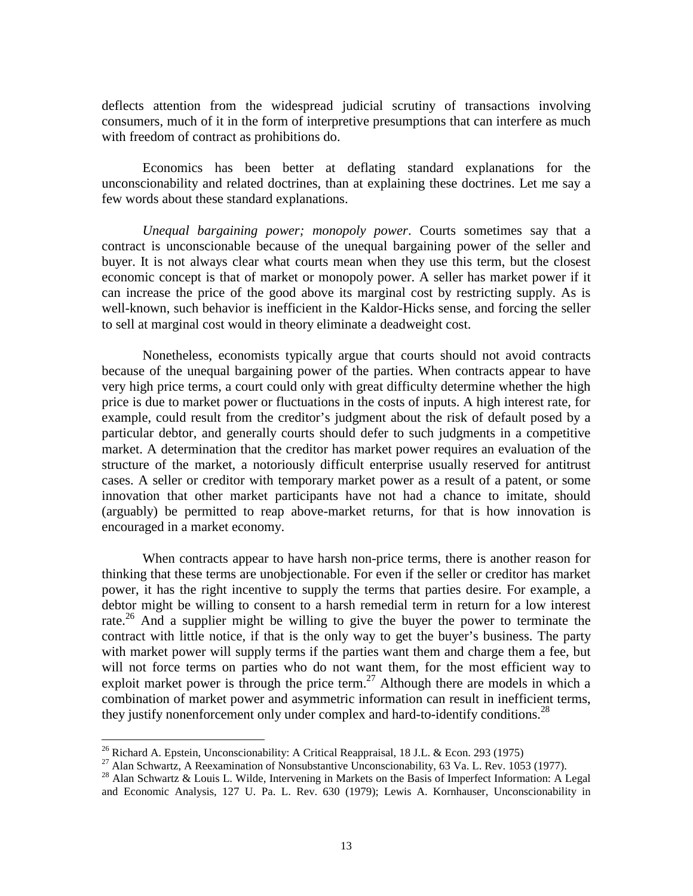deflects attention from the widespread judicial scrutiny of transactions involving consumers, much of it in the form of interpretive presumptions that can interfere as much with freedom of contract as prohibitions do.

 Economics has been better at deflating standard explanations for the unconscionability and related doctrines, than at explaining these doctrines. Let me say a few words about these standard explanations.

*Unequal bargaining power; monopoly power*. Courts sometimes say that a contract is unconscionable because of the unequal bargaining power of the seller and buyer. It is not always clear what courts mean when they use this term, but the closest economic concept is that of market or monopoly power. A seller has market power if it can increase the price of the good above its marginal cost by restricting supply. As is well-known, such behavior is inefficient in the Kaldor-Hicks sense, and forcing the seller to sell at marginal cost would in theory eliminate a deadweight cost.

 Nonetheless, economists typically argue that courts should not avoid contracts because of the unequal bargaining power of the parties. When contracts appear to have very high price terms, a court could only with great difficulty determine whether the high price is due to market power or fluctuations in the costs of inputs. A high interest rate, for example, could result from the creditor's judgment about the risk of default posed by a particular debtor, and generally courts should defer to such judgments in a competitive market. A determination that the creditor has market power requires an evaluation of the structure of the market, a notoriously difficult enterprise usually reserved for antitrust cases. A seller or creditor with temporary market power as a result of a patent, or some innovation that other market participants have not had a chance to imitate, should (arguably) be permitted to reap above-market returns, for that is how innovation is encouraged in a market economy.

 When contracts appear to have harsh non-price terms, there is another reason for thinking that these terms are unobjectionable. For even if the seller or creditor has market power, it has the right incentive to supply the terms that parties desire. For example, a debtor might be willing to consent to a harsh remedial term in return for a low interest rate.<sup>26</sup> And a supplier might be willing to give the buyer the power to terminate the contract with little notice, if that is the only way to get the buyer's business. The party with market power will supply terms if the parties want them and charge them a fee, but will not force terms on parties who do not want them, for the most efficient way to exploit market power is through the price term.<sup>27</sup> Although there are models in which a combination of market power and asymmetric information can result in inefficient terms, they justify nonenforcement only under complex and hard-to-identify conditions.<sup>28</sup>

<sup>&</sup>lt;sup>26</sup> Richard A. Epstein, Unconscionability: A Critical Reappraisal, 18 J.L. & Econ. 293 (1975)

<sup>&</sup>lt;sup>27</sup> Alan Schwartz, A Reexamination of Nonsubstantive Unconscionability, 63 Va. L. Rev. 1053 (1977).

<sup>&</sup>lt;sup>28</sup> Alan Schwartz & Louis L. Wilde, Intervening in Markets on the Basis of Imperfect Information: A Legal and Economic Analysis, 127 U. Pa. L. Rev. 630 (1979); Lewis A. Kornhauser, Unconscionability in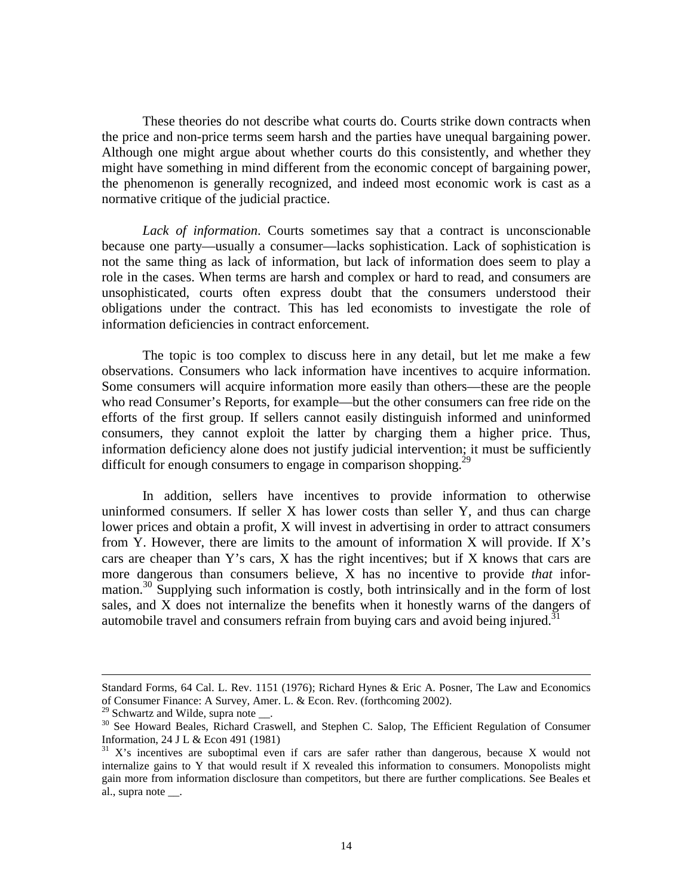These theories do not describe what courts do. Courts strike down contracts when the price and non-price terms seem harsh and the parties have unequal bargaining power. Although one might argue about whether courts do this consistently, and whether they might have something in mind different from the economic concept of bargaining power, the phenomenon is generally recognized, and indeed most economic work is cast as a normative critique of the judicial practice.

*Lack of information*. Courts sometimes say that a contract is unconscionable because one party—usually a consumer—lacks sophistication. Lack of sophistication is not the same thing as lack of information, but lack of information does seem to play a role in the cases. When terms are harsh and complex or hard to read, and consumers are unsophisticated, courts often express doubt that the consumers understood their obligations under the contract. This has led economists to investigate the role of information deficiencies in contract enforcement.

 The topic is too complex to discuss here in any detail, but let me make a few observations. Consumers who lack information have incentives to acquire information. Some consumers will acquire information more easily than others—these are the people who read Consumer's Reports, for example—but the other consumers can free ride on the efforts of the first group. If sellers cannot easily distinguish informed and uninformed consumers, they cannot exploit the latter by charging them a higher price. Thus, information deficiency alone does not justify judicial intervention; it must be sufficiently difficult for enough consumers to engage in comparison shopping.<sup>29</sup>

 In addition, sellers have incentives to provide information to otherwise uninformed consumers. If seller  $X$  has lower costs than seller  $Y$ , and thus can charge lower prices and obtain a profit, X will invest in advertising in order to attract consumers from Y. However, there are limits to the amount of information X will provide. If  $X$ 's cars are cheaper than Y's cars, X has the right incentives; but if X knows that cars are more dangerous than consumers believe, X has no incentive to provide *that* information.<sup>30</sup> Supplying such information is costly, both intrinsically and in the form of lost sales, and X does not internalize the benefits when it honestly warns of the dangers of automobile travel and consumers refrain from buying cars and avoid being injured.<sup>31</sup>

<u>.</u>

Standard Forms, 64 Cal. L. Rev. 1151 (1976); Richard Hynes & Eric A. Posner, The Law and Economics of Consumer Finance: A Survey, Amer. L. & Econ. Rev. (forthcoming 2002).

<sup>&</sup>lt;sup>29</sup> Schwartz and Wilde, supra note  $\_\_$ .

<sup>&</sup>lt;sup>30</sup> See Howard Beales, Richard Craswell, and Stephen C. Salop, The Efficient Regulation of Consumer Information, 24 J L & Econ 491 (1981)

 $31$  X's incentives are suboptimal even if cars are safer rather than dangerous, because X would not internalize gains to Y that would result if X revealed this information to consumers. Monopolists might gain more from information disclosure than competitors, but there are further complications. See Beales et al., supra note.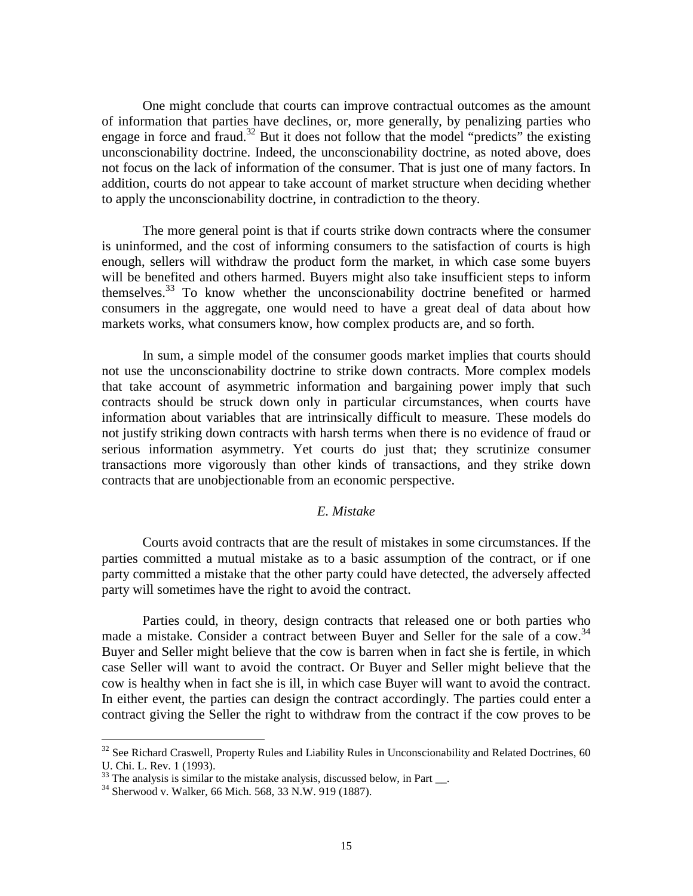One might conclude that courts can improve contractual outcomes as the amount of information that parties have declines, or, more generally, by penalizing parties who engage in force and fraud.<sup>32</sup> But it does not follow that the model "predicts" the existing unconscionability doctrine. Indeed, the unconscionability doctrine, as noted above, does not focus on the lack of information of the consumer. That is just one of many factors. In addition, courts do not appear to take account of market structure when deciding whether to apply the unconscionability doctrine, in contradiction to the theory.

 The more general point is that if courts strike down contracts where the consumer is uninformed, and the cost of informing consumers to the satisfaction of courts is high enough, sellers will withdraw the product form the market, in which case some buyers will be benefited and others harmed. Buyers might also take insufficient steps to inform themselves.33 To know whether the unconscionability doctrine benefited or harmed consumers in the aggregate, one would need to have a great deal of data about how markets works, what consumers know, how complex products are, and so forth.

 In sum, a simple model of the consumer goods market implies that courts should not use the unconscionability doctrine to strike down contracts. More complex models that take account of asymmetric information and bargaining power imply that such contracts should be struck down only in particular circumstances, when courts have information about variables that are intrinsically difficult to measure. These models do not justify striking down contracts with harsh terms when there is no evidence of fraud or serious information asymmetry. Yet courts do just that; they scrutinize consumer transactions more vigorously than other kinds of transactions, and they strike down contracts that are unobjectionable from an economic perspective.

#### *E. Mistake*

 Courts avoid contracts that are the result of mistakes in some circumstances. If the parties committed a mutual mistake as to a basic assumption of the contract, or if one party committed a mistake that the other party could have detected, the adversely affected party will sometimes have the right to avoid the contract.

 Parties could, in theory, design contracts that released one or both parties who made a mistake. Consider a contract between Buyer and Seller for the sale of a cow.<sup>34</sup> Buyer and Seller might believe that the cow is barren when in fact she is fertile, in which case Seller will want to avoid the contract. Or Buyer and Seller might believe that the cow is healthy when in fact she is ill, in which case Buyer will want to avoid the contract. In either event, the parties can design the contract accordingly. The parties could enter a contract giving the Seller the right to withdraw from the contract if the cow proves to be

1

 $32$  See Richard Craswell, Property Rules and Liability Rules in Unconscionability and Related Doctrines, 60 U. Chi. L. Rev. 1 (1993).

 $33$  The analysis is similar to the mistake analysis, discussed below, in Part  $\ldots$ 

<sup>34</sup> Sherwood v. Walker, 66 Mich. 568, 33 N.W. 919 (1887).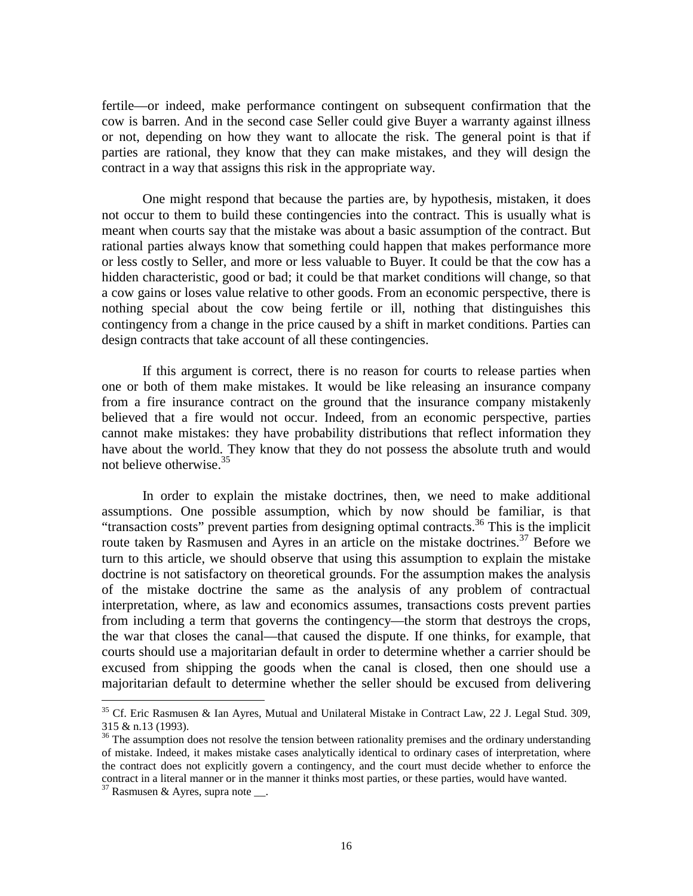fertile—or indeed, make performance contingent on subsequent confirmation that the cow is barren. And in the second case Seller could give Buyer a warranty against illness or not, depending on how they want to allocate the risk. The general point is that if parties are rational, they know that they can make mistakes, and they will design the contract in a way that assigns this risk in the appropriate way.

 One might respond that because the parties are, by hypothesis, mistaken, it does not occur to them to build these contingencies into the contract. This is usually what is meant when courts say that the mistake was about a basic assumption of the contract. But rational parties always know that something could happen that makes performance more or less costly to Seller, and more or less valuable to Buyer. It could be that the cow has a hidden characteristic, good or bad; it could be that market conditions will change, so that a cow gains or loses value relative to other goods. From an economic perspective, there is nothing special about the cow being fertile or ill, nothing that distinguishes this contingency from a change in the price caused by a shift in market conditions. Parties can design contracts that take account of all these contingencies.

 If this argument is correct, there is no reason for courts to release parties when one or both of them make mistakes. It would be like releasing an insurance company from a fire insurance contract on the ground that the insurance company mistakenly believed that a fire would not occur. Indeed, from an economic perspective, parties cannot make mistakes: they have probability distributions that reflect information they have about the world. They know that they do not possess the absolute truth and would not believe otherwise.<sup>35</sup>

 In order to explain the mistake doctrines, then, we need to make additional assumptions. One possible assumption, which by now should be familiar, is that "transaction costs" prevent parties from designing optimal contracts.36 This is the implicit route taken by Rasmusen and Ayres in an article on the mistake doctrines.<sup>37</sup> Before we turn to this article, we should observe that using this assumption to explain the mistake doctrine is not satisfactory on theoretical grounds. For the assumption makes the analysis of the mistake doctrine the same as the analysis of any problem of contractual interpretation, where, as law and economics assumes, transactions costs prevent parties from including a term that governs the contingency—the storm that destroys the crops, the war that closes the canal—that caused the dispute. If one thinks, for example, that courts should use a majoritarian default in order to determine whether a carrier should be excused from shipping the goods when the canal is closed, then one should use a majoritarian default to determine whether the seller should be excused from delivering

<sup>&</sup>lt;sup>35</sup> Cf. Eric Rasmusen & Ian Ayres, Mutual and Unilateral Mistake in Contract Law, 22 J. Legal Stud. 309, 315 & n.13 (1993).

<sup>&</sup>lt;sup>36</sup> The assumption does not resolve the tension between rationality premises and the ordinary understanding of mistake. Indeed, it makes mistake cases analytically identical to ordinary cases of interpretation, where the contract does not explicitly govern a contingency, and the court must decide whether to enforce the contract in a literal manner or in the manner it thinks most parties, or these parties, would have wanted.

 $37$  Rasmusen & Ayres, supra note \_\_\_.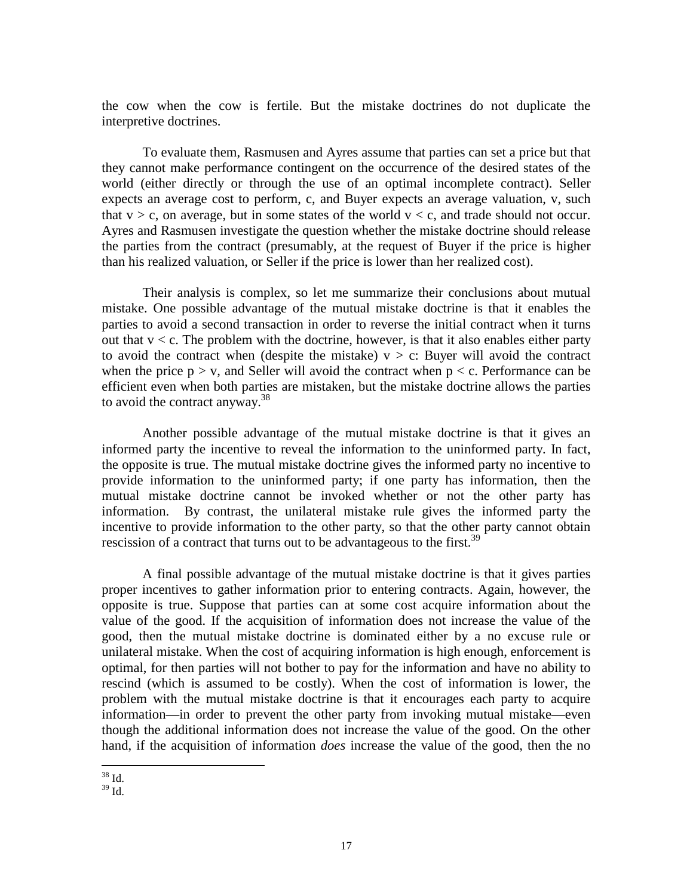the cow when the cow is fertile. But the mistake doctrines do not duplicate the interpretive doctrines.

To evaluate them, Rasmusen and Ayres assume that parties can set a price but that they cannot make performance contingent on the occurrence of the desired states of the world (either directly or through the use of an optimal incomplete contract). Seller expects an average cost to perform, c, and Buyer expects an average valuation, v, such that  $v > c$ , on average, but in some states of the world  $v < c$ , and trade should not occur. Ayres and Rasmusen investigate the question whether the mistake doctrine should release the parties from the contract (presumably, at the request of Buyer if the price is higher than his realized valuation, or Seller if the price is lower than her realized cost).

 Their analysis is complex, so let me summarize their conclusions about mutual mistake. One possible advantage of the mutual mistake doctrine is that it enables the parties to avoid a second transaction in order to reverse the initial contract when it turns out that  $v < c$ . The problem with the doctrine, however, is that it also enables either party to avoid the contract when (despite the mistake)  $v > c$ : Buyer will avoid the contract when the price  $p > v$ , and Seller will avoid the contract when  $p < c$ . Performance can be efficient even when both parties are mistaken, but the mistake doctrine allows the parties to avoid the contract anyway.<sup>38</sup>

 Another possible advantage of the mutual mistake doctrine is that it gives an informed party the incentive to reveal the information to the uninformed party. In fact, the opposite is true. The mutual mistake doctrine gives the informed party no incentive to provide information to the uninformed party; if one party has information, then the mutual mistake doctrine cannot be invoked whether or not the other party has information. By contrast, the unilateral mistake rule gives the informed party the incentive to provide information to the other party, so that the other party cannot obtain rescission of a contract that turns out to be advantageous to the first.<sup>39</sup>

 A final possible advantage of the mutual mistake doctrine is that it gives parties proper incentives to gather information prior to entering contracts. Again, however, the opposite is true. Suppose that parties can at some cost acquire information about the value of the good. If the acquisition of information does not increase the value of the good, then the mutual mistake doctrine is dominated either by a no excuse rule or unilateral mistake. When the cost of acquiring information is high enough, enforcement is optimal, for then parties will not bother to pay for the information and have no ability to rescind (which is assumed to be costly). When the cost of information is lower, the problem with the mutual mistake doctrine is that it encourages each party to acquire information—in order to prevent the other party from invoking mutual mistake—even though the additional information does not increase the value of the good. On the other hand, if the acquisition of information *does* increase the value of the good, then the no

 $\overline{a}$  $38$  Id.

 $39$  Id.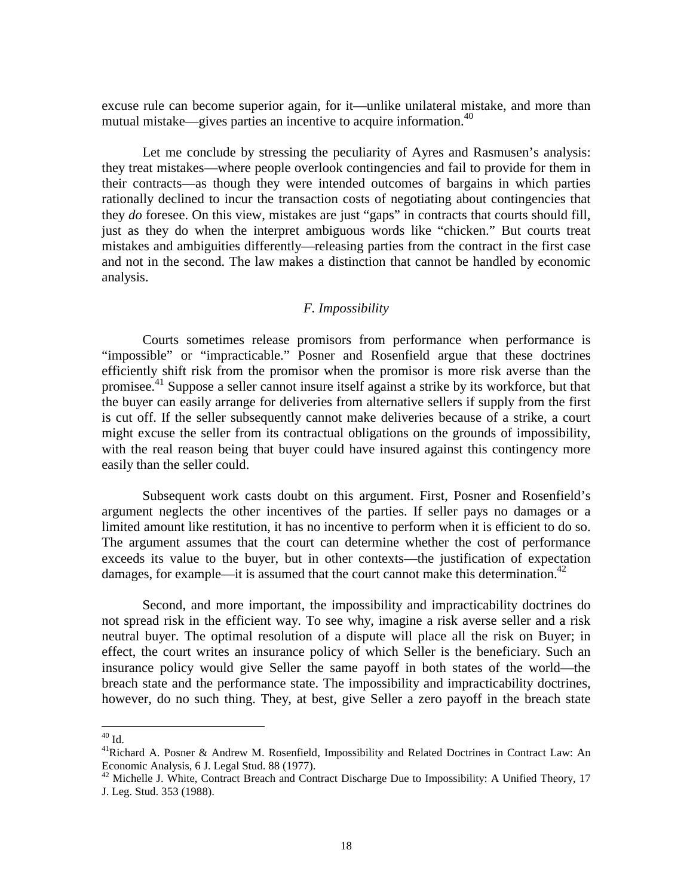excuse rule can become superior again, for it—unlike unilateral mistake, and more than mutual mistake—gives parties an incentive to acquire information.<sup>40</sup>

 Let me conclude by stressing the peculiarity of Ayres and Rasmusen's analysis: they treat mistakes—where people overlook contingencies and fail to provide for them in their contracts—as though they were intended outcomes of bargains in which parties rationally declined to incur the transaction costs of negotiating about contingencies that they *do* foresee. On this view, mistakes are just "gaps" in contracts that courts should fill, just as they do when the interpret ambiguous words like "chicken." But courts treat mistakes and ambiguities differently—releasing parties from the contract in the first case and not in the second. The law makes a distinction that cannot be handled by economic analysis.

#### *F. Impossibility*

 Courts sometimes release promisors from performance when performance is "impossible" or "impracticable." Posner and Rosenfield argue that these doctrines efficiently shift risk from the promisor when the promisor is more risk averse than the promisee.41 Suppose a seller cannot insure itself against a strike by its workforce, but that the buyer can easily arrange for deliveries from alternative sellers if supply from the first is cut off. If the seller subsequently cannot make deliveries because of a strike, a court might excuse the seller from its contractual obligations on the grounds of impossibility, with the real reason being that buyer could have insured against this contingency more easily than the seller could.

 Subsequent work casts doubt on this argument. First, Posner and Rosenfield's argument neglects the other incentives of the parties. If seller pays no damages or a limited amount like restitution, it has no incentive to perform when it is efficient to do so. The argument assumes that the court can determine whether the cost of performance exceeds its value to the buyer, but in other contexts—the justification of expectation damages, for example—it is assumed that the court cannot make this determination.<sup>42</sup>

 Second, and more important, the impossibility and impracticability doctrines do not spread risk in the efficient way. To see why, imagine a risk averse seller and a risk neutral buyer. The optimal resolution of a dispute will place all the risk on Buyer; in effect, the court writes an insurance policy of which Seller is the beneficiary. Such an insurance policy would give Seller the same payoff in both states of the world—the breach state and the performance state. The impossibility and impracticability doctrines, however, do no such thing. They, at best, give Seller a zero payoff in the breach state

 $^{40}$  Id.

<sup>&</sup>lt;sup>41</sup>Richard A. Posner & Andrew M. Rosenfield, Impossibility and Related Doctrines in Contract Law: An Economic Analysis, 6 J. Legal Stud. 88 (1977).

<sup>&</sup>lt;sup>42</sup> Michelle J. White, Contract Breach and Contract Discharge Due to Impossibility: A Unified Theory, 17 J. Leg. Stud. 353 (1988).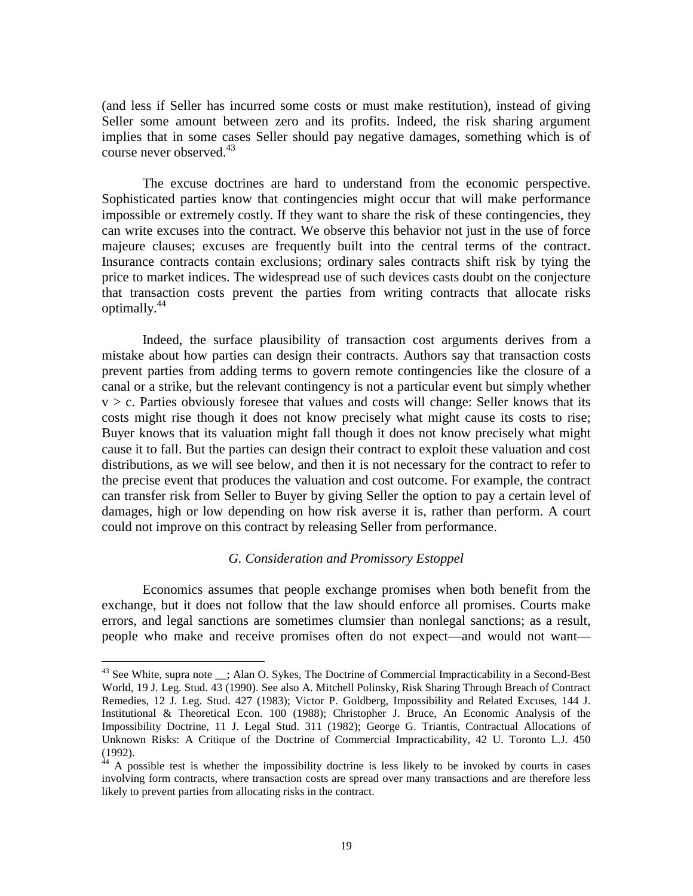(and less if Seller has incurred some costs or must make restitution), instead of giving Seller some amount between zero and its profits. Indeed, the risk sharing argument implies that in some cases Seller should pay negative damages, something which is of course never observed.<sup>43</sup>

 The excuse doctrines are hard to understand from the economic perspective. Sophisticated parties know that contingencies might occur that will make performance impossible or extremely costly. If they want to share the risk of these contingencies, they can write excuses into the contract. We observe this behavior not just in the use of force majeure clauses; excuses are frequently built into the central terms of the contract. Insurance contracts contain exclusions; ordinary sales contracts shift risk by tying the price to market indices. The widespread use of such devices casts doubt on the conjecture that transaction costs prevent the parties from writing contracts that allocate risks optimally.<sup>44</sup>

 Indeed, the surface plausibility of transaction cost arguments derives from a mistake about how parties can design their contracts. Authors say that transaction costs prevent parties from adding terms to govern remote contingencies like the closure of a canal or a strike, but the relevant contingency is not a particular event but simply whether  $v > c$ . Parties obviously foresee that values and costs will change: Seller knows that its costs might rise though it does not know precisely what might cause its costs to rise; Buyer knows that its valuation might fall though it does not know precisely what might cause it to fall. But the parties can design their contract to exploit these valuation and cost distributions, as we will see below, and then it is not necessary for the contract to refer to the precise event that produces the valuation and cost outcome. For example, the contract can transfer risk from Seller to Buyer by giving Seller the option to pay a certain level of damages, high or low depending on how risk averse it is, rather than perform. A court could not improve on this contract by releasing Seller from performance.

#### *G. Consideration and Promissory Estoppel*

 Economics assumes that people exchange promises when both benefit from the exchange, but it does not follow that the law should enforce all promises. Courts make errors, and legal sanctions are sometimes clumsier than nonlegal sanctions; as a result, people who make and receive promises often do not expect—and would not want—

 $43$  See White, supra note  $\overline{\phantom{a}}$ ; Alan O. Sykes, The Doctrine of Commercial Impracticability in a Second-Best World, 19 J. Leg. Stud. 43 (1990). See also A. Mitchell Polinsky, Risk Sharing Through Breach of Contract Remedies, 12 J. Leg. Stud. 427 (1983); Victor P. Goldberg, Impossibility and Related Excuses, 144 J. Institutional & Theoretical Econ. 100 (1988); Christopher J. Bruce, An Economic Analysis of the Impossibility Doctrine, 11 J. Legal Stud. 311 (1982); George G. Triantis, Contractual Allocations of Unknown Risks: A Critique of the Doctrine of Commercial Impracticability, 42 U. Toronto L.J. 450  $(1992)$ .

 $4<sup>4</sup>$  A possible test is whether the impossibility doctrine is less likely to be invoked by courts in cases involving form contracts, where transaction costs are spread over many transactions and are therefore less likely to prevent parties from allocating risks in the contract.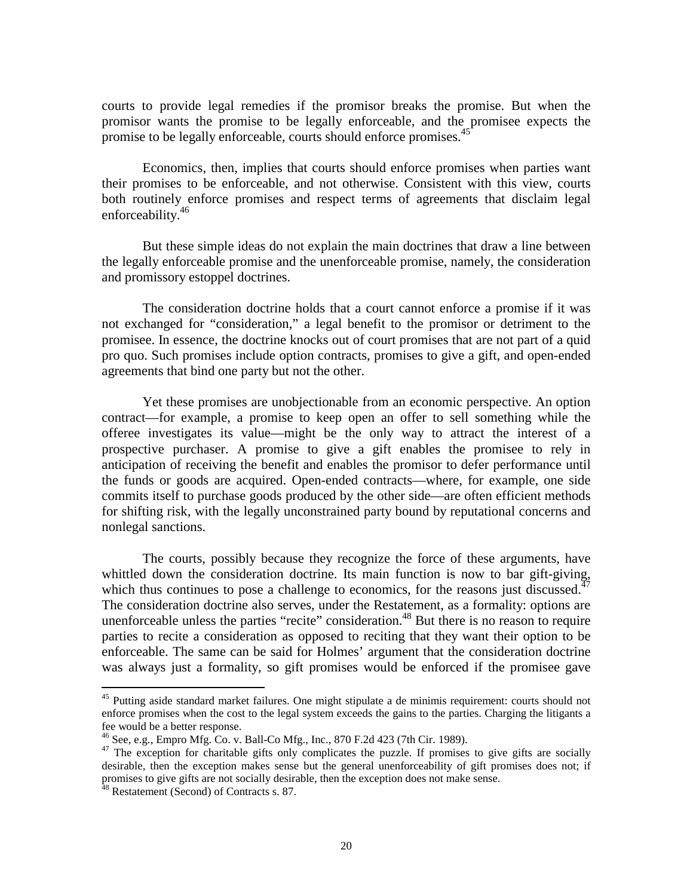courts to provide legal remedies if the promisor breaks the promise. But when the promisor wants the promise to be legally enforceable, and the promisee expects the promise to be legally enforceable, courts should enforce promises.<sup>45</sup>

 Economics, then, implies that courts should enforce promises when parties want their promises to be enforceable, and not otherwise. Consistent with this view, courts both routinely enforce promises and respect terms of agreements that disclaim legal enforceability.<sup>46</sup>

 But these simple ideas do not explain the main doctrines that draw a line between the legally enforceable promise and the unenforceable promise, namely, the consideration and promissory estoppel doctrines.

 The consideration doctrine holds that a court cannot enforce a promise if it was not exchanged for "consideration," a legal benefit to the promisor or detriment to the promisee. In essence, the doctrine knocks out of court promises that are not part of a quid pro quo. Such promises include option contracts, promises to give a gift, and open-ended agreements that bind one party but not the other.

 Yet these promises are unobjectionable from an economic perspective. An option contract—for example, a promise to keep open an offer to sell something while the offeree investigates its value—might be the only way to attract the interest of a prospective purchaser. A promise to give a gift enables the promisee to rely in anticipation of receiving the benefit and enables the promisor to defer performance until the funds or goods are acquired. Open-ended contracts—where, for example, one side commits itself to purchase goods produced by the other side—are often efficient methods for shifting risk, with the legally unconstrained party bound by reputational concerns and nonlegal sanctions.

 The courts, possibly because they recognize the force of these arguments, have whittled down the consideration doctrine. Its main function is now to bar gift-giving, which thus continues to pose a challenge to economics, for the reasons just discussed.<sup>47</sup> The consideration doctrine also serves, under the Restatement, as a formality: options are unenforceable unless the parties "recite" consideration.<sup>48</sup> But there is no reason to require parties to recite a consideration as opposed to reciting that they want their option to be enforceable. The same can be said for Holmes' argument that the consideration doctrine was always just a formality, so gift promises would be enforced if the promisee gave

<sup>&</sup>lt;sup>45</sup> Putting aside standard market failures. One might stipulate a de minimis requirement: courts should not enforce promises when the cost to the legal system exceeds the gains to the parties. Charging the litigants a fee would be a better response.

 $^{46}$  See, e.g., Empro Mfg. Co. v. Ball-Co Mfg., Inc., 870 F.2d 423 (7th Cir. 1989).

<sup>&</sup>lt;sup>47</sup> The exception for charitable gifts only complicates the puzzle. If promises to give gifts are socially desirable, then the exception makes sense but the general unenforceability of gift promises does not; if promises to give gifts are not socially desirable, then the exception does not make sense.

<sup>&</sup>lt;sup>48</sup> Restatement (Second) of Contracts s. 87.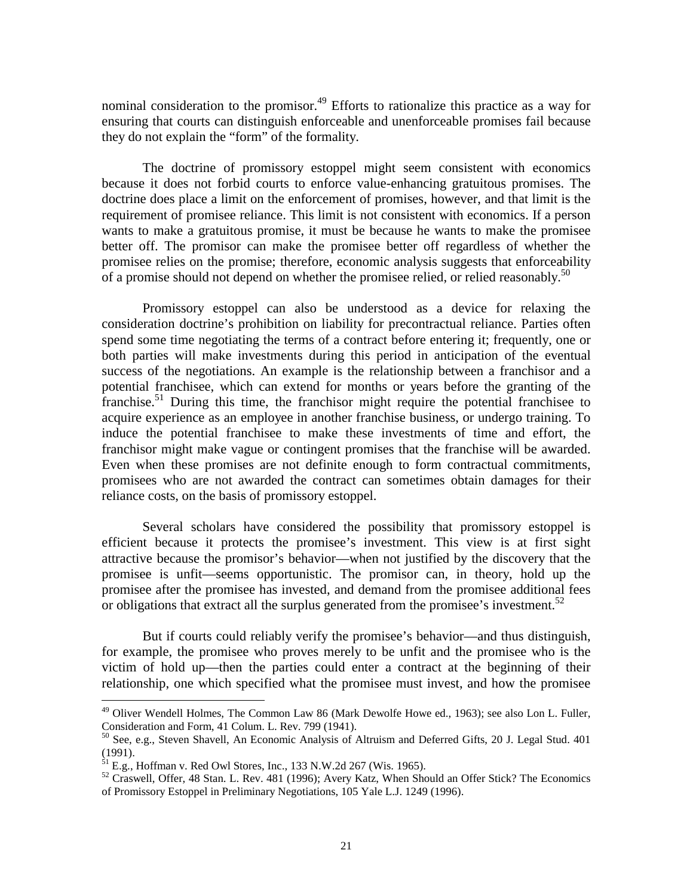nominal consideration to the promisor.<sup>49</sup> Efforts to rationalize this practice as a way for ensuring that courts can distinguish enforceable and unenforceable promises fail because they do not explain the "form" of the formality.

 The doctrine of promissory estoppel might seem consistent with economics because it does not forbid courts to enforce value-enhancing gratuitous promises. The doctrine does place a limit on the enforcement of promises, however, and that limit is the requirement of promisee reliance. This limit is not consistent with economics. If a person wants to make a gratuitous promise, it must be because he wants to make the promisee better off. The promisor can make the promisee better off regardless of whether the promisee relies on the promise; therefore, economic analysis suggests that enforceability of a promise should not depend on whether the promisee relied, or relied reasonably.<sup>50</sup>

 Promissory estoppel can also be understood as a device for relaxing the consideration doctrine's prohibition on liability for precontractual reliance. Parties often spend some time negotiating the terms of a contract before entering it; frequently, one or both parties will make investments during this period in anticipation of the eventual success of the negotiations. An example is the relationship between a franchisor and a potential franchisee, which can extend for months or years before the granting of the franchise.<sup>51</sup> During this time, the franchisor might require the potential franchisee to acquire experience as an employee in another franchise business, or undergo training. To induce the potential franchisee to make these investments of time and effort, the franchisor might make vague or contingent promises that the franchise will be awarded. Even when these promises are not definite enough to form contractual commitments, promisees who are not awarded the contract can sometimes obtain damages for their reliance costs, on the basis of promissory estoppel.

 Several scholars have considered the possibility that promissory estoppel is efficient because it protects the promisee's investment. This view is at first sight attractive because the promisor's behavior—when not justified by the discovery that the promisee is unfit—seems opportunistic. The promisor can, in theory, hold up the promisee after the promisee has invested, and demand from the promisee additional fees or obligations that extract all the surplus generated from the promisee's investment.<sup>52</sup>

 But if courts could reliably verify the promisee's behavior—and thus distinguish, for example, the promisee who proves merely to be unfit and the promisee who is the victim of hold up—then the parties could enter a contract at the beginning of their relationship, one which specified what the promisee must invest, and how the promisee

<sup>&</sup>lt;sup>49</sup> Oliver Wendell Holmes, The Common Law 86 (Mark Dewolfe Howe ed., 1963); see also Lon L. Fuller, Consideration and Form, 41 Colum. L. Rev. 799 (1941).

<sup>50</sup> See, e.g., Steven Shavell, An Economic Analysis of Altruism and Deferred Gifts, 20 J. Legal Stud. 401 (1991).

 $^{51}$  E.g., Hoffman v. Red Owl Stores, Inc., 133 N.W.2d 267 (Wis. 1965).

<sup>&</sup>lt;sup>52</sup> Craswell, Offer, 48 Stan. L. Rev. 481 (1996); Avery Katz, When Should an Offer Stick? The Economics of Promissory Estoppel in Preliminary Negotiations, 105 Yale L.J. 1249 (1996).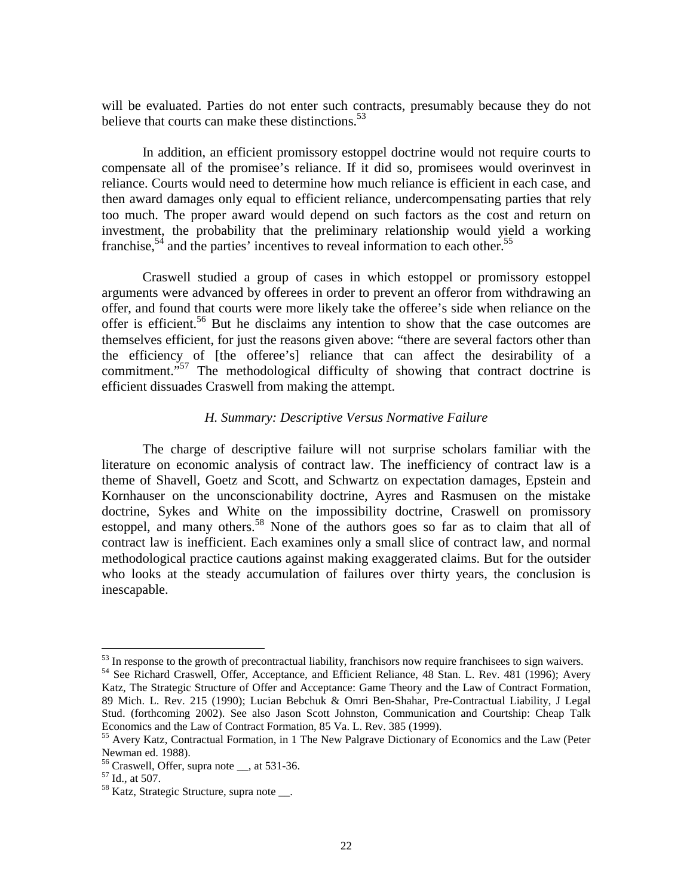will be evaluated. Parties do not enter such contracts, presumably because they do not believe that courts can make these distinctions.<sup>53</sup>

In addition, an efficient promissory estoppel doctrine would not require courts to compensate all of the promisee's reliance. If it did so, promisees would overinvest in reliance. Courts would need to determine how much reliance is efficient in each case, and then award damages only equal to efficient reliance, undercompensating parties that rely too much. The proper award would depend on such factors as the cost and return on investment, the probability that the preliminary relationship would yield a working franchise,<sup>54</sup> and the parties' incentives to reveal information to each other.<sup>55</sup>

 Craswell studied a group of cases in which estoppel or promissory estoppel arguments were advanced by offerees in order to prevent an offeror from withdrawing an offer, and found that courts were more likely take the offeree's side when reliance on the offer is efficient.<sup>56</sup> But he disclaims any intention to show that the case outcomes are themselves efficient, for just the reasons given above: "there are several factors other than the efficiency of [the offeree's] reliance that can affect the desirability of a commitment."<sup>57</sup> The methodological difficulty of showing that contract doctrine is efficient dissuades Craswell from making the attempt.

#### *H. Summary: Descriptive Versus Normative Failure*

 The charge of descriptive failure will not surprise scholars familiar with the literature on economic analysis of contract law. The inefficiency of contract law is a theme of Shavell, Goetz and Scott, and Schwartz on expectation damages, Epstein and Kornhauser on the unconscionability doctrine, Ayres and Rasmusen on the mistake doctrine, Sykes and White on the impossibility doctrine, Craswell on promissory estoppel, and many others.<sup>58</sup> None of the authors goes so far as to claim that all of contract law is inefficient. Each examines only a small slice of contract law, and normal methodological practice cautions against making exaggerated claims. But for the outsider who looks at the steady accumulation of failures over thirty years, the conclusion is inescapable.

 $53$  In response to the growth of precontractual liability, franchisors now require franchisees to sign waivers.

<sup>&</sup>lt;sup>54</sup> See Richard Craswell, Offer, Acceptance, and Efficient Reliance, 48 Stan. L. Rev. 481 (1996); Avery Katz, The Strategic Structure of Offer and Acceptance: Game Theory and the Law of Contract Formation, 89 Mich. L. Rev. 215 (1990); Lucian Bebchuk & Omri Ben-Shahar, Pre-Contractual Liability, J Legal Stud. (forthcoming 2002). See also Jason Scott Johnston, Communication and Courtship: Cheap Talk Economics and the Law of Contract Formation, 85 Va. L. Rev. 385 (1999).

<sup>55</sup> Avery Katz, Contractual Formation, in 1 The New Palgrave Dictionary of Economics and the Law (Peter Newman ed. 1988).

<sup>56</sup> Craswell, Offer, supra note \_\_, at 531-36.

<sup>57</sup> Id., at 507.

<sup>&</sup>lt;sup>58</sup> Katz, Strategic Structure, supra note .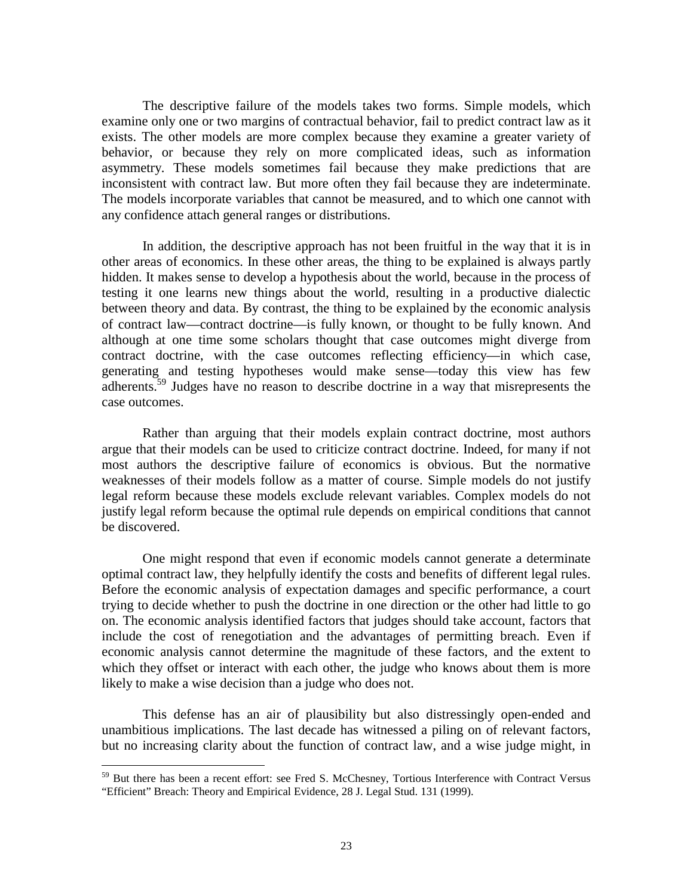The descriptive failure of the models takes two forms. Simple models, which examine only one or two margins of contractual behavior, fail to predict contract law as it exists. The other models are more complex because they examine a greater variety of behavior, or because they rely on more complicated ideas, such as information asymmetry. These models sometimes fail because they make predictions that are inconsistent with contract law. But more often they fail because they are indeterminate. The models incorporate variables that cannot be measured, and to which one cannot with any confidence attach general ranges or distributions.

 In addition, the descriptive approach has not been fruitful in the way that it is in other areas of economics. In these other areas, the thing to be explained is always partly hidden. It makes sense to develop a hypothesis about the world, because in the process of testing it one learns new things about the world, resulting in a productive dialectic between theory and data. By contrast, the thing to be explained by the economic analysis of contract law—contract doctrine—is fully known, or thought to be fully known. And although at one time some scholars thought that case outcomes might diverge from contract doctrine, with the case outcomes reflecting efficiency—in which case, generating and testing hypotheses would make sense—today this view has few adherents.<sup>59</sup> Judges have no reason to describe doctrine in a way that misrepresents the case outcomes.

 Rather than arguing that their models explain contract doctrine, most authors argue that their models can be used to criticize contract doctrine. Indeed, for many if not most authors the descriptive failure of economics is obvious. But the normative weaknesses of their models follow as a matter of course. Simple models do not justify legal reform because these models exclude relevant variables. Complex models do not justify legal reform because the optimal rule depends on empirical conditions that cannot be discovered.

 One might respond that even if economic models cannot generate a determinate optimal contract law, they helpfully identify the costs and benefits of different legal rules. Before the economic analysis of expectation damages and specific performance, a court trying to decide whether to push the doctrine in one direction or the other had little to go on. The economic analysis identified factors that judges should take account, factors that include the cost of renegotiation and the advantages of permitting breach. Even if economic analysis cannot determine the magnitude of these factors, and the extent to which they offset or interact with each other, the judge who knows about them is more likely to make a wise decision than a judge who does not.

 This defense has an air of plausibility but also distressingly open-ended and unambitious implications. The last decade has witnessed a piling on of relevant factors, but no increasing clarity about the function of contract law, and a wise judge might, in

<sup>59</sup> But there has been a recent effort: see Fred S. McChesney, Tortious Interference with Contract Versus "Efficient" Breach: Theory and Empirical Evidence, 28 J. Legal Stud. 131 (1999).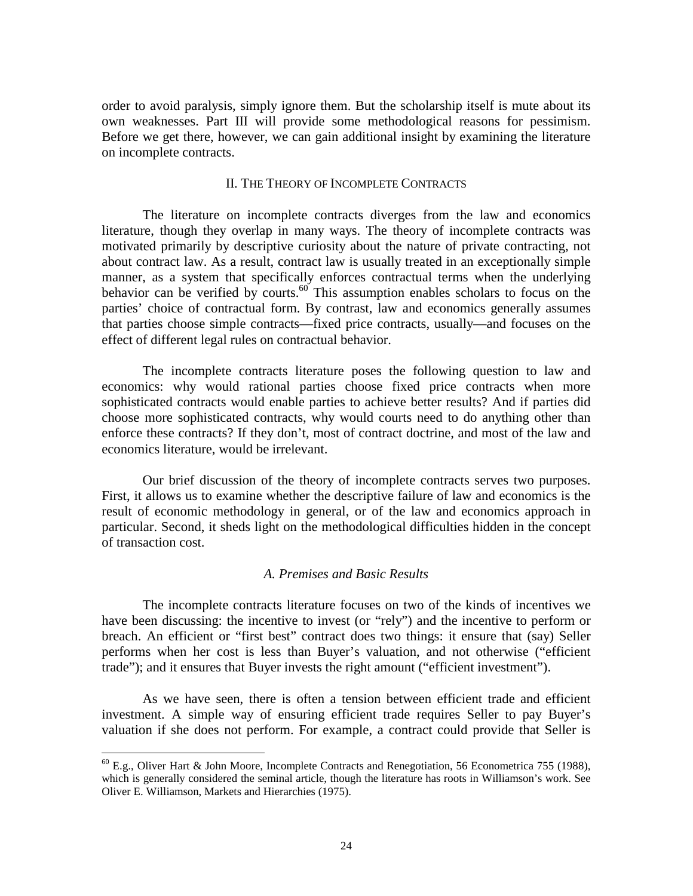order to avoid paralysis, simply ignore them. But the scholarship itself is mute about its own weaknesses. Part III will provide some methodological reasons for pessimism. Before we get there, however, we can gain additional insight by examining the literature on incomplete contracts.

#### II. THE THEORY OF INCOMPLETE CONTRACTS

 The literature on incomplete contracts diverges from the law and economics literature, though they overlap in many ways. The theory of incomplete contracts was motivated primarily by descriptive curiosity about the nature of private contracting, not about contract law. As a result, contract law is usually treated in an exceptionally simple manner, as a system that specifically enforces contractual terms when the underlying behavior can be verified by courts.<sup>60</sup> This assumption enables scholars to focus on the parties' choice of contractual form. By contrast, law and economics generally assumes that parties choose simple contracts—fixed price contracts, usually—and focuses on the effect of different legal rules on contractual behavior.

 The incomplete contracts literature poses the following question to law and economics: why would rational parties choose fixed price contracts when more sophisticated contracts would enable parties to achieve better results? And if parties did choose more sophisticated contracts, why would courts need to do anything other than enforce these contracts? If they don't, most of contract doctrine, and most of the law and economics literature, would be irrelevant.

 Our brief discussion of the theory of incomplete contracts serves two purposes. First, it allows us to examine whether the descriptive failure of law and economics is the result of economic methodology in general, or of the law and economics approach in particular. Second, it sheds light on the methodological difficulties hidden in the concept of transaction cost.

#### *A. Premises and Basic Results*

 The incomplete contracts literature focuses on two of the kinds of incentives we have been discussing: the incentive to invest (or "rely") and the incentive to perform or breach. An efficient or "first best" contract does two things: it ensure that (say) Seller performs when her cost is less than Buyer's valuation, and not otherwise ("efficient trade"); and it ensures that Buyer invests the right amount ("efficient investment").

 As we have seen, there is often a tension between efficient trade and efficient investment. A simple way of ensuring efficient trade requires Seller to pay Buyer's valuation if she does not perform. For example, a contract could provide that Seller is

 $^{60}$  E.g., Oliver Hart & John Moore, Incomplete Contracts and Renegotiation, 56 Econometrica 755 (1988), which is generally considered the seminal article, though the literature has roots in Williamson's work. See Oliver E. Williamson, Markets and Hierarchies (1975).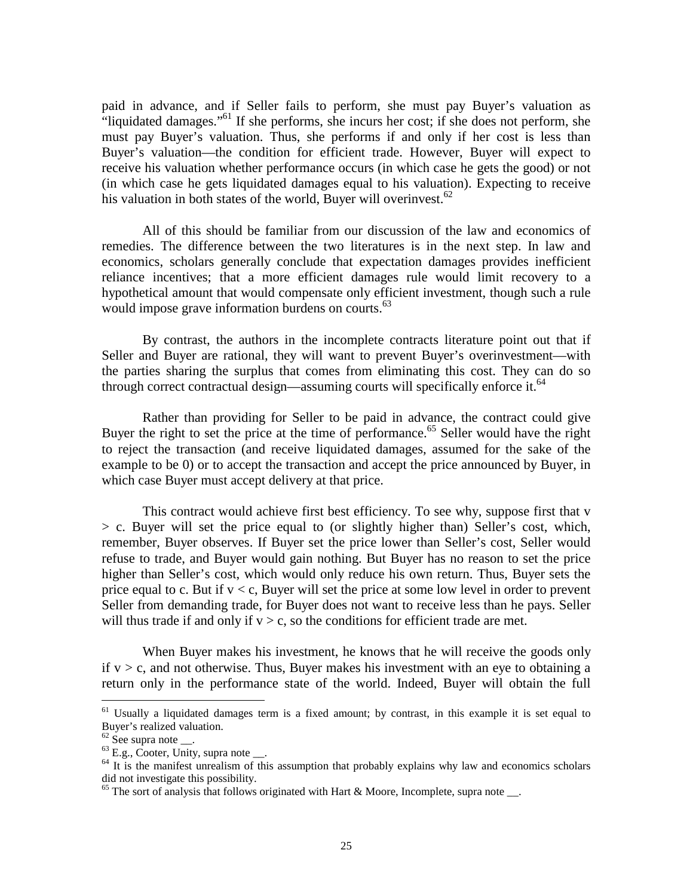paid in advance, and if Seller fails to perform, she must pay Buyer's valuation as "liquidated damages."<sup>61</sup> If she performs, she incurs her cost; if she does not perform, she must pay Buyer's valuation. Thus, she performs if and only if her cost is less than Buyer's valuation—the condition for efficient trade. However, Buyer will expect to receive his valuation whether performance occurs (in which case he gets the good) or not (in which case he gets liquidated damages equal to his valuation). Expecting to receive his valuation in both states of the world, Buyer will overinvest. $62$ 

 All of this should be familiar from our discussion of the law and economics of remedies. The difference between the two literatures is in the next step. In law and economics, scholars generally conclude that expectation damages provides inefficient reliance incentives; that a more efficient damages rule would limit recovery to a hypothetical amount that would compensate only efficient investment, though such a rule would impose grave information burdens on courts.<sup>63</sup>

 By contrast, the authors in the incomplete contracts literature point out that if Seller and Buyer are rational, they will want to prevent Buyer's overinvestment—with the parties sharing the surplus that comes from eliminating this cost. They can do so through correct contractual design—assuming courts will specifically enforce it.<sup>64</sup>

 Rather than providing for Seller to be paid in advance, the contract could give Buyer the right to set the price at the time of performance.<sup>65</sup> Seller would have the right to reject the transaction (and receive liquidated damages, assumed for the sake of the example to be 0) or to accept the transaction and accept the price announced by Buyer, in which case Buyer must accept delivery at that price.

 This contract would achieve first best efficiency. To see why, suppose first that v > c. Buyer will set the price equal to (or slightly higher than) Seller's cost, which, remember, Buyer observes. If Buyer set the price lower than Seller's cost, Seller would refuse to trade, and Buyer would gain nothing. But Buyer has no reason to set the price higher than Seller's cost, which would only reduce his own return. Thus, Buyer sets the price equal to c. But if  $v < c$ , Buyer will set the price at some low level in order to prevent Seller from demanding trade, for Buyer does not want to receive less than he pays. Seller will thus trade if and only if  $v > c$ , so the conditions for efficient trade are met.

 When Buyer makes his investment, he knows that he will receive the goods only if  $v > c$ , and not otherwise. Thus, Buyer makes his investment with an eye to obtaining a return only in the performance state of the world. Indeed, Buyer will obtain the full

<sup>&</sup>lt;sup>61</sup> Usually a liquidated damages term is a fixed amount; by contrast, in this example it is set equal to Buyer's realized valuation.

 $62$  See supra note  $\_\_$ .

 $63$  E.g., Cooter, Unity, supra note  $\_\_$ .

<sup>&</sup>lt;sup>64</sup> It is the manifest unrealism of this assumption that probably explains why law and economics scholars did not investigate this possibility.

 $65$  The sort of analysis that follows originated with Hart & Moore, Incomplete, supra note  $\_\_$ .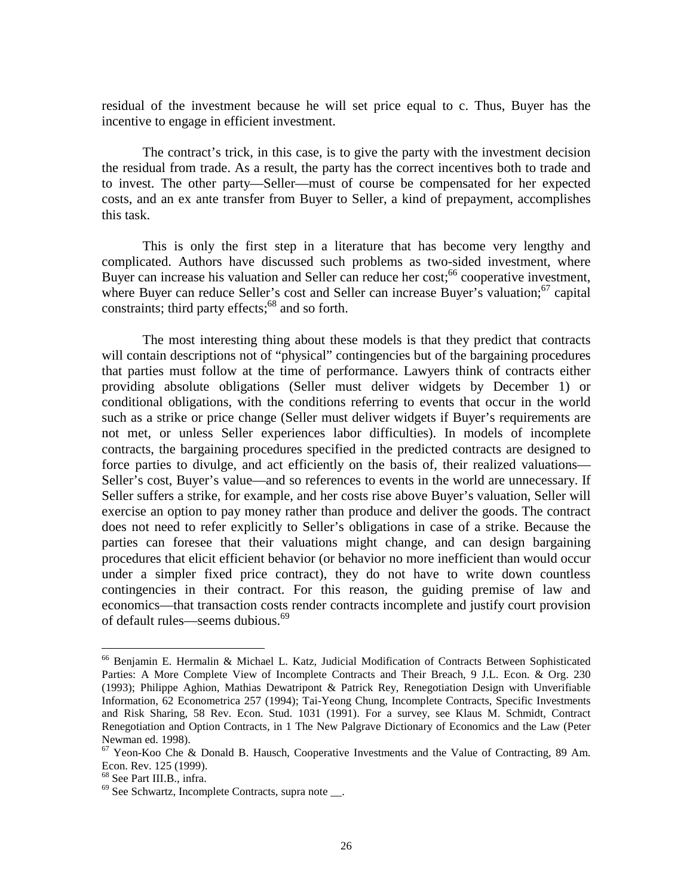residual of the investment because he will set price equal to c. Thus, Buyer has the incentive to engage in efficient investment.

 The contract's trick, in this case, is to give the party with the investment decision the residual from trade. As a result, the party has the correct incentives both to trade and to invest. The other party—Seller—must of course be compensated for her expected costs, and an ex ante transfer from Buyer to Seller, a kind of prepayment, accomplishes this task.

 This is only the first step in a literature that has become very lengthy and complicated. Authors have discussed such problems as two-sided investment, where Buyer can increase his valuation and Seller can reduce her cost;  $66$  cooperative investment, where Buyer can reduce Seller's cost and Seller can increase Buyer's valuation; $67$  capital constraints; third party effects; $^{68}$  and so forth.

 The most interesting thing about these models is that they predict that contracts will contain descriptions not of "physical" contingencies but of the bargaining procedures that parties must follow at the time of performance. Lawyers think of contracts either providing absolute obligations (Seller must deliver widgets by December 1) or conditional obligations, with the conditions referring to events that occur in the world such as a strike or price change (Seller must deliver widgets if Buyer's requirements are not met, or unless Seller experiences labor difficulties). In models of incomplete contracts, the bargaining procedures specified in the predicted contracts are designed to force parties to divulge, and act efficiently on the basis of, their realized valuations— Seller's cost, Buyer's value—and so references to events in the world are unnecessary. If Seller suffers a strike, for example, and her costs rise above Buyer's valuation, Seller will exercise an option to pay money rather than produce and deliver the goods. The contract does not need to refer explicitly to Seller's obligations in case of a strike. Because the parties can foresee that their valuations might change, and can design bargaining procedures that elicit efficient behavior (or behavior no more inefficient than would occur under a simpler fixed price contract), they do not have to write down countless contingencies in their contract. For this reason, the guiding premise of law and economics—that transaction costs render contracts incomplete and justify court provision of default rules—seems dubious.<sup>69</sup>

<sup>66</sup> Benjamin E. Hermalin & Michael L. Katz, Judicial Modification of Contracts Between Sophisticated Parties: A More Complete View of Incomplete Contracts and Their Breach, 9 J.L. Econ. & Org. 230 (1993); Philippe Aghion, Mathias Dewatripont & Patrick Rey, Renegotiation Design with Unverifiable Information, 62 Econometrica 257 (1994); Tai-Yeong Chung, Incomplete Contracts, Specific Investments and Risk Sharing, 58 Rev. Econ. Stud. 1031 (1991). For a survey, see Klaus M. Schmidt, Contract Renegotiation and Option Contracts, in 1 The New Palgrave Dictionary of Economics and the Law (Peter Newman ed. 1998).

<sup>&</sup>lt;sup>67</sup> Yeon-Koo Che & Donald B. Hausch, Cooperative Investments and the Value of Contracting, 89 Am. Econ. Rev. 125 (1999).

<sup>68</sup> See Part III.B., infra.

 $69$  See Schwartz, Incomplete Contracts, supra note  $\_\_$ .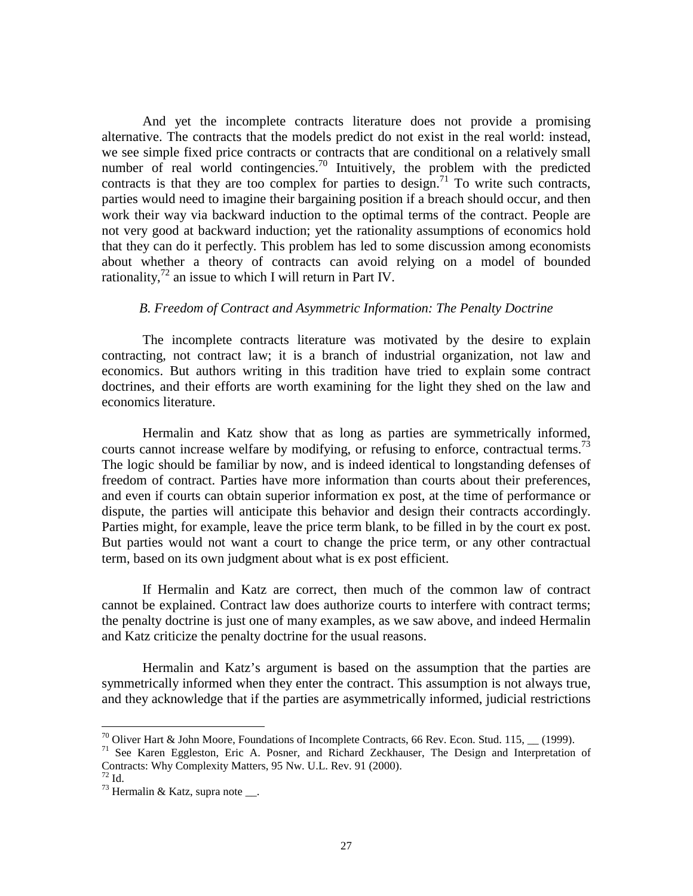And yet the incomplete contracts literature does not provide a promising alternative. The contracts that the models predict do not exist in the real world: instead, we see simple fixed price contracts or contracts that are conditional on a relatively small number of real world contingencies.<sup>70</sup> Intuitively, the problem with the predicted contracts is that they are too complex for parties to design.<sup>71</sup> To write such contracts, parties would need to imagine their bargaining position if a breach should occur, and then work their way via backward induction to the optimal terms of the contract. People are not very good at backward induction; yet the rationality assumptions of economics hold that they can do it perfectly. This problem has led to some discussion among economists about whether a theory of contracts can avoid relying on a model of bounded rationality,<sup>72</sup> an issue to which I will return in Part IV.

#### *B. Freedom of Contract and Asymmetric Information: The Penalty Doctrine*

 The incomplete contracts literature was motivated by the desire to explain contracting, not contract law; it is a branch of industrial organization, not law and economics. But authors writing in this tradition have tried to explain some contract doctrines, and their efforts are worth examining for the light they shed on the law and economics literature.

 Hermalin and Katz show that as long as parties are symmetrically informed, courts cannot increase welfare by modifying, or refusing to enforce, contractual terms.<sup>73</sup> The logic should be familiar by now, and is indeed identical to longstanding defenses of freedom of contract. Parties have more information than courts about their preferences, and even if courts can obtain superior information ex post, at the time of performance or dispute, the parties will anticipate this behavior and design their contracts accordingly. Parties might, for example, leave the price term blank, to be filled in by the court ex post. But parties would not want a court to change the price term, or any other contractual term, based on its own judgment about what is ex post efficient.

 If Hermalin and Katz are correct, then much of the common law of contract cannot be explained. Contract law does authorize courts to interfere with contract terms; the penalty doctrine is just one of many examples, as we saw above, and indeed Hermalin and Katz criticize the penalty doctrine for the usual reasons.

 Hermalin and Katz's argument is based on the assumption that the parties are symmetrically informed when they enter the contract. This assumption is not always true, and they acknowledge that if the parties are asymmetrically informed, judicial restrictions

1

<sup>&</sup>lt;sup>70</sup> Oliver Hart & John Moore, Foundations of Incomplete Contracts, 66 Rev. Econ. Stud. 115, (1999).

<sup>&</sup>lt;sup>71</sup> See Karen Eggleston, Eric A. Posner, and Richard Zeckhauser, The Design and Interpretation of Contracts: Why Complexity Matters, 95 Nw. U.L. Rev. 91 (2000).

 $72$  Id.

 $^{73}$  Hermalin & Katz, supra note \_\_.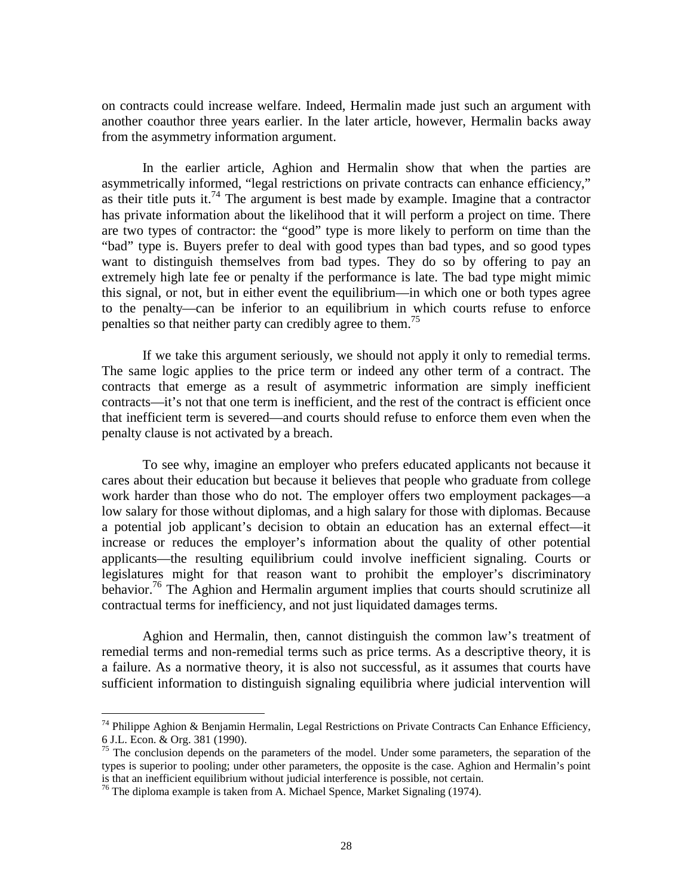on contracts could increase welfare. Indeed, Hermalin made just such an argument with another coauthor three years earlier. In the later article, however, Hermalin backs away from the asymmetry information argument.

 In the earlier article, Aghion and Hermalin show that when the parties are asymmetrically informed, "legal restrictions on private contracts can enhance efficiency," as their title puts it.<sup>74</sup> The argument is best made by example. Imagine that a contractor has private information about the likelihood that it will perform a project on time. There are two types of contractor: the "good" type is more likely to perform on time than the "bad" type is. Buyers prefer to deal with good types than bad types, and so good types want to distinguish themselves from bad types. They do so by offering to pay an extremely high late fee or penalty if the performance is late. The bad type might mimic this signal, or not, but in either event the equilibrium—in which one or both types agree to the penalty—can be inferior to an equilibrium in which courts refuse to enforce penalties so that neither party can credibly agree to them.<sup>75</sup>

 If we take this argument seriously, we should not apply it only to remedial terms. The same logic applies to the price term or indeed any other term of a contract. The contracts that emerge as a result of asymmetric information are simply inefficient contracts—it's not that one term is inefficient, and the rest of the contract is efficient once that inefficient term is severed—and courts should refuse to enforce them even when the penalty clause is not activated by a breach.

 To see why, imagine an employer who prefers educated applicants not because it cares about their education but because it believes that people who graduate from college work harder than those who do not. The employer offers two employment packages—a low salary for those without diplomas, and a high salary for those with diplomas. Because a potential job applicant's decision to obtain an education has an external effect—it increase or reduces the employer's information about the quality of other potential applicants—the resulting equilibrium could involve inefficient signaling. Courts or legislatures might for that reason want to prohibit the employer's discriminatory behavior.<sup>76</sup> The Aghion and Hermalin argument implies that courts should scrutinize all contractual terms for inefficiency, and not just liquidated damages terms.

 Aghion and Hermalin, then, cannot distinguish the common law's treatment of remedial terms and non-remedial terms such as price terms. As a descriptive theory, it is a failure. As a normative theory, it is also not successful, as it assumes that courts have sufficient information to distinguish signaling equilibria where judicial intervention will

1

 $74$  Philippe Aghion & Benjamin Hermalin, Legal Restrictions on Private Contracts Can Enhance Efficiency, 6 J.L. Econ. & Org. 381 (1990).

<sup>&</sup>lt;sup>75</sup> The conclusion depends on the parameters of the model. Under some parameters, the separation of the types is superior to pooling; under other parameters, the opposite is the case. Aghion and Hermalin's point is that an inefficient equilibrium without judicial interference is possible, not certain.

<sup>&</sup>lt;sup>76</sup> The diploma example is taken from A. Michael Spence, Market Signaling (1974).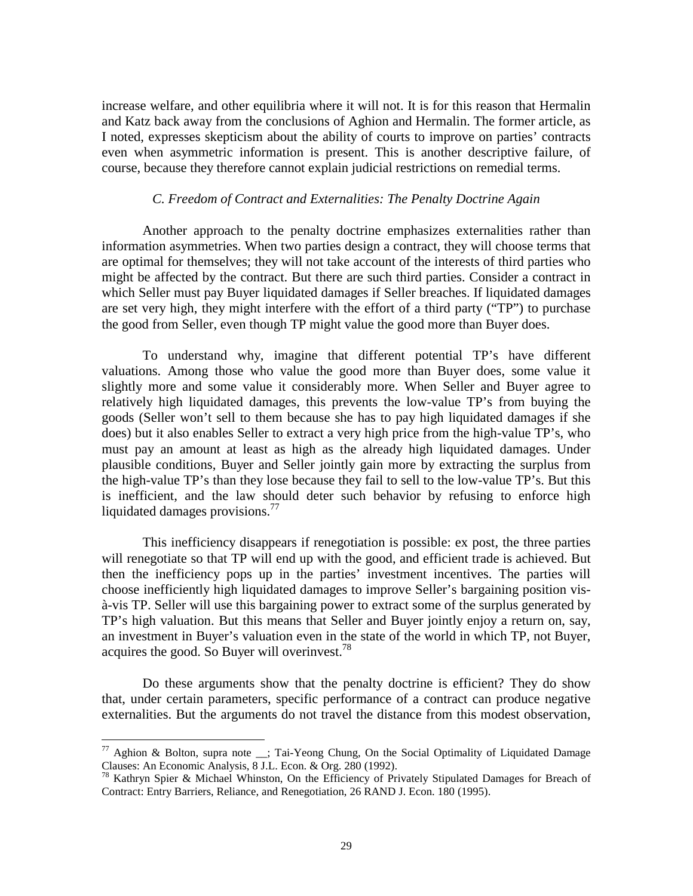increase welfare, and other equilibria where it will not. It is for this reason that Hermalin and Katz back away from the conclusions of Aghion and Hermalin. The former article, as I noted, expresses skepticism about the ability of courts to improve on parties' contracts even when asymmetric information is present. This is another descriptive failure, of course, because they therefore cannot explain judicial restrictions on remedial terms.

#### *C. Freedom of Contract and Externalities: The Penalty Doctrine Again*

 Another approach to the penalty doctrine emphasizes externalities rather than information asymmetries. When two parties design a contract, they will choose terms that are optimal for themselves; they will not take account of the interests of third parties who might be affected by the contract. But there are such third parties. Consider a contract in which Seller must pay Buyer liquidated damages if Seller breaches. If liquidated damages are set very high, they might interfere with the effort of a third party ("TP") to purchase the good from Seller, even though TP might value the good more than Buyer does.

 To understand why, imagine that different potential TP's have different valuations. Among those who value the good more than Buyer does, some value it slightly more and some value it considerably more. When Seller and Buyer agree to relatively high liquidated damages, this prevents the low-value TP's from buying the goods (Seller won't sell to them because she has to pay high liquidated damages if she does) but it also enables Seller to extract a very high price from the high-value TP's, who must pay an amount at least as high as the already high liquidated damages. Under plausible conditions, Buyer and Seller jointly gain more by extracting the surplus from the high-value TP's than they lose because they fail to sell to the low-value TP's. But this is inefficient, and the law should deter such behavior by refusing to enforce high liquidated damages provisions. $^{77}$ 

 This inefficiency disappears if renegotiation is possible: ex post, the three parties will renegotiate so that TP will end up with the good, and efficient trade is achieved. But then the inefficiency pops up in the parties' investment incentives. The parties will choose inefficiently high liquidated damages to improve Seller's bargaining position visà-vis TP. Seller will use this bargaining power to extract some of the surplus generated by TP's high valuation. But this means that Seller and Buyer jointly enjoy a return on, say, an investment in Buyer's valuation even in the state of the world in which TP, not Buyer, acquires the good. So Buyer will overinvest.<sup>78</sup>

 Do these arguments show that the penalty doctrine is efficient? They do show that, under certain parameters, specific performance of a contract can produce negative externalities. But the arguments do not travel the distance from this modest observation,

<sup>&</sup>lt;sup>77</sup> Aghion & Bolton, supra note  $\Box$ ; Tai-Yeong Chung, On the Social Optimality of Liquidated Damage Clauses: An Economic Analysis, 8 J.L. Econ. & Org. 280 (1992).

<sup>&</sup>lt;sup>78</sup> Kathryn Spier & Michael Whinston, On the Efficiency of Privately Stipulated Damages for Breach of Contract: Entry Barriers, Reliance, and Renegotiation, 26 RAND J. Econ. 180 (1995).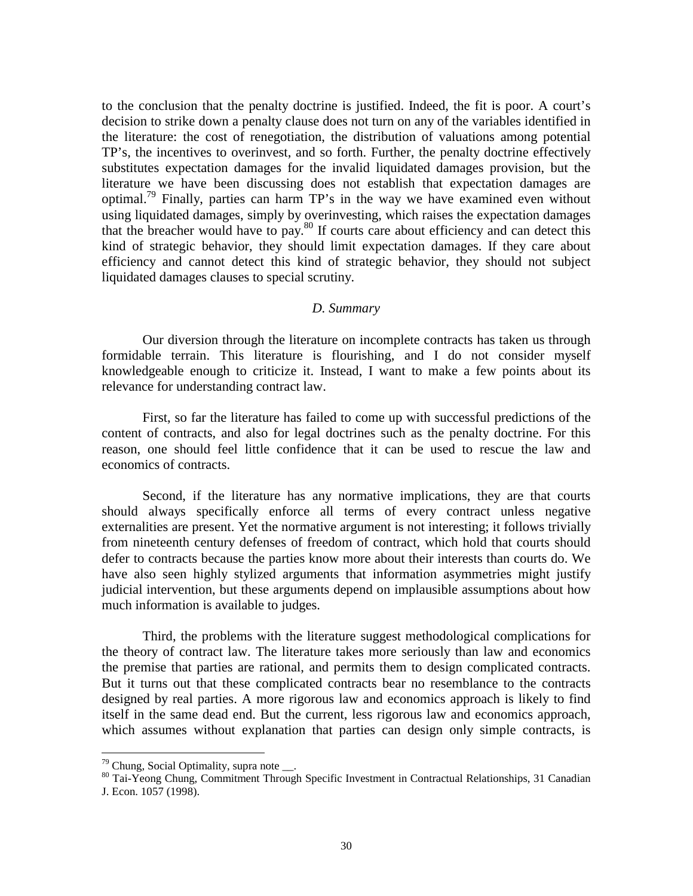to the conclusion that the penalty doctrine is justified. Indeed, the fit is poor. A court's decision to strike down a penalty clause does not turn on any of the variables identified in the literature: the cost of renegotiation, the distribution of valuations among potential TP's, the incentives to overinvest, and so forth. Further, the penalty doctrine effectively substitutes expectation damages for the invalid liquidated damages provision, but the literature we have been discussing does not establish that expectation damages are optimal.<sup>79</sup> Finally, parties can harm  $TP$ 's in the way we have examined even without using liquidated damages, simply by overinvesting, which raises the expectation damages that the breacher would have to pay. $80$  If courts care about efficiency and can detect this kind of strategic behavior, they should limit expectation damages. If they care about efficiency and cannot detect this kind of strategic behavior, they should not subject liquidated damages clauses to special scrutiny.

#### *D. Summary*

 Our diversion through the literature on incomplete contracts has taken us through formidable terrain. This literature is flourishing, and I do not consider myself knowledgeable enough to criticize it. Instead, I want to make a few points about its relevance for understanding contract law.

 First, so far the literature has failed to come up with successful predictions of the content of contracts, and also for legal doctrines such as the penalty doctrine. For this reason, one should feel little confidence that it can be used to rescue the law and economics of contracts.

 Second, if the literature has any normative implications, they are that courts should always specifically enforce all terms of every contract unless negative externalities are present. Yet the normative argument is not interesting; it follows trivially from nineteenth century defenses of freedom of contract, which hold that courts should defer to contracts because the parties know more about their interests than courts do. We have also seen highly stylized arguments that information asymmetries might justify judicial intervention, but these arguments depend on implausible assumptions about how much information is available to judges.

 Third, the problems with the literature suggest methodological complications for the theory of contract law. The literature takes more seriously than law and economics the premise that parties are rational, and permits them to design complicated contracts. But it turns out that these complicated contracts bear no resemblance to the contracts designed by real parties. A more rigorous law and economics approach is likely to find itself in the same dead end. But the current, less rigorous law and economics approach, which assumes without explanation that parties can design only simple contracts, is

 $79$  Chung, Social Optimality, supra note  $\_\_$ .

<sup>80</sup> Tai-Yeong Chung, Commitment Through Specific Investment in Contractual Relationships, 31 Canadian J. Econ. 1057 (1998).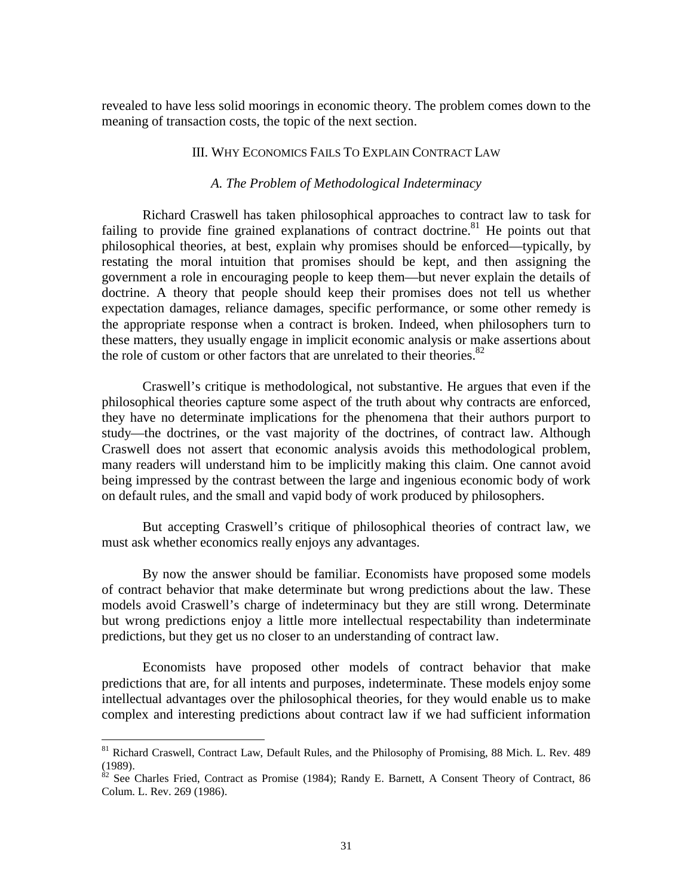revealed to have less solid moorings in economic theory. The problem comes down to the meaning of transaction costs, the topic of the next section.

#### III. WHY ECONOMICS FAILS TO EXPLAIN CONTRACT LAW

#### *A. The Problem of Methodological Indeterminacy*

 Richard Craswell has taken philosophical approaches to contract law to task for failing to provide fine grained explanations of contract doctrine.<sup>81</sup> He points out that philosophical theories, at best, explain why promises should be enforced—typically, by restating the moral intuition that promises should be kept, and then assigning the government a role in encouraging people to keep them—but never explain the details of doctrine. A theory that people should keep their promises does not tell us whether expectation damages, reliance damages, specific performance, or some other remedy is the appropriate response when a contract is broken. Indeed, when philosophers turn to these matters, they usually engage in implicit economic analysis or make assertions about the role of custom or other factors that are unrelated to their theories. $82$ 

 Craswell's critique is methodological, not substantive. He argues that even if the philosophical theories capture some aspect of the truth about why contracts are enforced, they have no determinate implications for the phenomena that their authors purport to study—the doctrines, or the vast majority of the doctrines, of contract law. Although Craswell does not assert that economic analysis avoids this methodological problem, many readers will understand him to be implicitly making this claim. One cannot avoid being impressed by the contrast between the large and ingenious economic body of work on default rules, and the small and vapid body of work produced by philosophers.

 But accepting Craswell's critique of philosophical theories of contract law, we must ask whether economics really enjoys any advantages.

 By now the answer should be familiar. Economists have proposed some models of contract behavior that make determinate but wrong predictions about the law. These models avoid Craswell's charge of indeterminacy but they are still wrong. Determinate but wrong predictions enjoy a little more intellectual respectability than indeterminate predictions, but they get us no closer to an understanding of contract law.

 Economists have proposed other models of contract behavior that make predictions that are, for all intents and purposes, indeterminate. These models enjoy some intellectual advantages over the philosophical theories, for they would enable us to make complex and interesting predictions about contract law if we had sufficient information

1

<sup>&</sup>lt;sup>81</sup> Richard Craswell, Contract Law, Default Rules, and the Philosophy of Promising, 88 Mich. L. Rev. 489 (1989).

 $82$  See Charles Fried, Contract as Promise (1984); Randy E. Barnett, A Consent Theory of Contract, 86 Colum. L. Rev. 269 (1986).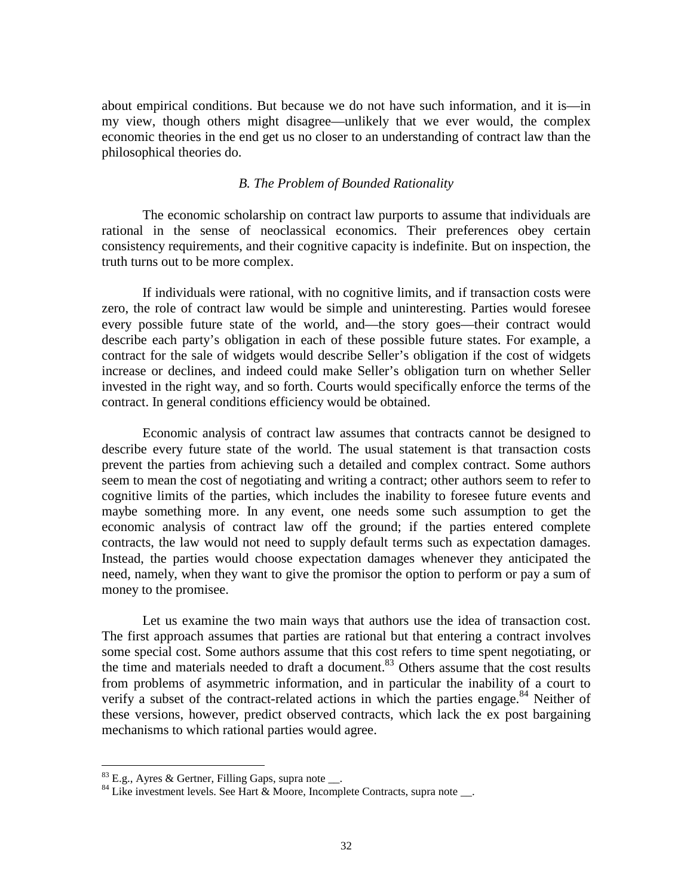about empirical conditions. But because we do not have such information, and it is—in my view, though others might disagree—unlikely that we ever would, the complex economic theories in the end get us no closer to an understanding of contract law than the philosophical theories do.

#### *B. The Problem of Bounded Rationality*

The economic scholarship on contract law purports to assume that individuals are rational in the sense of neoclassical economics. Their preferences obey certain consistency requirements, and their cognitive capacity is indefinite. But on inspection, the truth turns out to be more complex.

If individuals were rational, with no cognitive limits, and if transaction costs were zero, the role of contract law would be simple and uninteresting. Parties would foresee every possible future state of the world, and—the story goes—their contract would describe each party's obligation in each of these possible future states. For example, a contract for the sale of widgets would describe Seller's obligation if the cost of widgets increase or declines, and indeed could make Seller's obligation turn on whether Seller invested in the right way, and so forth. Courts would specifically enforce the terms of the contract. In general conditions efficiency would be obtained.

Economic analysis of contract law assumes that contracts cannot be designed to describe every future state of the world. The usual statement is that transaction costs prevent the parties from achieving such a detailed and complex contract. Some authors seem to mean the cost of negotiating and writing a contract; other authors seem to refer to cognitive limits of the parties, which includes the inability to foresee future events and maybe something more. In any event, one needs some such assumption to get the economic analysis of contract law off the ground; if the parties entered complete contracts, the law would not need to supply default terms such as expectation damages. Instead, the parties would choose expectation damages whenever they anticipated the need, namely, when they want to give the promisor the option to perform or pay a sum of money to the promisee.

Let us examine the two main ways that authors use the idea of transaction cost. The first approach assumes that parties are rational but that entering a contract involves some special cost. Some authors assume that this cost refers to time spent negotiating, or the time and materials needed to draft a document.<sup>83</sup> Others assume that the cost results from problems of asymmetric information, and in particular the inability of a court to verify a subset of the contract-related actions in which the parties engage.<sup>84</sup> Neither of these versions, however, predict observed contracts, which lack the ex post bargaining mechanisms to which rational parties would agree.

 $83$  E.g., Ayres & Gertner, Filling Gaps, supra note  $\_\_$ .

 $^{84}$  Like investment levels. See Hart & Moore, Incomplete Contracts, supra note.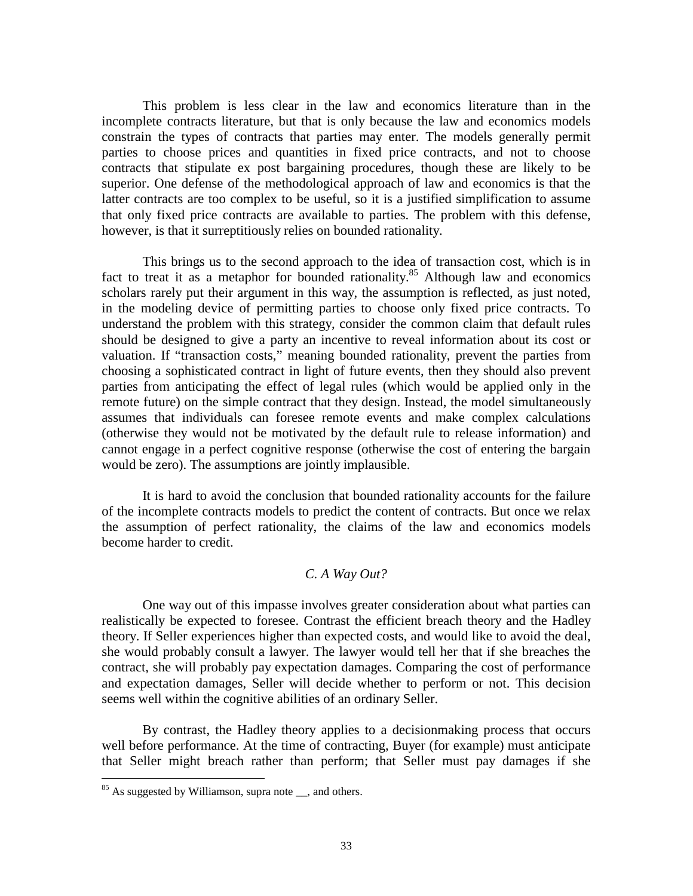This problem is less clear in the law and economics literature than in the incomplete contracts literature, but that is only because the law and economics models constrain the types of contracts that parties may enter. The models generally permit parties to choose prices and quantities in fixed price contracts, and not to choose contracts that stipulate ex post bargaining procedures, though these are likely to be superior. One defense of the methodological approach of law and economics is that the latter contracts are too complex to be useful, so it is a justified simplification to assume that only fixed price contracts are available to parties. The problem with this defense, however, is that it surreptitiously relies on bounded rationality.

 This brings us to the second approach to the idea of transaction cost, which is in fact to treat it as a metaphor for bounded rationality.<sup>85</sup> Although law and economics scholars rarely put their argument in this way, the assumption is reflected, as just noted, in the modeling device of permitting parties to choose only fixed price contracts. To understand the problem with this strategy, consider the common claim that default rules should be designed to give a party an incentive to reveal information about its cost or valuation. If "transaction costs," meaning bounded rationality, prevent the parties from choosing a sophisticated contract in light of future events, then they should also prevent parties from anticipating the effect of legal rules (which would be applied only in the remote future) on the simple contract that they design. Instead, the model simultaneously assumes that individuals can foresee remote events and make complex calculations (otherwise they would not be motivated by the default rule to release information) and cannot engage in a perfect cognitive response (otherwise the cost of entering the bargain would be zero). The assumptions are jointly implausible.

It is hard to avoid the conclusion that bounded rationality accounts for the failure of the incomplete contracts models to predict the content of contracts. But once we relax the assumption of perfect rationality, the claims of the law and economics models become harder to credit.

#### *C. A Way Out?*

 One way out of this impasse involves greater consideration about what parties can realistically be expected to foresee. Contrast the efficient breach theory and the Hadley theory. If Seller experiences higher than expected costs, and would like to avoid the deal, she would probably consult a lawyer. The lawyer would tell her that if she breaches the contract, she will probably pay expectation damages. Comparing the cost of performance and expectation damages, Seller will decide whether to perform or not. This decision seems well within the cognitive abilities of an ordinary Seller.

 By contrast, the Hadley theory applies to a decisionmaking process that occurs well before performance. At the time of contracting, Buyer (for example) must anticipate that Seller might breach rather than perform; that Seller must pay damages if she

 $85$  As suggested by Williamson, supra note  $\ldots$  and others.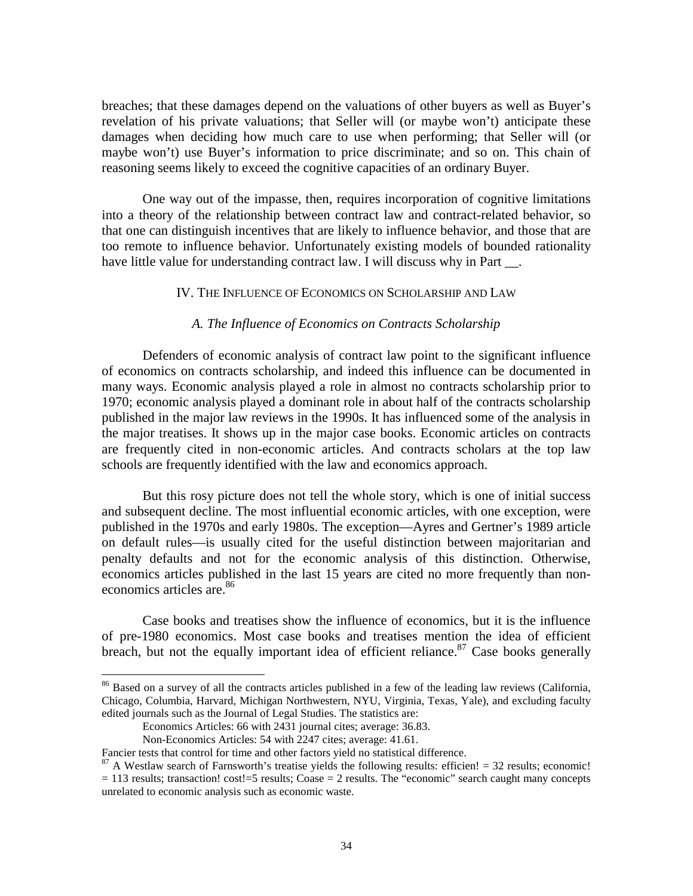breaches; that these damages depend on the valuations of other buyers as well as Buyer's revelation of his private valuations; that Seller will (or maybe won't) anticipate these damages when deciding how much care to use when performing; that Seller will (or maybe won't) use Buyer's information to price discriminate; and so on. This chain of reasoning seems likely to exceed the cognitive capacities of an ordinary Buyer.

One way out of the impasse, then, requires incorporation of cognitive limitations into a theory of the relationship between contract law and contract-related behavior, so that one can distinguish incentives that are likely to influence behavior, and those that are too remote to influence behavior. Unfortunately existing models of bounded rationality have little value for understanding contract law. I will discuss why in Part <sub>\_\_\_</sub>.

#### IV. THE INFLUENCE OF ECONOMICS ON SCHOLARSHIP AND LAW

#### *A. The Influence of Economics on Contracts Scholarship*

 Defenders of economic analysis of contract law point to the significant influence of economics on contracts scholarship, and indeed this influence can be documented in many ways. Economic analysis played a role in almost no contracts scholarship prior to 1970; economic analysis played a dominant role in about half of the contracts scholarship published in the major law reviews in the 1990s. It has influenced some of the analysis in the major treatises. It shows up in the major case books. Economic articles on contracts are frequently cited in non-economic articles. And contracts scholars at the top law schools are frequently identified with the law and economics approach.

 But this rosy picture does not tell the whole story, which is one of initial success and subsequent decline. The most influential economic articles, with one exception, were published in the 1970s and early 1980s. The exception—Ayres and Gertner's 1989 article on default rules—is usually cited for the useful distinction between majoritarian and penalty defaults and not for the economic analysis of this distinction. Otherwise, economics articles published in the last 15 years are cited no more frequently than noneconomics articles are.<sup>86</sup>

 Case books and treatises show the influence of economics, but it is the influence of pre-1980 economics. Most case books and treatises mention the idea of efficient breach, but not the equally important idea of efficient reliance. $87$  Case books generally

<sup>&</sup>lt;sup>86</sup> Based on a survey of all the contracts articles published in a few of the leading law reviews (California, Chicago, Columbia, Harvard, Michigan Northwestern, NYU, Virginia, Texas, Yale), and excluding faculty edited journals such as the Journal of Legal Studies. The statistics are:

Economics Articles: 66 with 2431 journal cites; average: 36.83.

Non-Economics Articles: 54 with 2247 cites; average: 41.61.

Fancier tests that control for time and other factors yield no statistical difference.

 $87$  A Westlaw search of Farnsworth's treatise yields the following results: efficien! = 32 results; economic!  $= 113$  results; transaction! cost!=5 results; Coase  $= 2$  results. The "economic" search caught many concepts unrelated to economic analysis such as economic waste.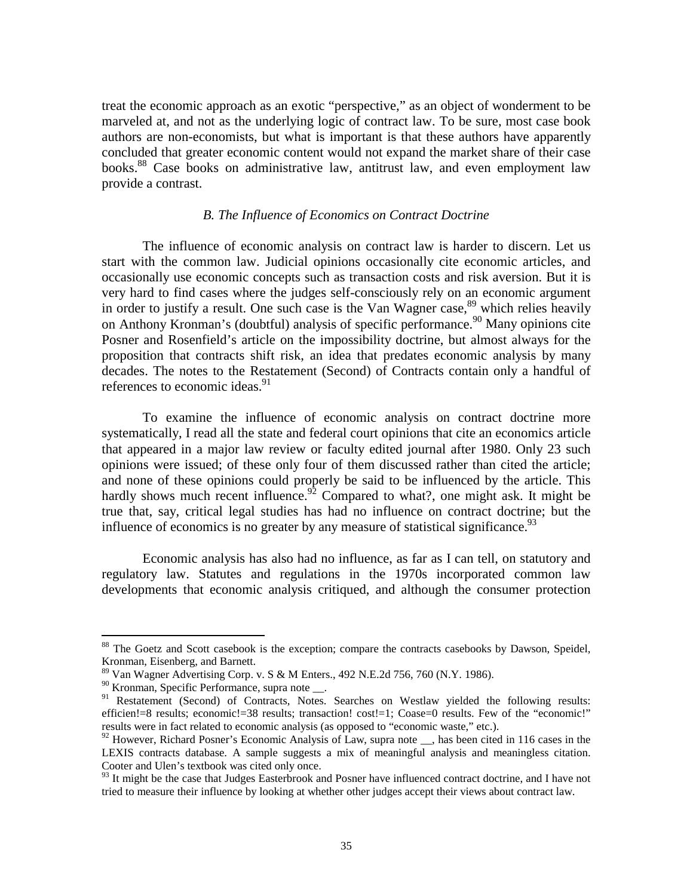treat the economic approach as an exotic "perspective," as an object of wonderment to be marveled at, and not as the underlying logic of contract law. To be sure, most case book authors are non-economists, but what is important is that these authors have apparently concluded that greater economic content would not expand the market share of their case books.<sup>88</sup> Case books on administrative law, antitrust law, and even employment law provide a contrast.

#### *B. The Influence of Economics on Contract Doctrine*

 The influence of economic analysis on contract law is harder to discern. Let us start with the common law. Judicial opinions occasionally cite economic articles, and occasionally use economic concepts such as transaction costs and risk aversion. But it is very hard to find cases where the judges self-consciously rely on an economic argument in order to justify a result. One such case is the Van Wagner case,<sup>89</sup> which relies heavily on Anthony Kronman's (doubtful) analysis of specific performance.<sup>90</sup> Many opinions cite Posner and Rosenfield's article on the impossibility doctrine, but almost always for the proposition that contracts shift risk, an idea that predates economic analysis by many decades. The notes to the Restatement (Second) of Contracts contain only a handful of references to economic ideas.<sup>91</sup>

 To examine the influence of economic analysis on contract doctrine more systematically, I read all the state and federal court opinions that cite an economics article that appeared in a major law review or faculty edited journal after 1980. Only 23 such opinions were issued; of these only four of them discussed rather than cited the article; and none of these opinions could properly be said to be influenced by the article. This hardly shows much recent influence.<sup>92</sup> Compared to what?, one might ask. It might be true that, say, critical legal studies has had no influence on contract doctrine; but the influence of economics is no greater by any measure of statistical significance.<sup>93</sup>

 Economic analysis has also had no influence, as far as I can tell, on statutory and regulatory law. Statutes and regulations in the 1970s incorporated common law developments that economic analysis critiqued, and although the consumer protection

<sup>&</sup>lt;sup>88</sup> The Goetz and Scott casebook is the exception; compare the contracts casebooks by Dawson, Speidel, Kronman, Eisenberg, and Barnett.

<sup>89</sup> Van Wagner Advertising Corp. v. S & M Enters., 492 N.E.2d 756, 760 (N.Y. 1986).

<sup>&</sup>lt;sup>90</sup> Kronman, Specific Performance, supra note \_\_.

<sup>&</sup>lt;sup>91</sup> Restatement (Second) of Contracts, Notes. Searches on Westlaw yielded the following results: efficien!=8 results; economic!=38 results; transaction! cost!=1; Coase=0 results. Few of the "economic!" results were in fact related to economic analysis (as opposed to "economic waste," etc.).

<sup>&</sup>lt;sup>92</sup> However, Richard Posner's Economic Analysis of Law, supra note  $\Box$ , has been cited in 116 cases in the LEXIS contracts database. A sample suggests a mix of meaningful analysis and meaningless citation. Cooter and Ulen's textbook was cited only once.

<sup>&</sup>lt;sup>93</sup> It might be the case that Judges Easterbrook and Posner have influenced contract doctrine, and I have not tried to measure their influence by looking at whether other judges accept their views about contract law.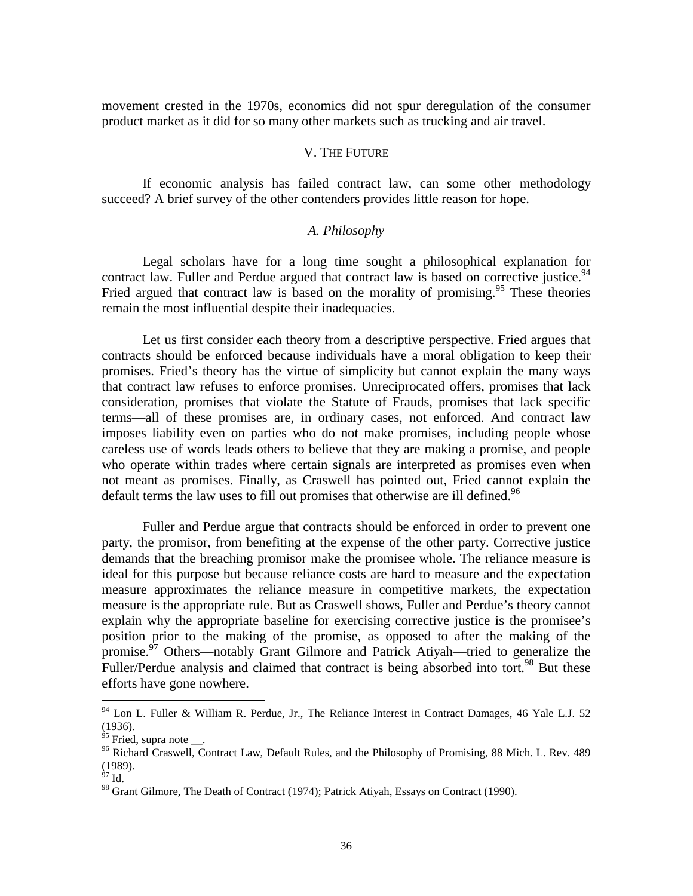movement crested in the 1970s, economics did not spur deregulation of the consumer product market as it did for so many other markets such as trucking and air travel.

#### V. THE FUTURE

If economic analysis has failed contract law, can some other methodology succeed? A brief survey of the other contenders provides little reason for hope.

#### *A. Philosophy*

Legal scholars have for a long time sought a philosophical explanation for contract law. Fuller and Perdue argued that contract law is based on corrective justice.  $94$ Fried argued that contract law is based on the morality of promising.<sup>95</sup> These theories remain the most influential despite their inadequacies.

Let us first consider each theory from a descriptive perspective. Fried argues that contracts should be enforced because individuals have a moral obligation to keep their promises. Fried's theory has the virtue of simplicity but cannot explain the many ways that contract law refuses to enforce promises. Unreciprocated offers, promises that lack consideration, promises that violate the Statute of Frauds, promises that lack specific terms—all of these promises are, in ordinary cases, not enforced. And contract law imposes liability even on parties who do not make promises, including people whose careless use of words leads others to believe that they are making a promise, and people who operate within trades where certain signals are interpreted as promises even when not meant as promises. Finally, as Craswell has pointed out, Fried cannot explain the default terms the law uses to fill out promises that otherwise are ill defined.<sup>96</sup>

Fuller and Perdue argue that contracts should be enforced in order to prevent one party, the promisor, from benefiting at the expense of the other party. Corrective justice demands that the breaching promisor make the promisee whole. The reliance measure is ideal for this purpose but because reliance costs are hard to measure and the expectation measure approximates the reliance measure in competitive markets, the expectation measure is the appropriate rule. But as Craswell shows, Fuller and Perdue's theory cannot explain why the appropriate baseline for exercising corrective justice is the promisee's position prior to the making of the promise, as opposed to after the making of the promise. $\frac{97}{7}$  Others—notably Grant Gilmore and Patrick Atiyah—tried to generalize the Fuller/Perdue analysis and claimed that contract is being absorbed into tort.<sup>98</sup> But these efforts have gone nowhere.

 $94$  Lon L. Fuller & William R. Perdue, Jr., The Reliance Interest in Contract Damages, 46 Yale L.J. 52 (1936).

 $95$  Fried, supra note  $\_\_$ .

<sup>&</sup>lt;sup>96</sup> Richard Craswell, Contract Law, Default Rules, and the Philosophy of Promising, 88 Mich. L. Rev. 489 (1989).

 $97$  Id.

<sup>&</sup>lt;sup>98</sup> Grant Gilmore, The Death of Contract (1974); Patrick Atiyah, Essays on Contract (1990).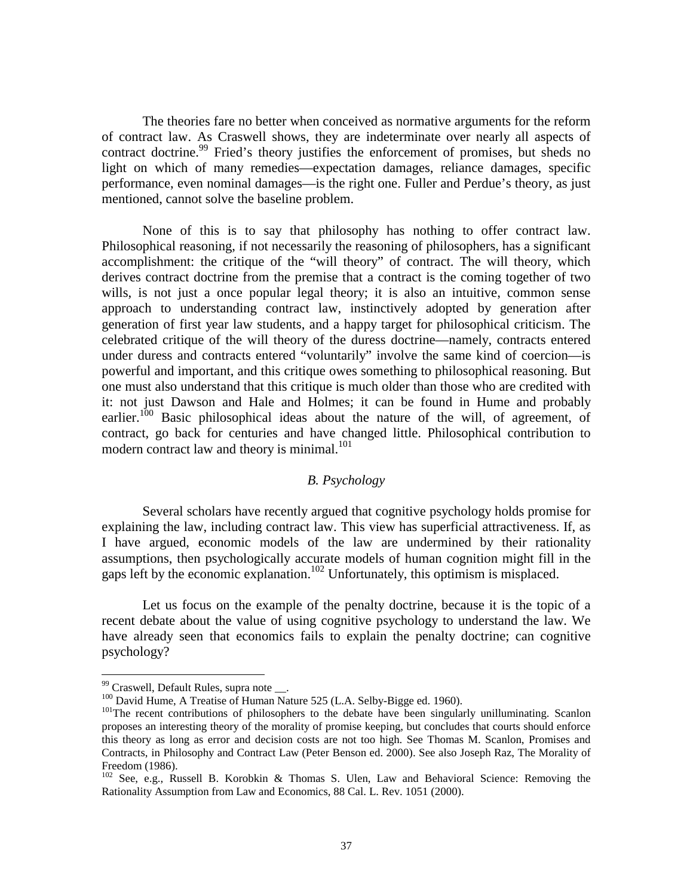The theories fare no better when conceived as normative arguments for the reform of contract law. As Craswell shows, they are indeterminate over nearly all aspects of contract doctrine.<sup>99</sup> Fried's theory justifies the enforcement of promises, but sheds no light on which of many remedies—expectation damages, reliance damages, specific performance, even nominal damages—is the right one. Fuller and Perdue's theory, as just mentioned, cannot solve the baseline problem.

None of this is to say that philosophy has nothing to offer contract law. Philosophical reasoning, if not necessarily the reasoning of philosophers, has a significant accomplishment: the critique of the "will theory" of contract. The will theory, which derives contract doctrine from the premise that a contract is the coming together of two wills, is not just a once popular legal theory; it is also an intuitive, common sense approach to understanding contract law, instinctively adopted by generation after generation of first year law students, and a happy target for philosophical criticism. The celebrated critique of the will theory of the duress doctrine—namely, contracts entered under duress and contracts entered "voluntarily" involve the same kind of coercion—is powerful and important, and this critique owes something to philosophical reasoning. But one must also understand that this critique is much older than those who are credited with it: not just Dawson and Hale and Holmes; it can be found in Hume and probably earlier.<sup>100</sup> Basic philosophical ideas about the nature of the will, of agreement, of contract, go back for centuries and have changed little. Philosophical contribution to modern contract law and theory is minimal.<sup>101</sup>

#### *B. Psychology*

Several scholars have recently argued that cognitive psychology holds promise for explaining the law, including contract law. This view has superficial attractiveness. If, as I have argued, economic models of the law are undermined by their rationality assumptions, then psychologically accurate models of human cognition might fill in the gaps left by the economic explanation.<sup>102</sup> Unfortunately, this optimism is misplaced.

Let us focus on the example of the penalty doctrine, because it is the topic of a recent debate about the value of using cognitive psychology to understand the law. We have already seen that economics fails to explain the penalty doctrine; can cognitive psychology?

<u>.</u>

 $99$  Craswell, Default Rules, supra note  $\_\_$ .

<sup>&</sup>lt;sup>101</sup>The recent contributions of philosophers to the debate have been singularly unilluminating. Scanlon proposes an interesting theory of the morality of promise keeping, but concludes that courts should enforce this theory as long as error and decision costs are not too high. See Thomas M. Scanlon, Promises and Contracts, in Philosophy and Contract Law (Peter Benson ed. 2000). See also Joseph Raz, The Morality of Freedom (1986).

<sup>&</sup>lt;sup>102</sup> See, e.g., Russell B. Korobkin & Thomas S. Ulen, Law and Behavioral Science: Removing the Rationality Assumption from Law and Economics, 88 Cal. L. Rev. 1051 (2000).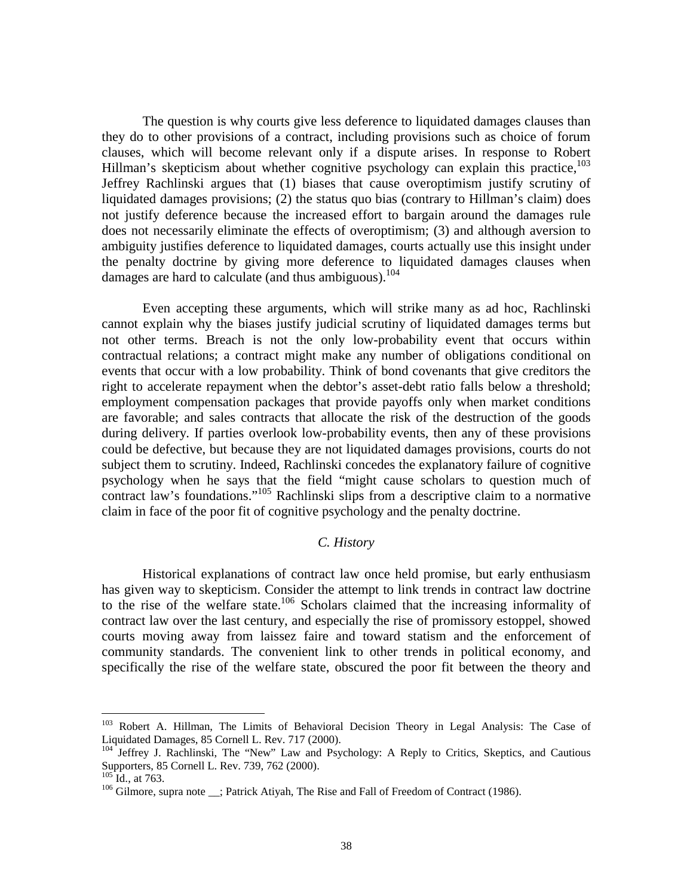The question is why courts give less deference to liquidated damages clauses than they do to other provisions of a contract, including provisions such as choice of forum clauses, which will become relevant only if a dispute arises. In response to Robert Hillman's skepticism about whether cognitive psychology can explain this practice,<sup>103</sup> Jeffrey Rachlinski argues that (1) biases that cause overoptimism justify scrutiny of liquidated damages provisions; (2) the status quo bias (contrary to Hillman's claim) does not justify deference because the increased effort to bargain around the damages rule does not necessarily eliminate the effects of overoptimism; (3) and although aversion to ambiguity justifies deference to liquidated damages, courts actually use this insight under the penalty doctrine by giving more deference to liquidated damages clauses when damages are hard to calculate (and thus ambiguous).<sup>104</sup>

Even accepting these arguments, which will strike many as ad hoc, Rachlinski cannot explain why the biases justify judicial scrutiny of liquidated damages terms but not other terms. Breach is not the only low-probability event that occurs within contractual relations; a contract might make any number of obligations conditional on events that occur with a low probability. Think of bond covenants that give creditors the right to accelerate repayment when the debtor's asset-debt ratio falls below a threshold; employment compensation packages that provide payoffs only when market conditions are favorable; and sales contracts that allocate the risk of the destruction of the goods during delivery. If parties overlook low-probability events, then any of these provisions could be defective, but because they are not liquidated damages provisions, courts do not subject them to scrutiny. Indeed, Rachlinski concedes the explanatory failure of cognitive psychology when he says that the field "might cause scholars to question much of contract law's foundations."<sup>105</sup> Rachlinski slips from a descriptive claim to a normative claim in face of the poor fit of cognitive psychology and the penalty doctrine.

#### *C. History*

Historical explanations of contract law once held promise, but early enthusiasm has given way to skepticism. Consider the attempt to link trends in contract law doctrine to the rise of the welfare state.<sup>106</sup> Scholars claimed that the increasing informality of contract law over the last century, and especially the rise of promissory estoppel, showed courts moving away from laissez faire and toward statism and the enforcement of community standards. The convenient link to other trends in political economy, and specifically the rise of the welfare state, obscured the poor fit between the theory and

1

<sup>&</sup>lt;sup>103</sup> Robert A. Hillman, The Limits of Behavioral Decision Theory in Legal Analysis: The Case of Liquidated Damages, 85 Cornell L. Rev. 717 (2000).

<sup>&</sup>lt;sup>104</sup> Jeffrey J. Rachlinski, The "New" Law and Psychology: A Reply to Critics, Skeptics, and Cautious Supporters, 85 Cornell L. Rev. 739, 762 (2000).<br><sup>105</sup> Id., at 763.

<sup>&</sup>lt;sup>106</sup> Gilmore, supra note : Patrick Atiyah, The Rise and Fall of Freedom of Contract (1986).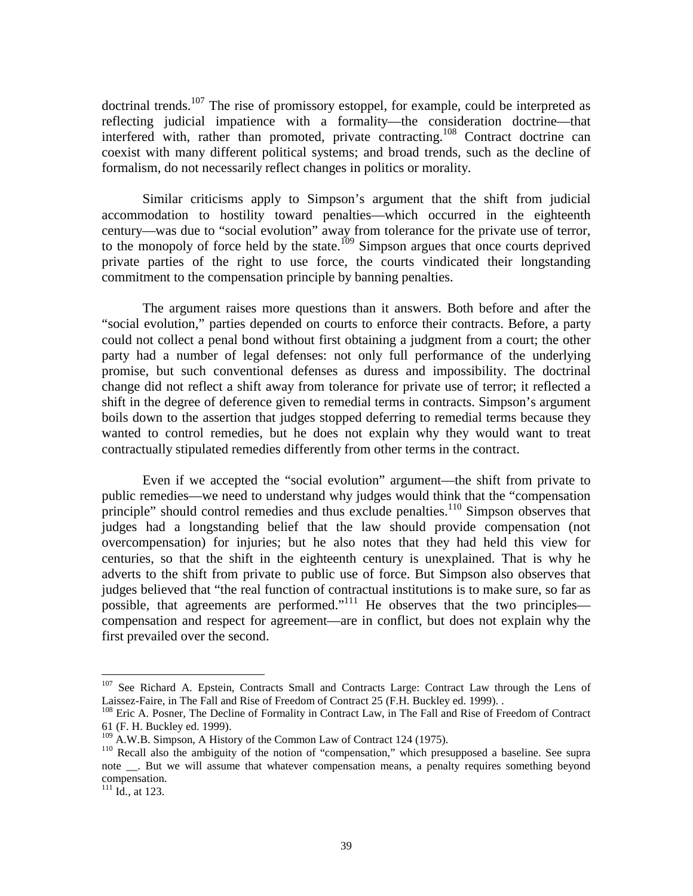doctrinal trends.<sup>107</sup> The rise of promissory estoppel, for example, could be interpreted as reflecting judicial impatience with a formality—the consideration doctrine—that interfered with, rather than promoted, private contracting.<sup>108</sup> Contract doctrine can coexist with many different political systems; and broad trends, such as the decline of formalism, do not necessarily reflect changes in politics or morality.

Similar criticisms apply to Simpson's argument that the shift from judicial accommodation to hostility toward penalties—which occurred in the eighteenth century—was due to "social evolution" away from tolerance for the private use of terror, to the monopoly of force held by the state.<sup>109</sup> Simpson argues that once courts deprived private parties of the right to use force, the courts vindicated their longstanding commitment to the compensation principle by banning penalties.

The argument raises more questions than it answers. Both before and after the "social evolution," parties depended on courts to enforce their contracts. Before, a party could not collect a penal bond without first obtaining a judgment from a court; the other party had a number of legal defenses: not only full performance of the underlying promise, but such conventional defenses as duress and impossibility. The doctrinal change did not reflect a shift away from tolerance for private use of terror; it reflected a shift in the degree of deference given to remedial terms in contracts. Simpson's argument boils down to the assertion that judges stopped deferring to remedial terms because they wanted to control remedies, but he does not explain why they would want to treat contractually stipulated remedies differently from other terms in the contract.

Even if we accepted the "social evolution" argument—the shift from private to public remedies—we need to understand why judges would think that the "compensation principle" should control remedies and thus exclude penalties.<sup>110</sup> Simpson observes that judges had a longstanding belief that the law should provide compensation (not overcompensation) for injuries; but he also notes that they had held this view for centuries, so that the shift in the eighteenth century is unexplained. That is why he adverts to the shift from private to public use of force. But Simpson also observes that judges believed that "the real function of contractual institutions is to make sure, so far as possible, that agreements are performed."<sup>111</sup> He observes that the two principles compensation and respect for agreement—are in conflict, but does not explain why the first prevailed over the second.

<sup>&</sup>lt;sup>107</sup> See Richard A. Epstein, Contracts Small and Contracts Large: Contract Law through the Lens of Laissez-Faire, in The Fall and Rise of Freedom of Contract 25 (F.H. Buckley ed. 1999). .

<sup>&</sup>lt;sup>108</sup> Eric A. Posner, The Decline of Formality in Contract Law, in The Fall and Rise of Freedom of Contract 61 (F. H. Buckley ed. 1999).<br><sup>109</sup> A.W.B. Simpson, A History of the Common Law of Contract 124 (1975).

 $110$  Recall also the ambiguity of the notion of "compensation," which presupposed a baseline. See supra note \_\_. But we will assume that whatever compensation means, a penalty requires something beyond compensation.

 $^{111}$  Id., at 123.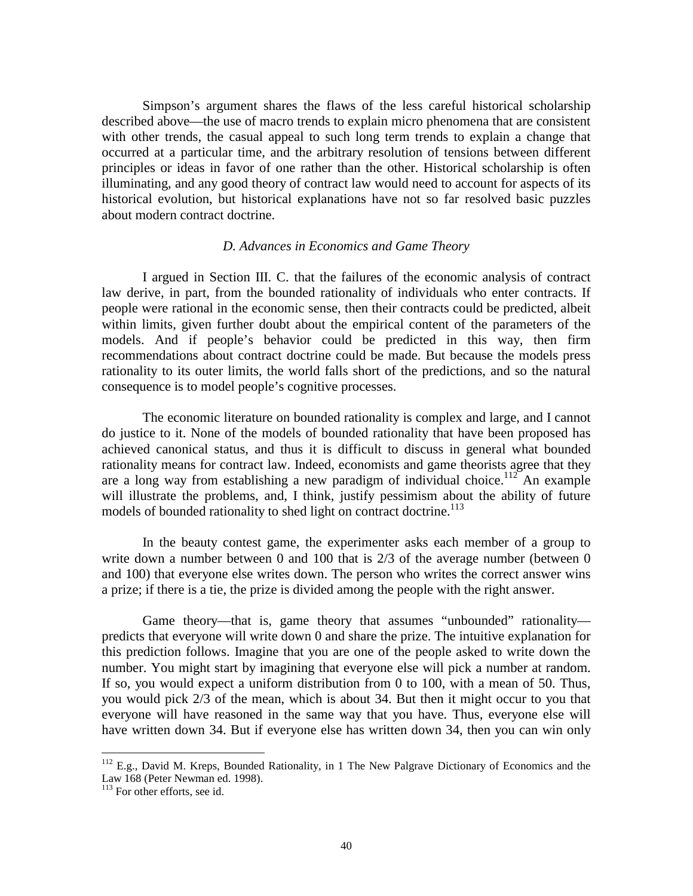Simpson's argument shares the flaws of the less careful historical scholarship described above—the use of macro trends to explain micro phenomena that are consistent with other trends, the casual appeal to such long term trends to explain a change that occurred at a particular time, and the arbitrary resolution of tensions between different principles or ideas in favor of one rather than the other. Historical scholarship is often illuminating, and any good theory of contract law would need to account for aspects of its historical evolution, but historical explanations have not so far resolved basic puzzles about modern contract doctrine.

#### *D. Advances in Economics and Game Theory*

I argued in Section III. C. that the failures of the economic analysis of contract law derive, in part, from the bounded rationality of individuals who enter contracts. If people were rational in the economic sense, then their contracts could be predicted, albeit within limits, given further doubt about the empirical content of the parameters of the models. And if people's behavior could be predicted in this way, then firm recommendations about contract doctrine could be made. But because the models press rationality to its outer limits, the world falls short of the predictions, and so the natural consequence is to model people's cognitive processes.

The economic literature on bounded rationality is complex and large, and I cannot do justice to it. None of the models of bounded rationality that have been proposed has achieved canonical status, and thus it is difficult to discuss in general what bounded rationality means for contract law. Indeed, economists and game theorists agree that they are a long way from establishing a new paradigm of individual choice.<sup>112</sup> An example will illustrate the problems, and, I think, justify pessimism about the ability of future models of bounded rationality to shed light on contract doctrine.<sup>113</sup>

In the beauty contest game, the experimenter asks each member of a group to write down a number between 0 and 100 that is 2/3 of the average number (between 0 and 100) that everyone else writes down. The person who writes the correct answer wins a prize; if there is a tie, the prize is divided among the people with the right answer.

Game theory—that is, game theory that assumes "unbounded" rationality predicts that everyone will write down 0 and share the prize. The intuitive explanation for this prediction follows. Imagine that you are one of the people asked to write down the number. You might start by imagining that everyone else will pick a number at random. If so, you would expect a uniform distribution from 0 to 100, with a mean of 50. Thus, you would pick 2/3 of the mean, which is about 34. But then it might occur to you that everyone will have reasoned in the same way that you have. Thus, everyone else will have written down 34. But if everyone else has written down 34, then you can win only

 $112$  E.g., David M. Kreps, Bounded Rationality, in 1 The New Palgrave Dictionary of Economics and the Law 168 (Peter Newman ed. 1998).

<sup>&</sup>lt;sup>113</sup> For other efforts, see id.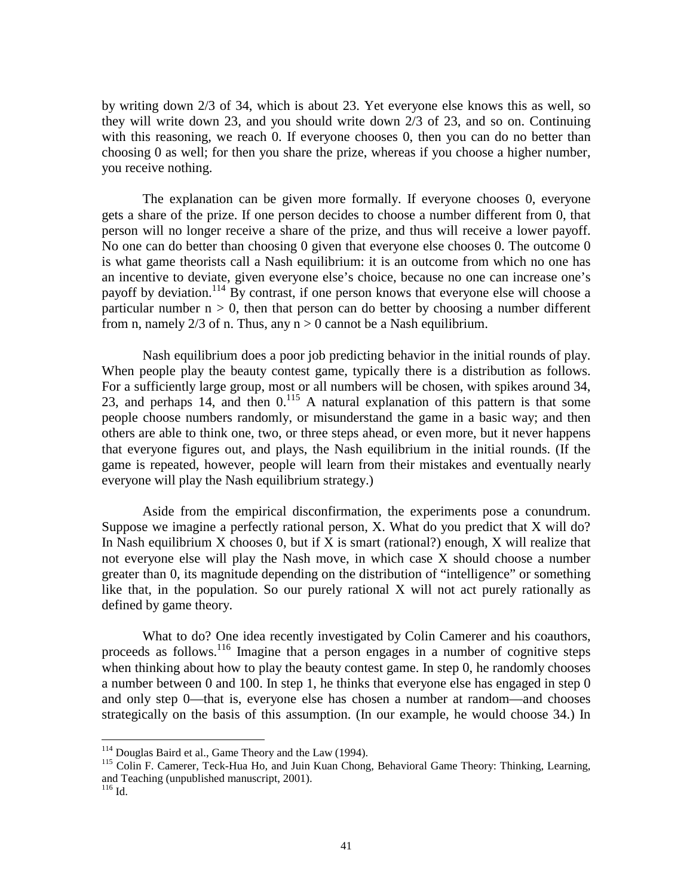by writing down 2/3 of 34, which is about 23. Yet everyone else knows this as well, so they will write down 23, and you should write down 2/3 of 23, and so on. Continuing with this reasoning, we reach 0. If everyone chooses 0, then you can do no better than choosing 0 as well; for then you share the prize, whereas if you choose a higher number, you receive nothing.

The explanation can be given more formally. If everyone chooses 0, everyone gets a share of the prize. If one person decides to choose a number different from 0, that person will no longer receive a share of the prize, and thus will receive a lower payoff. No one can do better than choosing 0 given that everyone else chooses 0. The outcome 0 is what game theorists call a Nash equilibrium: it is an outcome from which no one has an incentive to deviate, given everyone else's choice, because no one can increase one's payoff by deviation.<sup>114</sup> By contrast, if one person knows that everyone else will choose a particular number  $n > 0$ , then that person can do better by choosing a number different from n, namely  $2/3$  of n. Thus, any  $n > 0$  cannot be a Nash equilibrium.

Nash equilibrium does a poor job predicting behavior in the initial rounds of play. When people play the beauty contest game, typically there is a distribution as follows. For a sufficiently large group, most or all numbers will be chosen, with spikes around 34, 23, and perhaps 14, and then  $0<sup>115</sup>$  A natural explanation of this pattern is that some people choose numbers randomly, or misunderstand the game in a basic way; and then others are able to think one, two, or three steps ahead, or even more, but it never happens that everyone figures out, and plays, the Nash equilibrium in the initial rounds. (If the game is repeated, however, people will learn from their mistakes and eventually nearly everyone will play the Nash equilibrium strategy.)

Aside from the empirical disconfirmation, the experiments pose a conundrum. Suppose we imagine a perfectly rational person, X. What do you predict that X will do? In Nash equilibrium  $X$  chooses 0, but if  $X$  is smart (rational?) enough,  $X$  will realize that not everyone else will play the Nash move, in which case X should choose a number greater than 0, its magnitude depending on the distribution of "intelligence" or something like that, in the population. So our purely rational X will not act purely rationally as defined by game theory.

What to do? One idea recently investigated by Colin Camerer and his coauthors, proceeds as follows.116 Imagine that a person engages in a number of cognitive steps when thinking about how to play the beauty contest game. In step 0, he randomly chooses a number between 0 and 100. In step 1, he thinks that everyone else has engaged in step 0 and only step 0—that is, everyone else has chosen a number at random—and chooses strategically on the basis of this assumption. (In our example, he would choose 34.) In

<sup>&</sup>lt;sup>114</sup> Douglas Baird et al., Game Theory and the Law (1994).

<sup>&</sup>lt;sup>115</sup> Colin F. Camerer, Teck-Hua Ho, and Juin Kuan Chong, Behavioral Game Theory: Thinking, Learning, and Teaching (unpublished manuscript, 2001).

<sup>116</sup> Id.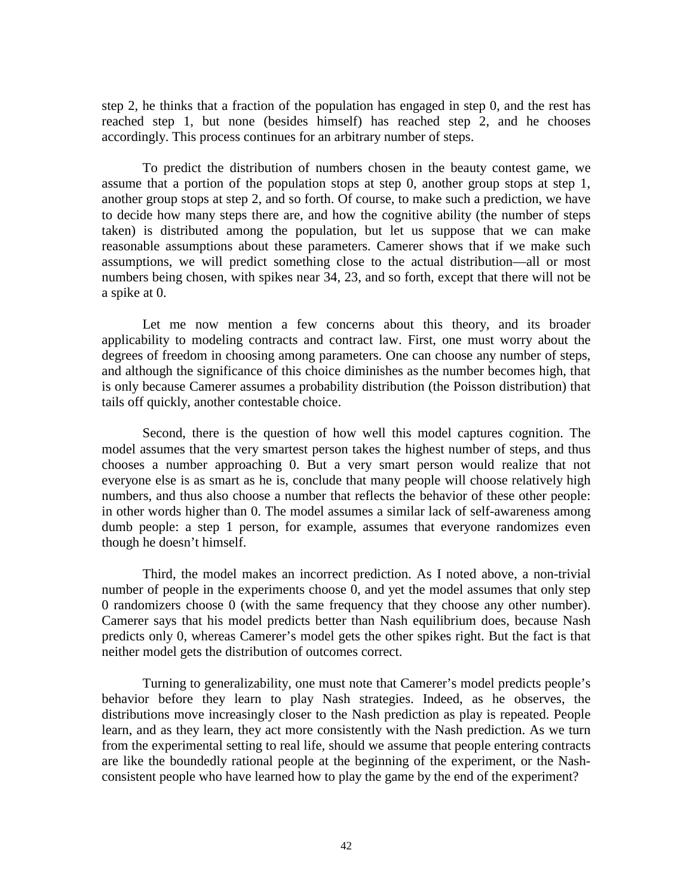step 2, he thinks that a fraction of the population has engaged in step 0, and the rest has reached step 1, but none (besides himself) has reached step 2, and he chooses accordingly. This process continues for an arbitrary number of steps.

To predict the distribution of numbers chosen in the beauty contest game, we assume that a portion of the population stops at step 0, another group stops at step 1, another group stops at step 2, and so forth. Of course, to make such a prediction, we have to decide how many steps there are, and how the cognitive ability (the number of steps taken) is distributed among the population, but let us suppose that we can make reasonable assumptions about these parameters. Camerer shows that if we make such assumptions, we will predict something close to the actual distribution—all or most numbers being chosen, with spikes near 34, 23, and so forth, except that there will not be a spike at 0.

Let me now mention a few concerns about this theory, and its broader applicability to modeling contracts and contract law. First, one must worry about the degrees of freedom in choosing among parameters. One can choose any number of steps, and although the significance of this choice diminishes as the number becomes high, that is only because Camerer assumes a probability distribution (the Poisson distribution) that tails off quickly, another contestable choice.

Second, there is the question of how well this model captures cognition. The model assumes that the very smartest person takes the highest number of steps, and thus chooses a number approaching 0. But a very smart person would realize that not everyone else is as smart as he is, conclude that many people will choose relatively high numbers, and thus also choose a number that reflects the behavior of these other people: in other words higher than 0. The model assumes a similar lack of self-awareness among dumb people: a step 1 person, for example, assumes that everyone randomizes even though he doesn't himself.

Third, the model makes an incorrect prediction. As I noted above, a non-trivial number of people in the experiments choose 0, and yet the model assumes that only step 0 randomizers choose 0 (with the same frequency that they choose any other number). Camerer says that his model predicts better than Nash equilibrium does, because Nash predicts only 0, whereas Camerer's model gets the other spikes right. But the fact is that neither model gets the distribution of outcomes correct.

Turning to generalizability, one must note that Camerer's model predicts people's behavior before they learn to play Nash strategies. Indeed, as he observes, the distributions move increasingly closer to the Nash prediction as play is repeated. People learn, and as they learn, they act more consistently with the Nash prediction. As we turn from the experimental setting to real life, should we assume that people entering contracts are like the boundedly rational people at the beginning of the experiment, or the Nashconsistent people who have learned how to play the game by the end of the experiment?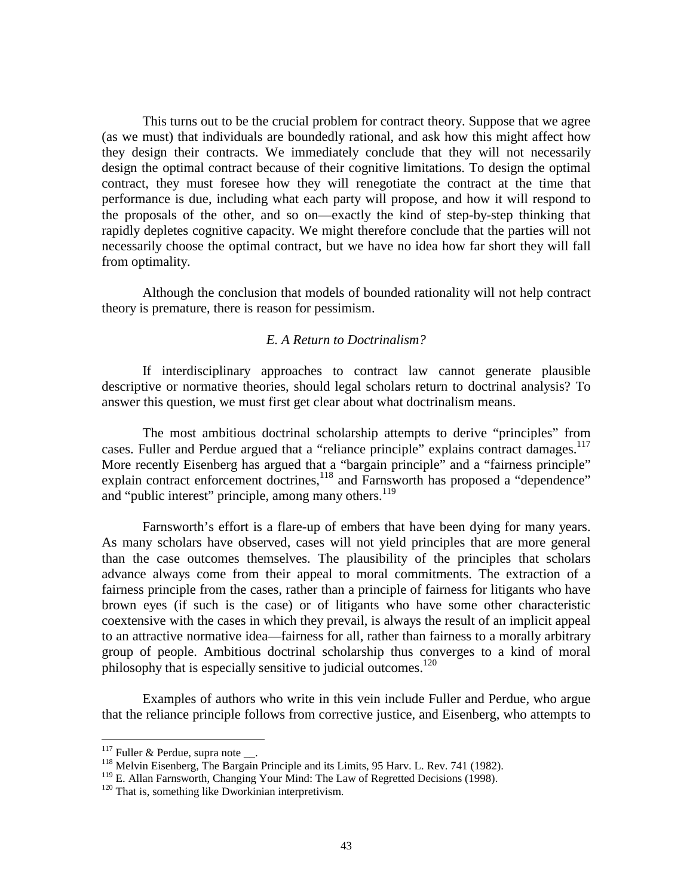This turns out to be the crucial problem for contract theory. Suppose that we agree (as we must) that individuals are boundedly rational, and ask how this might affect how they design their contracts. We immediately conclude that they will not necessarily design the optimal contract because of their cognitive limitations. To design the optimal contract, they must foresee how they will renegotiate the contract at the time that performance is due, including what each party will propose, and how it will respond to the proposals of the other, and so on—exactly the kind of step-by-step thinking that rapidly depletes cognitive capacity. We might therefore conclude that the parties will not necessarily choose the optimal contract, but we have no idea how far short they will fall from optimality.

Although the conclusion that models of bounded rationality will not help contract theory is premature, there is reason for pessimism.

#### *E. A Return to Doctrinalism?*

 If interdisciplinary approaches to contract law cannot generate plausible descriptive or normative theories, should legal scholars return to doctrinal analysis? To answer this question, we must first get clear about what doctrinalism means.

 The most ambitious doctrinal scholarship attempts to derive "principles" from cases. Fuller and Perdue argued that a "reliance principle" explains contract damages.<sup>117</sup> More recently Eisenberg has argued that a "bargain principle" and a "fairness principle" explain contract enforcement doctrines,<sup>118</sup> and Farnsworth has proposed a "dependence" and "public interest" principle, among many others.<sup>119</sup>

 Farnsworth's effort is a flare-up of embers that have been dying for many years. As many scholars have observed, cases will not yield principles that are more general than the case outcomes themselves. The plausibility of the principles that scholars advance always come from their appeal to moral commitments. The extraction of a fairness principle from the cases, rather than a principle of fairness for litigants who have brown eyes (if such is the case) or of litigants who have some other characteristic coextensive with the cases in which they prevail, is always the result of an implicit appeal to an attractive normative idea—fairness for all, rather than fairness to a morally arbitrary group of people. Ambitious doctrinal scholarship thus converges to a kind of moral philosophy that is especially sensitive to judicial outcomes. $120$ 

 Examples of authors who write in this vein include Fuller and Perdue, who argue that the reliance principle follows from corrective justice, and Eisenberg, who attempts to

 $117$  Fuller & Perdue, supra note \_\_.

 $\frac{118}{118}$  Melvin Eisenberg, The Bargain Principle and its Limits, 95 Harv. L. Rev. 741 (1982).

<sup>&</sup>lt;sup>119</sup> E. Allan Farnsworth, Changing Your Mind: The Law of Regretted Decisions (1998). <sup>120</sup> That is, something like Dworkinian interpretivism.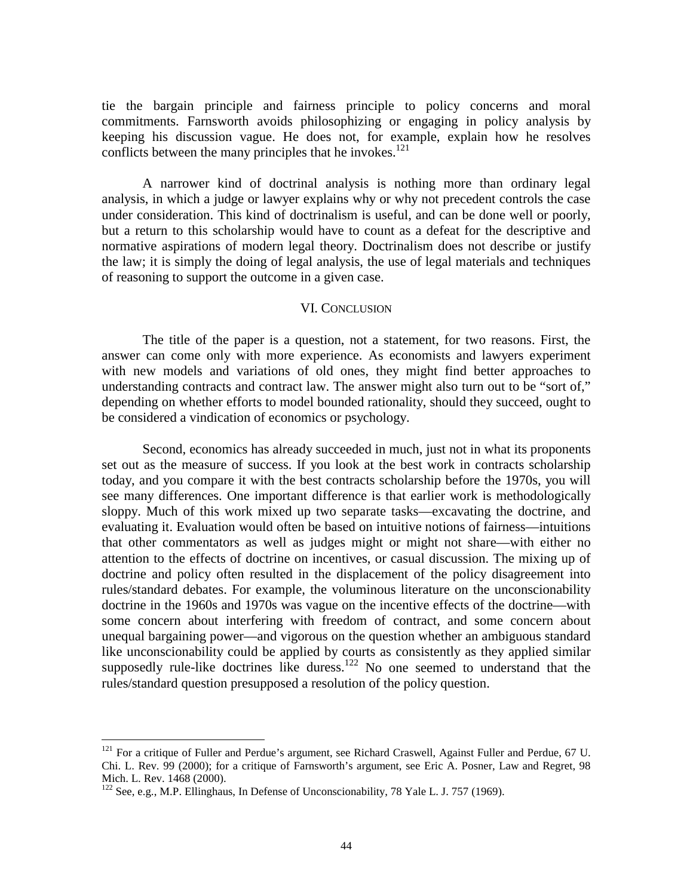tie the bargain principle and fairness principle to policy concerns and moral commitments. Farnsworth avoids philosophizing or engaging in policy analysis by keeping his discussion vague. He does not, for example, explain how he resolves conflicts between the many principles that he invokes. $121$ 

 A narrower kind of doctrinal analysis is nothing more than ordinary legal analysis, in which a judge or lawyer explains why or why not precedent controls the case under consideration. This kind of doctrinalism is useful, and can be done well or poorly, but a return to this scholarship would have to count as a defeat for the descriptive and normative aspirations of modern legal theory. Doctrinalism does not describe or justify the law; it is simply the doing of legal analysis, the use of legal materials and techniques of reasoning to support the outcome in a given case.

#### VI. CONCLUSION

 The title of the paper is a question, not a statement, for two reasons. First, the answer can come only with more experience. As economists and lawyers experiment with new models and variations of old ones, they might find better approaches to understanding contracts and contract law. The answer might also turn out to be "sort of," depending on whether efforts to model bounded rationality, should they succeed, ought to be considered a vindication of economics or psychology.

 Second, economics has already succeeded in much, just not in what its proponents set out as the measure of success. If you look at the best work in contracts scholarship today, and you compare it with the best contracts scholarship before the 1970s, you will see many differences. One important difference is that earlier work is methodologically sloppy. Much of this work mixed up two separate tasks—excavating the doctrine, and evaluating it. Evaluation would often be based on intuitive notions of fairness—intuitions that other commentators as well as judges might or might not share—with either no attention to the effects of doctrine on incentives, or casual discussion. The mixing up of doctrine and policy often resulted in the displacement of the policy disagreement into rules/standard debates. For example, the voluminous literature on the unconscionability doctrine in the 1960s and 1970s was vague on the incentive effects of the doctrine—with some concern about interfering with freedom of contract, and some concern about unequal bargaining power—and vigorous on the question whether an ambiguous standard like unconscionability could be applied by courts as consistently as they applied similar supposedly rule-like doctrines like duress.<sup>122</sup> No one seemed to understand that the rules/standard question presupposed a resolution of the policy question.

 $121$  For a critique of Fuller and Perdue's argument, see Richard Craswell, Against Fuller and Perdue, 67 U. Chi. L. Rev. 99 (2000); for a critique of Farnsworth's argument, see Eric A. Posner, Law and Regret, 98 Mich. L. Rev. 1468 (2000).

<sup>&</sup>lt;sup>122</sup> See, e.g., M.P. Ellinghaus, In Defense of Unconscionability, 78 Yale L. J. 757 (1969).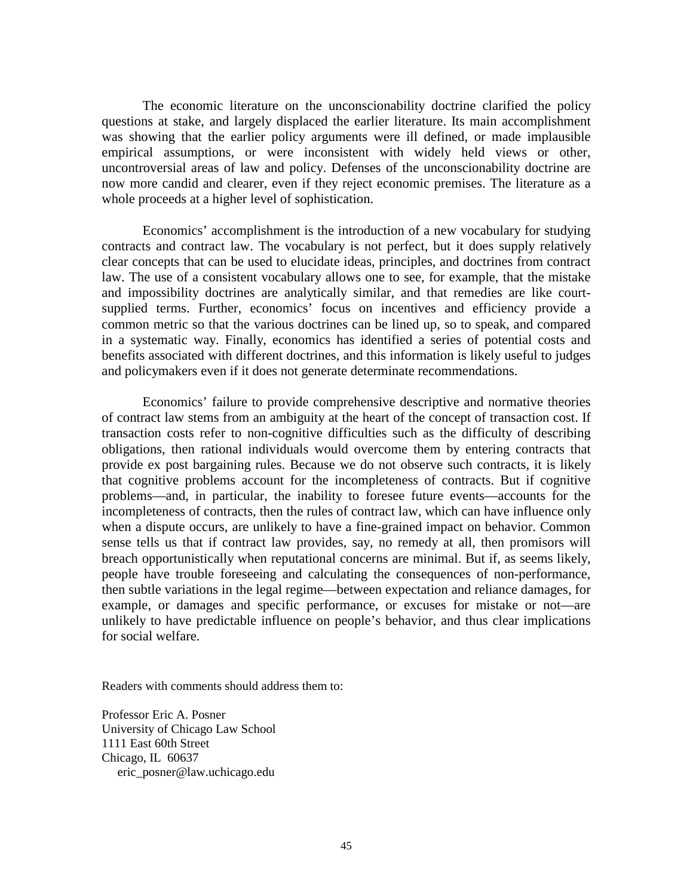The economic literature on the unconscionability doctrine clarified the policy questions at stake, and largely displaced the earlier literature. Its main accomplishment was showing that the earlier policy arguments were ill defined, or made implausible empirical assumptions, or were inconsistent with widely held views or other, uncontroversial areas of law and policy. Defenses of the unconscionability doctrine are now more candid and clearer, even if they reject economic premises. The literature as a whole proceeds at a higher level of sophistication.

 Economics' accomplishment is the introduction of a new vocabulary for studying contracts and contract law. The vocabulary is not perfect, but it does supply relatively clear concepts that can be used to elucidate ideas, principles, and doctrines from contract law. The use of a consistent vocabulary allows one to see, for example, that the mistake and impossibility doctrines are analytically similar, and that remedies are like courtsupplied terms. Further, economics' focus on incentives and efficiency provide a common metric so that the various doctrines can be lined up, so to speak, and compared in a systematic way. Finally, economics has identified a series of potential costs and benefits associated with different doctrines, and this information is likely useful to judges and policymakers even if it does not generate determinate recommendations.

 Economics' failure to provide comprehensive descriptive and normative theories of contract law stems from an ambiguity at the heart of the concept of transaction cost. If transaction costs refer to non-cognitive difficulties such as the difficulty of describing obligations, then rational individuals would overcome them by entering contracts that provide ex post bargaining rules. Because we do not observe such contracts, it is likely that cognitive problems account for the incompleteness of contracts. But if cognitive problems—and, in particular, the inability to foresee future events—accounts for the incompleteness of contracts, then the rules of contract law, which can have influence only when a dispute occurs, are unlikely to have a fine-grained impact on behavior. Common sense tells us that if contract law provides, say, no remedy at all, then promisors will breach opportunistically when reputational concerns are minimal. But if, as seems likely, people have trouble foreseeing and calculating the consequences of non-performance, then subtle variations in the legal regime—between expectation and reliance damages, for example, or damages and specific performance, or excuses for mistake or not—are unlikely to have predictable influence on people's behavior, and thus clear implications for social welfare.

Readers with comments should address them to:

Professor Eric A. Posner University of Chicago Law School 1111 East 60th Street Chicago, IL 60637 eric\_posner@law.uchicago.edu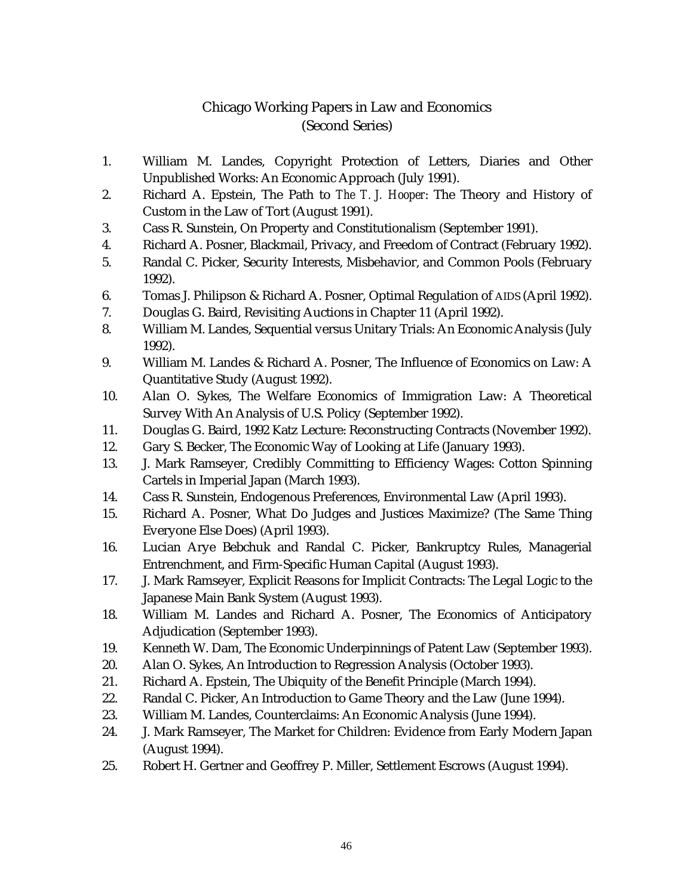## Chicago Working Papers in Law and Economics (Second Series)

- 1. William M. Landes, Copyright Protection of Letters, Diaries and Other Unpublished Works: An Economic Approach (July 1991).
- 2. Richard A. Epstein, The Path to *The T. J. Hooper*: The Theory and History of Custom in the Law of Tort (August 1991).
- 3. Cass R. Sunstein, On Property and Constitutionalism (September 1991).
- 4. Richard A. Posner, Blackmail, Privacy, and Freedom of Contract (February 1992).
- 5. Randal C. Picker, Security Interests, Misbehavior, and Common Pools (February 1992).
- 6. Tomas J. Philipson & Richard A. Posner, Optimal Regulation of AIDS (April 1992).
- 7. Douglas G. Baird, Revisiting Auctions in Chapter 11 (April 1992).
- 8. William M. Landes, Sequential versus Unitary Trials: An Economic Analysis (July 1992).
- 9. William M. Landes & Richard A. Posner, The Influence of Economics on Law: A Quantitative Study (August 1992).
- 10. Alan O. Sykes, The Welfare Economics of Immigration Law: A Theoretical Survey With An Analysis of U.S. Policy (September 1992).
- 11. Douglas G. Baird, 1992 Katz Lecture: Reconstructing Contracts (November 1992).
- 12. Gary S. Becker, The Economic Way of Looking at Life (January 1993).
- 13. J. Mark Ramseyer, Credibly Committing to Efficiency Wages: Cotton Spinning Cartels in Imperial Japan (March 1993).
- 14. Cass R. Sunstein, Endogenous Preferences, Environmental Law (April 1993).
- 15. Richard A. Posner, What Do Judges and Justices Maximize? (The Same Thing Everyone Else Does) (April 1993).
- 16. Lucian Arye Bebchuk and Randal C. Picker, Bankruptcy Rules, Managerial Entrenchment, and Firm-Specific Human Capital (August 1993).
- 17. J. Mark Ramseyer, Explicit Reasons for Implicit Contracts: The Legal Logic to the Japanese Main Bank System (August 1993).
- 18. William M. Landes and Richard A. Posner, The Economics of Anticipatory Adjudication (September 1993).
- 19. Kenneth W. Dam, The Economic Underpinnings of Patent Law (September 1993).
- 20. Alan O. Sykes, An Introduction to Regression Analysis (October 1993).
- 21. Richard A. Epstein, The Ubiquity of the Benefit Principle (March 1994).
- 22. Randal C. Picker, An Introduction to Game Theory and the Law (June 1994).
- 23. William M. Landes, Counterclaims: An Economic Analysis (June 1994).
- 24. J. Mark Ramseyer, The Market for Children: Evidence from Early Modern Japan (August 1994).
- 25. Robert H. Gertner and Geoffrey P. Miller, Settlement Escrows (August 1994).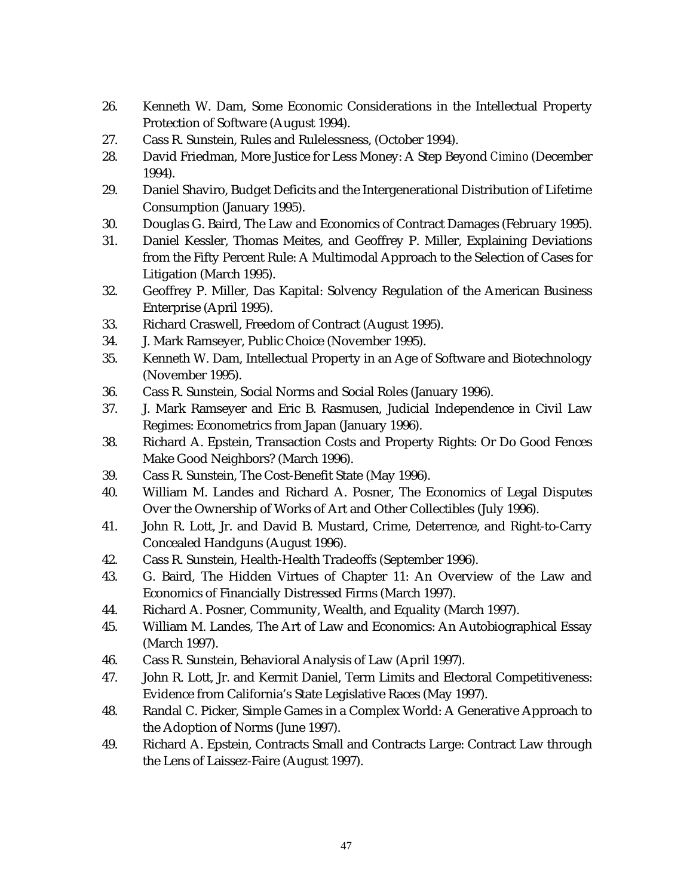- 26. Kenneth W. Dam, Some Economic Considerations in the Intellectual Property Protection of Software (August 1994).
- 27. Cass R. Sunstein, Rules and Rulelessness, (October 1994).
- 28. David Friedman, More Justice for Less Money: A Step Beyond *Cimino* (December 1994).
- 29. Daniel Shaviro, Budget Deficits and the Intergenerational Distribution of Lifetime Consumption (January 1995).
- 30. Douglas G. Baird, The Law and Economics of Contract Damages (February 1995).
- 31. Daniel Kessler, Thomas Meites, and Geoffrey P. Miller, Explaining Deviations from the Fifty Percent Rule: A Multimodal Approach to the Selection of Cases for Litigation (March 1995).
- 32. Geoffrey P. Miller, Das Kapital: Solvency Regulation of the American Business Enterprise (April 1995).
- 33. Richard Craswell, Freedom of Contract (August 1995).
- 34. J. Mark Ramseyer, Public Choice (November 1995).
- 35. Kenneth W. Dam, Intellectual Property in an Age of Software and Biotechnology (November 1995).
- 36. Cass R. Sunstein, Social Norms and Social Roles (January 1996).
- 37. J. Mark Ramseyer and Eric B. Rasmusen, Judicial Independence in Civil Law Regimes: Econometrics from Japan (January 1996).
- 38. Richard A. Epstein, Transaction Costs and Property Rights: Or Do Good Fences Make Good Neighbors? (March 1996).
- 39. Cass R. Sunstein, The Cost-Benefit State (May 1996).
- 40. William M. Landes and Richard A. Posner, The Economics of Legal Disputes Over the Ownership of Works of Art and Other Collectibles (July 1996).
- 41. John R. Lott, Jr. and David B. Mustard, Crime, Deterrence, and Right-to-Carry Concealed Handguns (August 1996).
- 42. Cass R. Sunstein, Health-Health Tradeoffs (September 1996).
- 43. G. Baird, The Hidden Virtues of Chapter 11: An Overview of the Law and Economics of Financially Distressed Firms (March 1997).
- 44. Richard A. Posner, Community, Wealth, and Equality (March 1997).
- 45. William M. Landes, The Art of Law and Economics: An Autobiographical Essay (March 1997).
- 46. Cass R. Sunstein, Behavioral Analysis of Law (April 1997).
- 47. John R. Lott, Jr. and Kermit Daniel, Term Limits and Electoral Competitiveness: Evidence from California's State Legislative Races (May 1997).
- 48. Randal C. Picker, Simple Games in a Complex World: A Generative Approach to the Adoption of Norms (June 1997).
- 49. Richard A. Epstein, Contracts Small and Contracts Large: Contract Law through the Lens of Laissez-Faire (August 1997).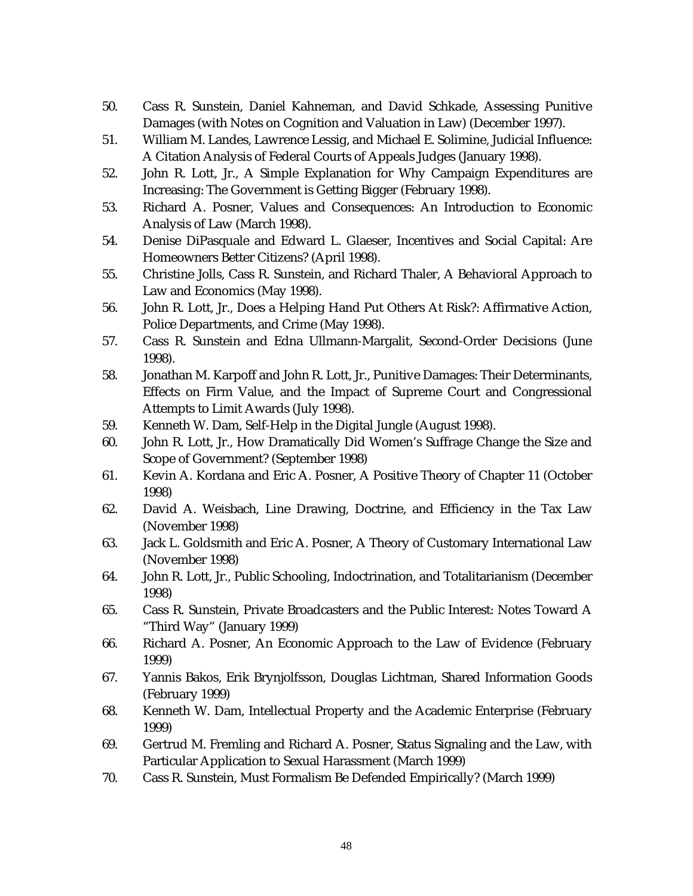- 50. Cass R. Sunstein, Daniel Kahneman, and David Schkade, Assessing Punitive Damages (with Notes on Cognition and Valuation in Law) (December 1997).
- 51. William M. Landes, Lawrence Lessig, and Michael E. Solimine, Judicial Influence: A Citation Analysis of Federal Courts of Appeals Judges (January 1998).
- 52. John R. Lott, Jr., A Simple Explanation for Why Campaign Expenditures are Increasing: The Government is Getting Bigger (February 1998).
- 53. Richard A. Posner, Values and Consequences: An Introduction to Economic Analysis of Law (March 1998).
- 54. Denise DiPasquale and Edward L. Glaeser, Incentives and Social Capital: Are Homeowners Better Citizens? (April 1998).
- 55. Christine Jolls, Cass R. Sunstein, and Richard Thaler, A Behavioral Approach to Law and Economics (May 1998).
- 56. John R. Lott, Jr., Does a Helping Hand Put Others At Risk?: Affirmative Action, Police Departments, and Crime (May 1998).
- 57. Cass R. Sunstein and Edna Ullmann-Margalit, Second-Order Decisions (June 1998).
- 58. Jonathan M. Karpoff and John R. Lott, Jr., Punitive Damages: Their Determinants, Effects on Firm Value, and the Impact of Supreme Court and Congressional Attempts to Limit Awards (July 1998).
- 59. Kenneth W. Dam, Self-Help in the Digital Jungle (August 1998).
- 60. John R. Lott, Jr., How Dramatically Did Women's Suffrage Change the Size and Scope of Government? (September 1998)
- 61. Kevin A. Kordana and Eric A. Posner, A Positive Theory of Chapter 11 (October 1998)
- 62. David A. Weisbach, Line Drawing, Doctrine, and Efficiency in the Tax Law (November 1998)
- 63. Jack L. Goldsmith and Eric A. Posner, A Theory of Customary International Law (November 1998)
- 64. John R. Lott, Jr., Public Schooling, Indoctrination, and Totalitarianism (December 1998)
- 65. Cass R. Sunstein, Private Broadcasters and the Public Interest: Notes Toward A "Third Way" (January 1999)
- 66. Richard A. Posner, An Economic Approach to the Law of Evidence (February 1999)
- 67. Yannis Bakos, Erik Brynjolfsson, Douglas Lichtman, Shared Information Goods (February 1999)
- 68. Kenneth W. Dam, Intellectual Property and the Academic Enterprise (February 1999)
- 69. Gertrud M. Fremling and Richard A. Posner, Status Signaling and the Law, with Particular Application to Sexual Harassment (March 1999)
- 70. Cass R. Sunstein, Must Formalism Be Defended Empirically? (March 1999)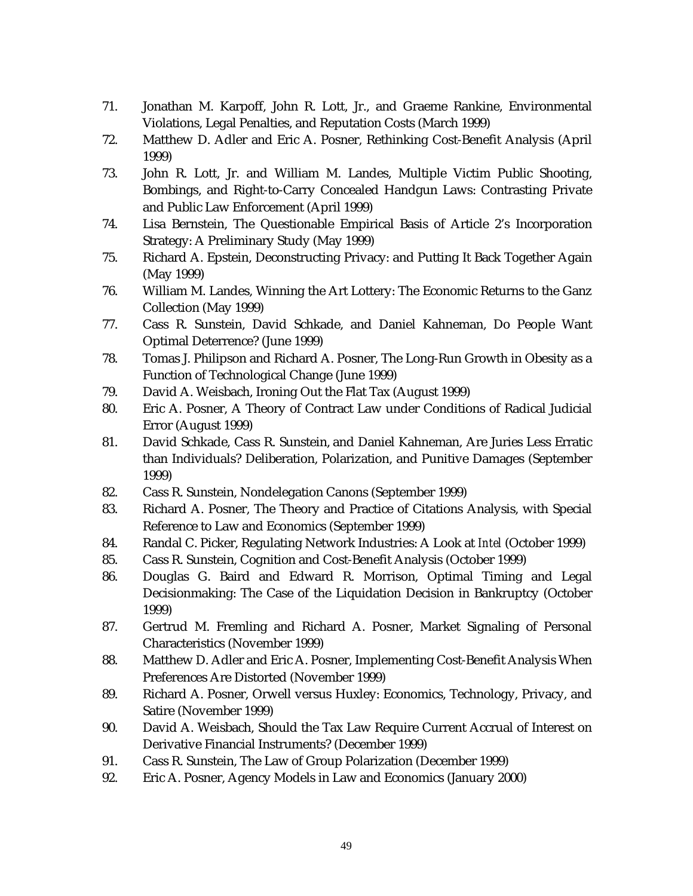- 71. Jonathan M. Karpoff, John R. Lott, Jr., and Graeme Rankine, Environmental Violations, Legal Penalties, and Reputation Costs (March 1999)
- 72. Matthew D. Adler and Eric A. Posner, Rethinking Cost-Benefit Analysis (April 1999)
- 73. John R. Lott, Jr. and William M. Landes, Multiple Victim Public Shooting, Bombings, and Right-to-Carry Concealed Handgun Laws: Contrasting Private and Public Law Enforcement (April 1999)
- 74. Lisa Bernstein, The Questionable Empirical Basis of Article 2's Incorporation Strategy: A Preliminary Study (May 1999)
- 75. Richard A. Epstein, Deconstructing Privacy: and Putting It Back Together Again (May 1999)
- 76. William M. Landes, Winning the Art Lottery: The Economic Returns to the Ganz Collection (May 1999)
- 77. Cass R. Sunstein, David Schkade, and Daniel Kahneman, Do People Want Optimal Deterrence? (June 1999)
- 78. Tomas J. Philipson and Richard A. Posner, The Long-Run Growth in Obesity as a Function of Technological Change (June 1999)
- 79. David A. Weisbach, Ironing Out the Flat Tax (August 1999)
- 80. Eric A. Posner, A Theory of Contract Law under Conditions of Radical Judicial Error (August 1999)
- 81. David Schkade, Cass R. Sunstein, and Daniel Kahneman, Are Juries Less Erratic than Individuals? Deliberation, Polarization, and Punitive Damages (September 1999)
- 82. Cass R. Sunstein, Nondelegation Canons (September 1999)
- 83. Richard A. Posner, The Theory and Practice of Citations Analysis, with Special Reference to Law and Economics (September 1999)
- 84. Randal C. Picker, Regulating Network Industries: A Look at *Intel* (October 1999)
- 85. Cass R. Sunstein, Cognition and Cost-Benefit Analysis (October 1999)
- 86. Douglas G. Baird and Edward R. Morrison, Optimal Timing and Legal Decisionmaking: The Case of the Liquidation Decision in Bankruptcy (October 1999)
- 87. Gertrud M. Fremling and Richard A. Posner, Market Signaling of Personal Characteristics (November 1999)
- 88. Matthew D. Adler and Eric A. Posner, Implementing Cost-Benefit Analysis When Preferences Are Distorted (November 1999)
- 89. Richard A. Posner, Orwell versus Huxley: Economics, Technology, Privacy, and Satire (November 1999)
- 90. David A. Weisbach, Should the Tax Law Require Current Accrual of Interest on Derivative Financial Instruments? (December 1999)
- 91. Cass R. Sunstein, The Law of Group Polarization (December 1999)
- 92. Eric A. Posner, Agency Models in Law and Economics (January 2000)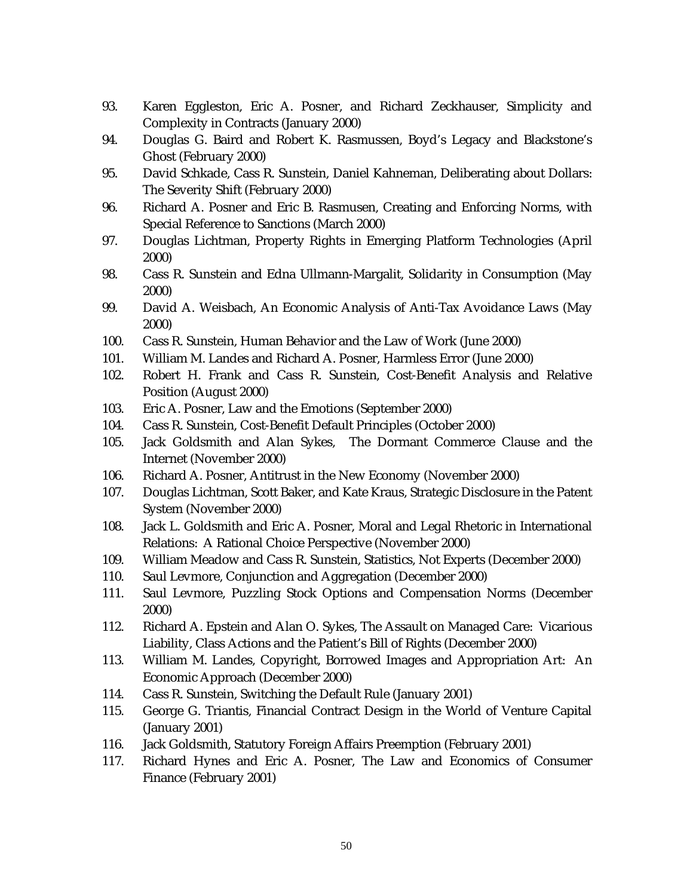- 93. Karen Eggleston, Eric A. Posner, and Richard Zeckhauser, Simplicity and Complexity in Contracts (January 2000)
- 94. Douglas G. Baird and Robert K. Rasmussen, Boyd's Legacy and Blackstone's Ghost (February 2000)
- 95. David Schkade, Cass R. Sunstein, Daniel Kahneman, Deliberating about Dollars: The Severity Shift (February 2000)
- 96. Richard A. Posner and Eric B. Rasmusen, Creating and Enforcing Norms, with Special Reference to Sanctions (March 2000)
- 97. Douglas Lichtman, Property Rights in Emerging Platform Technologies (April 2000)
- 98. Cass R. Sunstein and Edna Ullmann-Margalit, Solidarity in Consumption (May 2000)
- 99. David A. Weisbach, An Economic Analysis of Anti-Tax Avoidance Laws (May 2000)
- 100. Cass R. Sunstein, Human Behavior and the Law of Work (June 2000)
- 101. William M. Landes and Richard A. Posner, Harmless Error (June 2000)
- 102. Robert H. Frank and Cass R. Sunstein, Cost-Benefit Analysis and Relative Position (August 2000)
- 103. Eric A. Posner, Law and the Emotions (September 2000)
- 104. Cass R. Sunstein, Cost-Benefit Default Principles (October 2000)
- 105. Jack Goldsmith and Alan Sykes, The Dormant Commerce Clause and the Internet (November 2000)
- 106. Richard A. Posner, Antitrust in the New Economy (November 2000)
- 107. Douglas Lichtman, Scott Baker, and Kate Kraus, Strategic Disclosure in the Patent System (November 2000)
- 108. Jack L. Goldsmith and Eric A. Posner, Moral and Legal Rhetoric in International Relations: A Rational Choice Perspective (November 2000)
- 109. William Meadow and Cass R. Sunstein, Statistics, Not Experts (December 2000)
- 110. Saul Levmore, Conjunction and Aggregation (December 2000)
- 111. Saul Levmore, Puzzling Stock Options and Compensation Norms (December 2000)
- 112. Richard A. Epstein and Alan O. Sykes, The Assault on Managed Care: Vicarious Liability, Class Actions and the Patient's Bill of Rights (December 2000)
- 113. William M. Landes, Copyright, Borrowed Images and Appropriation Art: An Economic Approach (December 2000)
- 114. Cass R. Sunstein, Switching the Default Rule (January 2001)
- 115. George G. Triantis, Financial Contract Design in the World of Venture Capital (January 2001)
- 116. Jack Goldsmith, Statutory Foreign Affairs Preemption (February 2001)
- 117. Richard Hynes and Eric A. Posner, The Law and Economics of Consumer Finance (February 2001)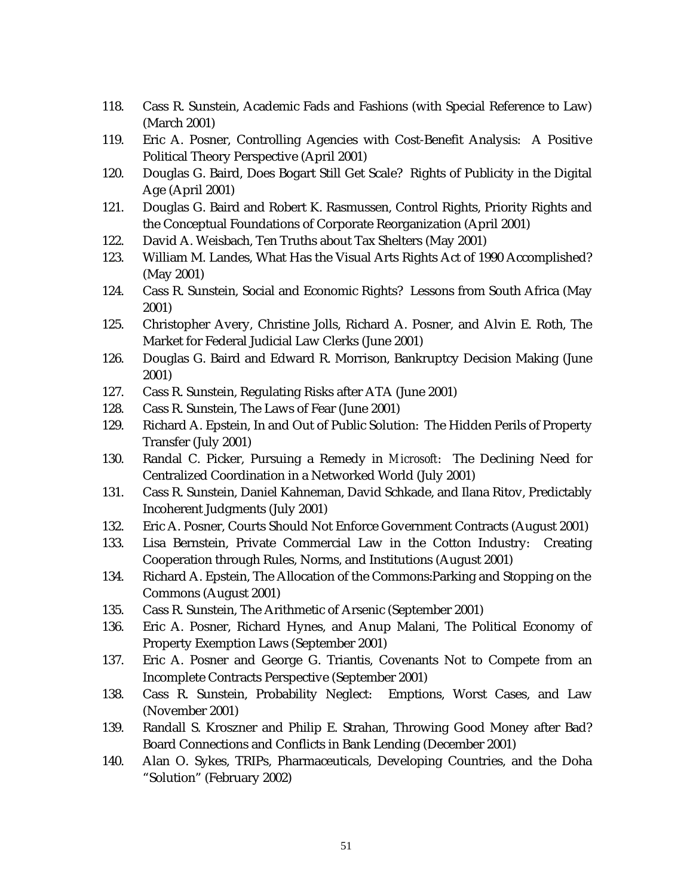- 118. Cass R. Sunstein, Academic Fads and Fashions (with Special Reference to Law) (March 2001)
- 119. Eric A. Posner, Controlling Agencies with Cost-Benefit Analysis: A Positive Political Theory Perspective (April 2001)
- 120. Douglas G. Baird, Does Bogart Still Get Scale? Rights of Publicity in the Digital Age (April 2001)
- 121. Douglas G. Baird and Robert K. Rasmussen, Control Rights, Priority Rights and the Conceptual Foundations of Corporate Reorganization (April 2001)
- 122. David A. Weisbach, Ten Truths about Tax Shelters (May 2001)
- 123. William M. Landes, What Has the Visual Arts Rights Act of 1990 Accomplished? (May 2001)
- 124. Cass R. Sunstein, Social and Economic Rights? Lessons from South Africa (May 2001)
- 125. Christopher Avery, Christine Jolls, Richard A. Posner, and Alvin E. Roth, The Market for Federal Judicial Law Clerks (June 2001)
- 126. Douglas G. Baird and Edward R. Morrison, Bankruptcy Decision Making (June 2001)
- 127. Cass R. Sunstein, Regulating Risks after ATA (June 2001)
- 128. Cass R. Sunstein, The Laws of Fear (June 2001)
- 129. Richard A. Epstein, In and Out of Public Solution: The Hidden Perils of Property Transfer (July 2001)
- 130. Randal C. Picker, Pursuing a Remedy in *Microsoft*: The Declining Need for Centralized Coordination in a Networked World (July 2001)
- 131. Cass R. Sunstein, Daniel Kahneman, David Schkade, and Ilana Ritov, Predictably Incoherent Judgments (July 2001)
- 132. Eric A. Posner, Courts Should Not Enforce Government Contracts (August 2001)
- 133. Lisa Bernstein, Private Commercial Law in the Cotton Industry: Creating Cooperation through Rules, Norms, and Institutions (August 2001)
- 134. Richard A. Epstein, The Allocation of the Commons:Parking and Stopping on the Commons (August 2001)
- 135. Cass R. Sunstein, The Arithmetic of Arsenic (September 2001)
- 136. Eric A. Posner, Richard Hynes, and Anup Malani, The Political Economy of Property Exemption Laws (September 2001)
- 137. Eric A. Posner and George G. Triantis, Covenants Not to Compete from an Incomplete Contracts Perspective (September 2001)
- 138. Cass R. Sunstein, Probability Neglect: Emptions, Worst Cases, and Law (November 2001)
- 139. Randall S. Kroszner and Philip E. Strahan, Throwing Good Money after Bad? Board Connections and Conflicts in Bank Lending (December 2001)
- 140. Alan O. Sykes, TRIPs, Pharmaceuticals, Developing Countries, and the Doha "Solution" (February 2002)